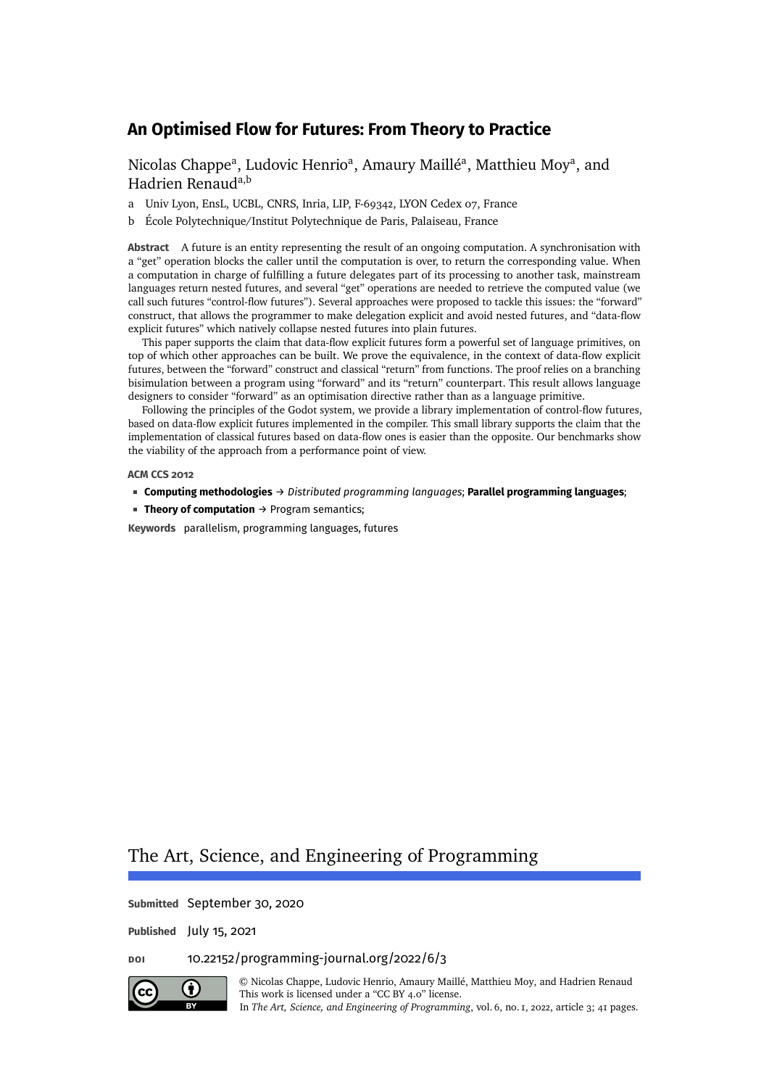[Nicolas Chappe](#page-40-0)<sup>a</sup>, [Ludovic Henrio](#page-40-1)<sup>a</sup>, [Amaury Maillé](#page-40-2)<sup>a</sup>, Matthieu Mov<sup>a</sup>, and [Hadrien Renaud](#page-40-4)<sup>a,b</sup>

- a Univ Lyon, EnsL, UCBL, CNRS, Inria, LIP, F-69342, LYON Cedex 07, France
- b École Polytechnique/Institut Polytechnique de Paris, Palaiseau, France

**Abstract** A future is an entity representing the result of an ongoing computation. A synchronisation with a "get" operation blocks the caller until the computation is over, to return the corresponding value. When a computation in charge of fulfilling a future delegates part of its processing to another task, mainstream languages return nested futures, and several "get" operations are needed to retrieve the computed value (we call such futures "control-flow futures"). Several approaches were proposed to tackle this issues: the "forward" construct, that allows the programmer to make delegation explicit and avoid nested futures, and "data-flow explicit futures" which natively collapse nested futures into plain futures.

This paper supports the claim that data-flow explicit futures form a powerful set of language primitives, on top of which other approaches can be built. We prove the equivalence, in the context of data-flow explicit futures, between the "forward" construct and classical "return" from functions. The proof relies on a branching bisimulation between a program using "forward" and its "return" counterpart. This result allows language designers to consider "forward" as an optimisation directive rather than as a language primitive.

Following the principles of the Godot system, we provide a library implementation of control-flow futures, based on data-flow explicit futures implemented in the compiler. This small library supports the claim that the implementation of classical futures based on data-flow ones is easier than the opposite. Our benchmarks show the viability of the approach from a performance point of view.

#### **ACM CCS 2012**

- **Computing methodologies** → *Distributed programming languages*; **Parallel programming languages**;
- **Theory of computation** → Program semantics;

**Keywords** parallelism, programming languages, futures

# The Art, Science, and Engineering of Programming

**Submitted** September 30, 2020

**Published** July 15, 2021

# **doi** [10.22152/programming-journal.org/2022/6/3](https://doi.org/10.22152/programming-journal.org/2022/6/3)



© [Nicolas Chappe,](#page-40-0) [Ludovic Henrio,](#page-40-1) [Amaury Maillé,](#page-40-2) [Matthieu Moy,](#page-40-3) and [Hadrien Renaud](#page-40-4) This work is licensed under a ["CC BY 4.0"](https://creativecommons.org/licenses/by/4.0/deed.en) license.

In *The Art, Science, and Engineering of Programming*, vol. 6, no. 1, 2022, article 3; [41](#page-40-5) pages.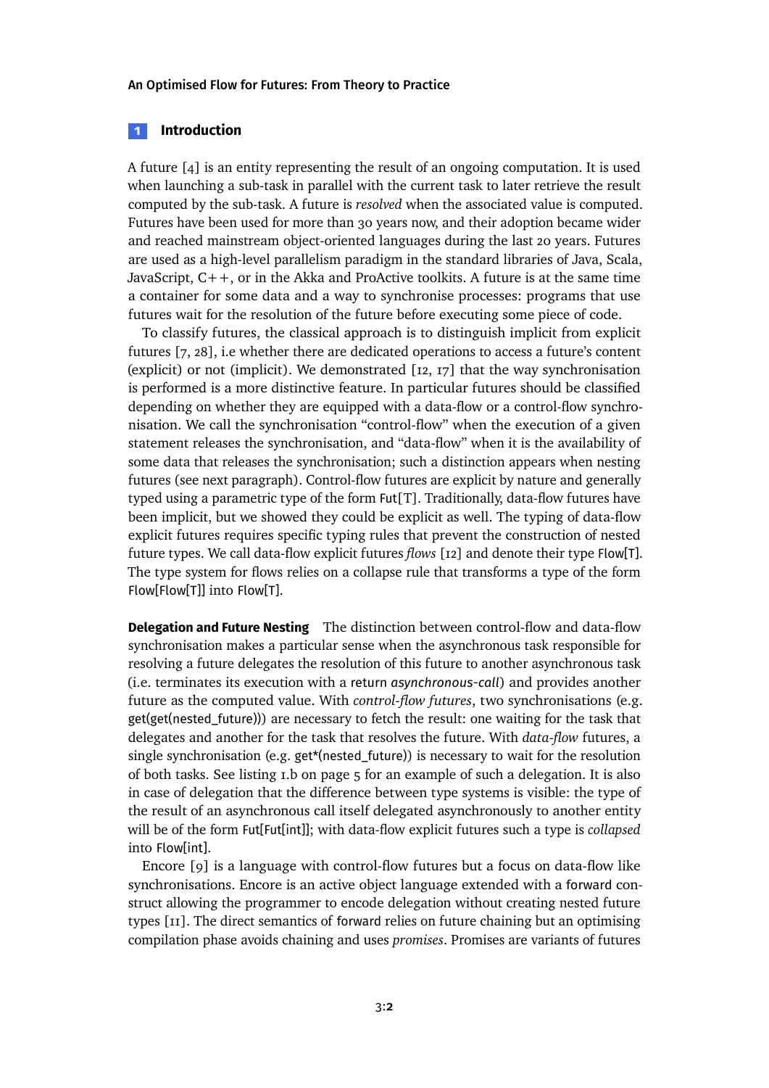# **1 Introduction**

A future [\[4\]](#page-27-0) is an entity representing the result of an ongoing computation. It is used when launching a sub-task in parallel with the current task to later retrieve the result computed by the sub-task. A future is *resolved* when the associated value is computed. Futures have been used for more than 30 years now, and their adoption became wider and reached mainstream object-oriented languages during the last 20 years. Futures are used as a high-level parallelism paradigm in the standard libraries of Java, Scala, JavaScript,  $C++$ , or in the Akka and ProActive toolkits. A future is at the same time a container for some data and a way to synchronise processes: programs that use futures wait for the resolution of the future before executing some piece of code.

To classify futures, the classical approach is to distinguish implicit from explicit futures [\[7,](#page-27-1) [28\]](#page-30-0), i.e whether there are dedicated operations to access a future's content (explicit) or not (implicit). We demonstrated [\[12,](#page-28-0) [17\]](#page-29-0) that the way synchronisation is performed is a more distinctive feature. In particular futures should be classified depending on whether they are equipped with a data-flow or a control-flow synchronisation. We call the synchronisation "control-flow" when the execution of a given statement releases the synchronisation, and "data-flow" when it is the availability of some data that releases the synchronisation; such a distinction appears when nesting futures (see next paragraph). Control-flow futures are explicit by nature and generally typed using a parametric type of the form Fut[T]. Traditionally, data-flow futures have been implicit, but we showed they could be explicit as well. The typing of data-flow explicit futures requires specific typing rules that prevent the construction of nested future types. We call data-flow explicit futures *flows* [\[12\]](#page-28-0) and denote their type Flow[T]. The type system for flows relies on a collapse rule that transforms a type of the form Flow[Flow[T]] into Flow[T].

**Delegation and Future Nesting** The distinction between control-flow and data-flow synchronisation makes a particular sense when the asynchronous task responsible for resolving a future delegates the resolution of this future to another asynchronous task (i.e. terminates its execution with a return *asynchronous-call*) and provides another future as the computed value. With *control-flow futures*, two synchronisations (e.g. get(get(nested\_future))) are necessary to fetch the result: one waiting for the task that delegates and another for the task that resolves the future. With *data-flow* futures, a single synchronisation (e.g. get\*(nested\_future)) is necessary to wait for the resolution of both tasks. See listing [1.](#page-4-0)b on page [5](#page-4-0) for an example of such a delegation. It is also in case of delegation that the difference between type systems is visible: the type of the result of an asynchronous call itself delegated asynchronously to another entity will be of the form Fut[Fut[int]]; with data-flow explicit futures such a type is *collapsed* into Flow[int].

Encore [\[9\]](#page-28-1) is a language with control-flow futures but a focus on data-flow like synchronisations. Encore is an active object language extended with a forward construct allowing the programmer to encode delegation without creating nested future types [\[11\]](#page-28-2). The direct semantics of forward relies on future chaining but an optimising compilation phase avoids chaining and uses *promises*. Promises are variants of futures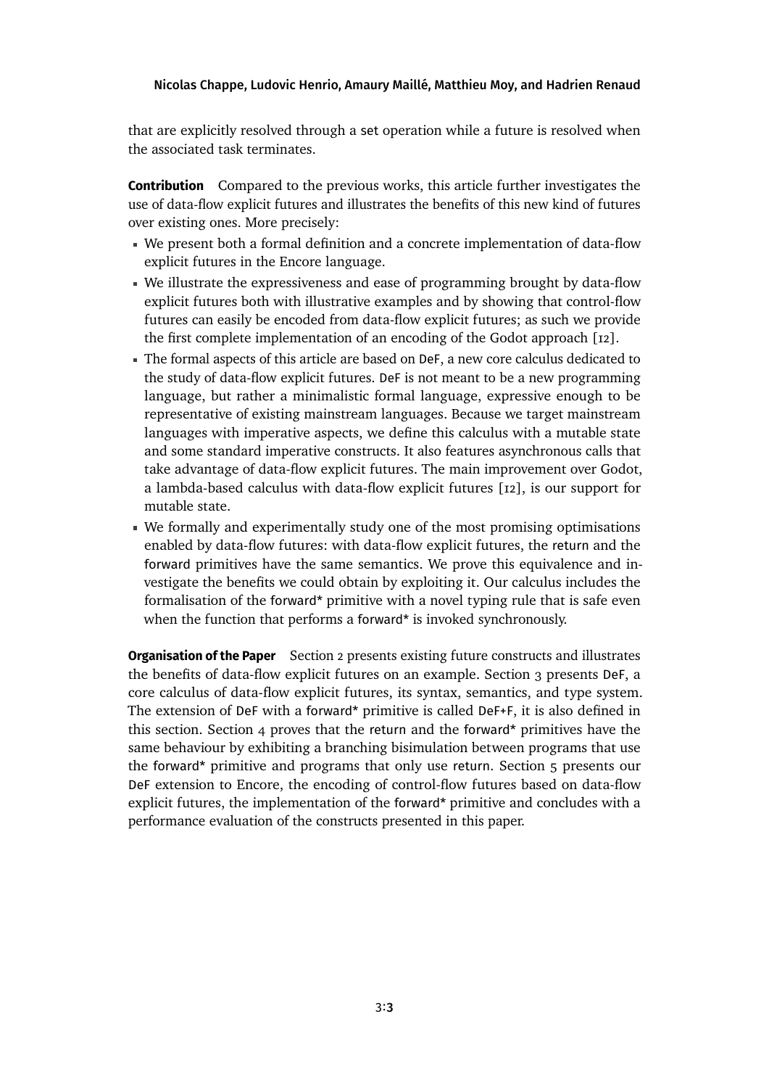that are explicitly resolved through a set operation while a future is resolved when the associated task terminates.

**Contribution** Compared to the previous works, this article further investigates the use of data-flow explicit futures and illustrates the benefits of this new kind of futures over existing ones. More precisely:

- We present both a formal definition and a concrete implementation of data-flow explicit futures in the Encore language.
- We illustrate the expressiveness and ease of programming brought by data-flow explicit futures both with illustrative examples and by showing that control-flow futures can easily be encoded from data-flow explicit futures; as such we provide the first complete implementation of an encoding of the Godot approach [\[12\]](#page-28-0).
- The formal aspects of this article are based on DeF, a new core calculus dedicated to the study of data-flow explicit futures. DeF is not meant to be a new programming language, but rather a minimalistic formal language, expressive enough to be representative of existing mainstream languages. Because we target mainstream languages with imperative aspects, we define this calculus with a mutable state and some standard imperative constructs. It also features asynchronous calls that take advantage of data-flow explicit futures. The main improvement over Godot, a lambda-based calculus with data-flow explicit futures [\[12\]](#page-28-0), is our support for mutable state.
- We formally and experimentally study one of the most promising optimisations enabled by data-flow futures: with data-flow explicit futures, the return and the forward primitives have the same semantics. We prove this equivalence and investigate the benefits we could obtain by exploiting it. Our calculus includes the formalisation of the forward\* primitive with a novel typing rule that is safe even when the function that performs a forward\* is invoked synchronously.

**Organisation of the Paper** Section [2](#page-3-0) presents existing future constructs and illustrates the benefits of data-flow explicit futures on an example. Section [3](#page-8-0) presents DeF, a core calculus of data-flow explicit futures, its syntax, semantics, and type system. The extension of DeF with a forward\* primitive is called DeF+F, it is also defined in this section. Section [4](#page-16-0) proves that the return and the forward\* primitives have the same behaviour by exhibiting a branching bisimulation between programs that use the forward\* primitive and programs that only use return. Section [5](#page-20-0) presents our DeF extension to Encore, the encoding of control-flow futures based on data-flow explicit futures, the implementation of the forward\* primitive and concludes with a performance evaluation of the constructs presented in this paper.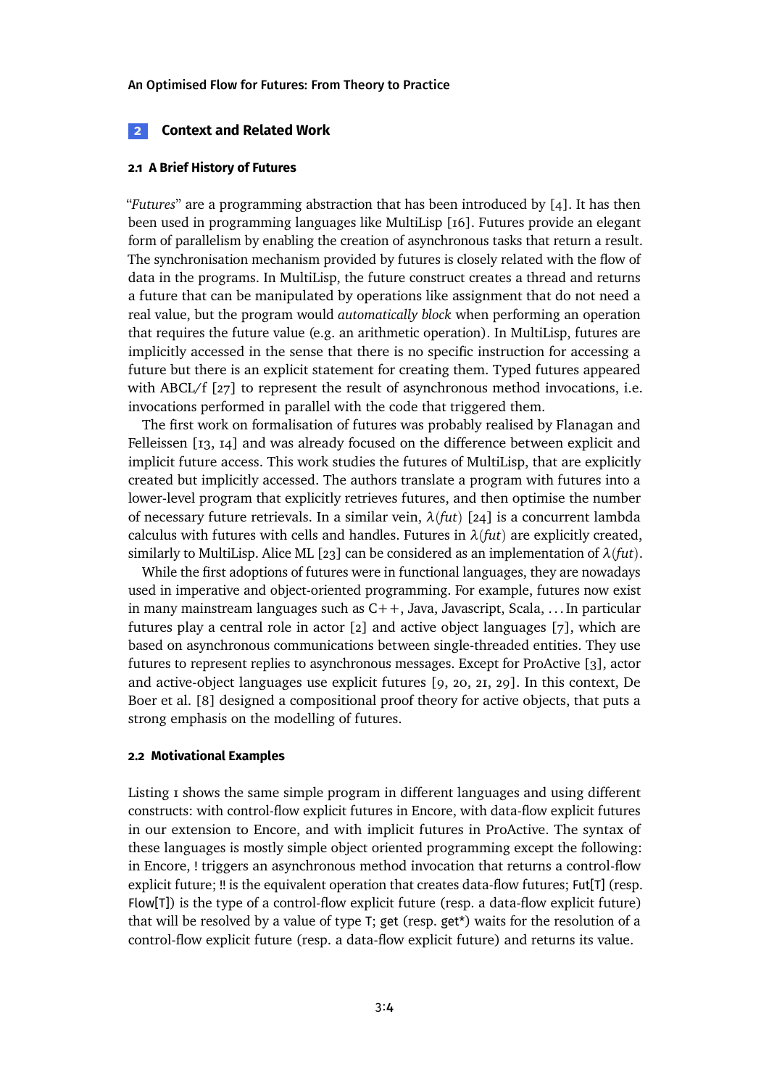### <span id="page-3-0"></span>**2 Context and Related Work**

### **2.1 A Brief History of Futures**

"*Futures*" are a programming abstraction that has been introduced by [\[4\]](#page-27-0). It has then been used in programming languages like MultiLisp [\[16\]](#page-29-1). Futures provide an elegant form of parallelism by enabling the creation of asynchronous tasks that return a result. The synchronisation mechanism provided by futures is closely related with the flow of data in the programs. In MultiLisp, the future construct creates a thread and returns a future that can be manipulated by operations like assignment that do not need a real value, but the program would *automatically block* when performing an operation that requires the future value (e.g. an arithmetic operation). In MultiLisp, futures are implicitly accessed in the sense that there is no specific instruction for accessing a future but there is an explicit statement for creating them. Typed futures appeared with ABCL/f [\[27\]](#page-30-1) to represent the result of asynchronous method invocations, i.e. invocations performed in parallel with the code that triggered them.

The first work on formalisation of futures was probably realised by Flanagan and Felleissen [\[13,](#page-28-3) [14\]](#page-28-4) and was already focused on the difference between explicit and implicit future access. This work studies the futures of MultiLisp, that are explicitly created but implicitly accessed. The authors translate a program with futures into a lower-level program that explicitly retrieves futures, and then optimise the number of necessary future retrievals. In a similar vein,  $λ$ (*fut*) [\[24\]](#page-29-2) is a concurrent lambda calculus with futures with cells and handles. Futures in  $\lambda$ *(fut)* are explicitly created, similarly to MultiLisp. Alice ML [\[23\]](#page-29-3) can be considered as an implementation of  $\lambda$ *(fut*).

While the first adoptions of futures were in functional languages, they are nowadays used in imperative and object-oriented programming. For example, futures now exist in many mainstream languages such as  $C_{++}$ , Java, Javascript, Scala, ... In particular futures play a central role in actor  $\lceil 2 \rceil$  and active object languages  $\lceil 7 \rceil$ , which are based on asynchronous communications between single-threaded entities. They use futures to represent replies to asynchronous messages. Except for ProActive [\[3\]](#page-27-3), actor and active-object languages use explicit futures [\[9,](#page-28-1) [20,](#page-29-4) [21,](#page-29-5) [29\]](#page-30-2). In this context, De Boer et al. [\[8\]](#page-28-5) designed a compositional proof theory for active objects, that puts a strong emphasis on the modelling of futures.

### **2.2 Motivational Examples**

Listing [1](#page-4-0) shows the same simple program in different languages and using different constructs: with control-flow explicit futures in Encore, with data-flow explicit futures in our extension to Encore, and with implicit futures in ProActive. The syntax of these languages is mostly simple object oriented programming except the following: in Encore, ! triggers an asynchronous method invocation that returns a control-flow explicit future; !! is the equivalent operation that creates data-flow futures; Fut[T] (resp. Flow[T]) is the type of a control-flow explicit future (resp. a data-flow explicit future) that will be resolved by a value of type T; get (resp. get\*) waits for the resolution of a control-flow explicit future (resp. a data-flow explicit future) and returns its value.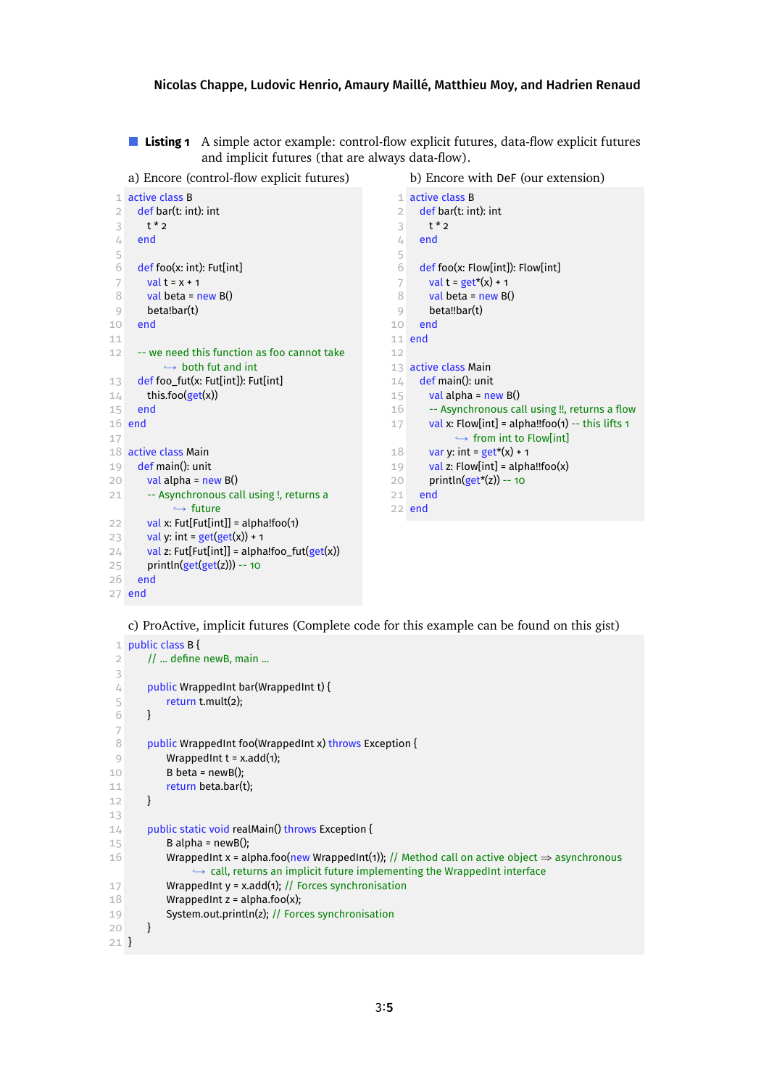<span id="page-4-0"></span>**Listing 1** A simple actor example: control-flow explicit futures, data-flow explicit futures and implicit futures (that are always data-flow).

<span id="page-4-4"></span>a) Encore (control-flow explicit futures)

 active class B def bar(t: int): int t\*2 end def foo(x: int): Fut[int] val  $t = x + 1$  val beta = new B() beta!bar(t) end -- we need this function as foo cannot take  $\rightarrow$  both fut and int 13 def foo fut(x: Fut[int]): Fut[int] this.foo(get(x)) end end active class Main def main(): unit 20 val alpha =  $new B()$ 21 -- Asynchronous call using !, returns a  $ightharpoonup$  future 22 val x: Fut[Fut[int]] = alpha!foo(1) 23 val y: int =  $get(get(x)) + 1$  val z: Fut[Fut[int]] = alpha!foo\_fut(get(x)) 25 println( $get(get(z))$ ) -- 10 end b) Encore with DeF (our extension) active class B def bar(t: int): int  $3 + x^2$  end def foo(x: Flow[int]): Flow[int] 7 val t =  $get*(x) + 1$  val beta = new B() beta!!bar(t) end end active class Main def main(): unit val alpha = new B() 16 -- Asynchronous call using !!, returns a flow val x: Flow[int] = alpha!!foo(1) -- this lifts 1  $\rightarrow$  from int to Flow[int] 18 var y: int =  $get*(x) + 1$ 19 val z: Flow[int] = alpha!!foo(x) **println(get\*(z))** -- 10 end end

<span id="page-4-2"></span><span id="page-4-1"></span>end

c) ProActive, implicit futures (Complete code for this example can be found on [this gist\)](https://gist.github.com/HadrienRenaud/d5b9198fdeee9118382d532a8e24489f)

```
1 public class B {
 2 // ... define newB, main ...
 3
 4 public WrappedInt bar(WrappedInt t) {
 5 return t.mult(2);
 6 }
 7
 8 public WrappedInt foo(WrappedInt x) throws Exception {
 9 WrappedInt t = x.add(1):
10 B beta = newB();
11 return beta.bar(t);
12 }
13
14 public static void realMain() throws Exception {
15 B alpha = newB();
16 WrappedInt x = alpha.foo(new WrappedInt(1)); // Method call on active object \Rightarrow asynchronous
                \hookrightarrow call, returns an implicit future implementing the WrappedInt interface
17 WrappedInt y = x.add(1); // Forces synchronisation
18 WrappedInt z = \text{alpha.foo}(x):
19 System.out.println(z); // Forces synchronisation
20 }
21 }
```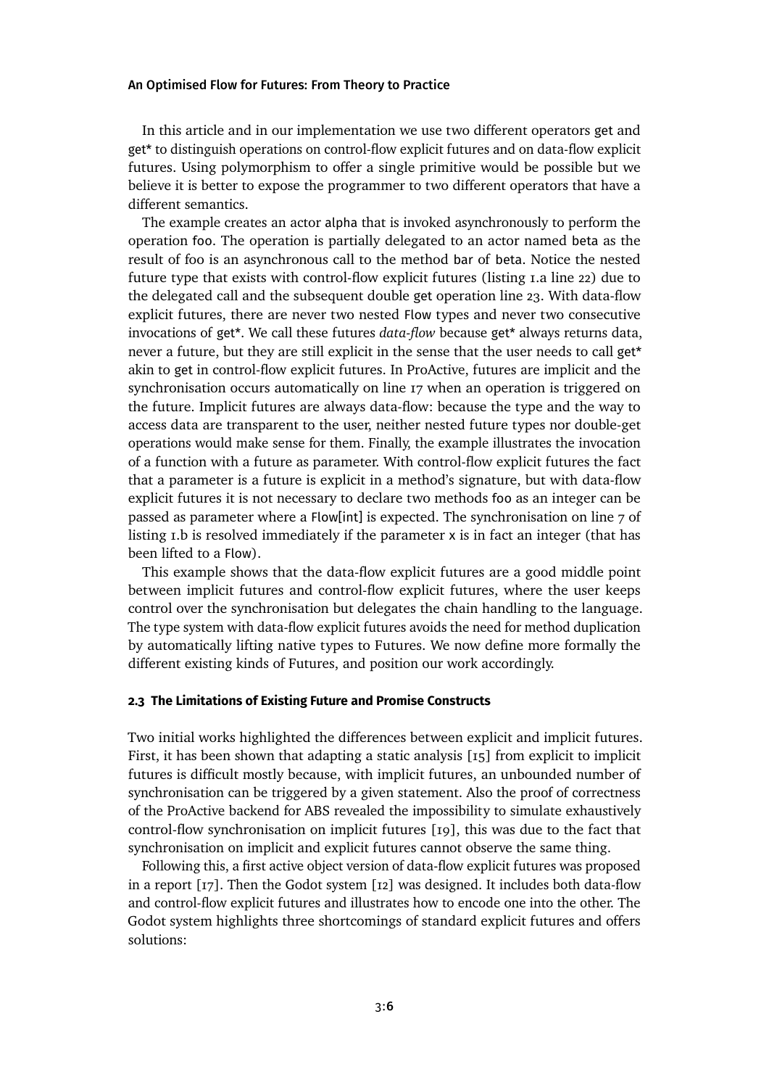In this article and in our implementation we use two different operators get and get\* to distinguish operations on control-flow explicit futures and on data-flow explicit futures. Using polymorphism to offer a single primitive would be possible but we believe it is better to expose the programmer to two different operators that have a different semantics.

The example creates an actor alpha that is invoked asynchronously to perform the operation foo. The operation is partially delegated to an actor named beta as the result of foo is an asynchronous call to the method bar of beta. Notice the nested future type that exists with control-flow explicit futures (listing [1.](#page-4-0)a line [22\)](#page-4-1) due to the delegated call and the subsequent double get operation line [23.](#page-4-2) With data-flow explicit futures, there are never two nested Flow types and never two consecutive invocations of get\*. We call these futures *data-flow* because get\* always returns data, never a future, but they are still explicit in the sense that the user needs to call get\* akin to get in control-flow explicit futures. In ProActive, futures are implicit and the synchronisation occurs automatically on line [17](#page-4-3) when an operation is triggered on the future. Implicit futures are always data-flow: because the type and the way to access data are transparent to the user, neither nested future types nor double-get operations would make sense for them. Finally, the example illustrates the invocation of a function with a future as parameter. With control-flow explicit futures the fact that a parameter is a future is explicit in a method's signature, but with data-flow explicit futures it is not necessary to declare two methods foo as an integer can be passed as parameter where a Flow[int] is expected. The synchronisation on line [7](#page-4-4) of listing [1.](#page-4-0)b is resolved immediately if the parameter x is in fact an integer (that has been lifted to a Flow).

This example shows that the data-flow explicit futures are a good middle point between implicit futures and control-flow explicit futures, where the user keeps control over the synchronisation but delegates the chain handling to the language. The type system with data-flow explicit futures avoids the need for method duplication by automatically lifting native types to Futures. We now define more formally the different existing kinds of Futures, and position our work accordingly.

# <span id="page-5-0"></span>**2.3 The Limitations of Existing Future and Promise Constructs**

Two initial works highlighted the differences between explicit and implicit futures. First, it has been shown that adapting a static analysis [\[15\]](#page-28-6) from explicit to implicit futures is difficult mostly because, with implicit futures, an unbounded number of synchronisation can be triggered by a given statement. Also the proof of correctness of the ProActive backend for ABS revealed the impossibility to simulate exhaustively control-flow synchronisation on implicit futures [\[19\]](#page-29-6), this was due to the fact that synchronisation on implicit and explicit futures cannot observe the same thing.

Following this, a first active object version of data-flow explicit futures was proposed in a report [\[17\]](#page-29-0). Then the Godot system [\[12\]](#page-28-0) was designed. It includes both data-flow and control-flow explicit futures and illustrates how to encode one into the other. The Godot system highlights three shortcomings of standard explicit futures and offers solutions: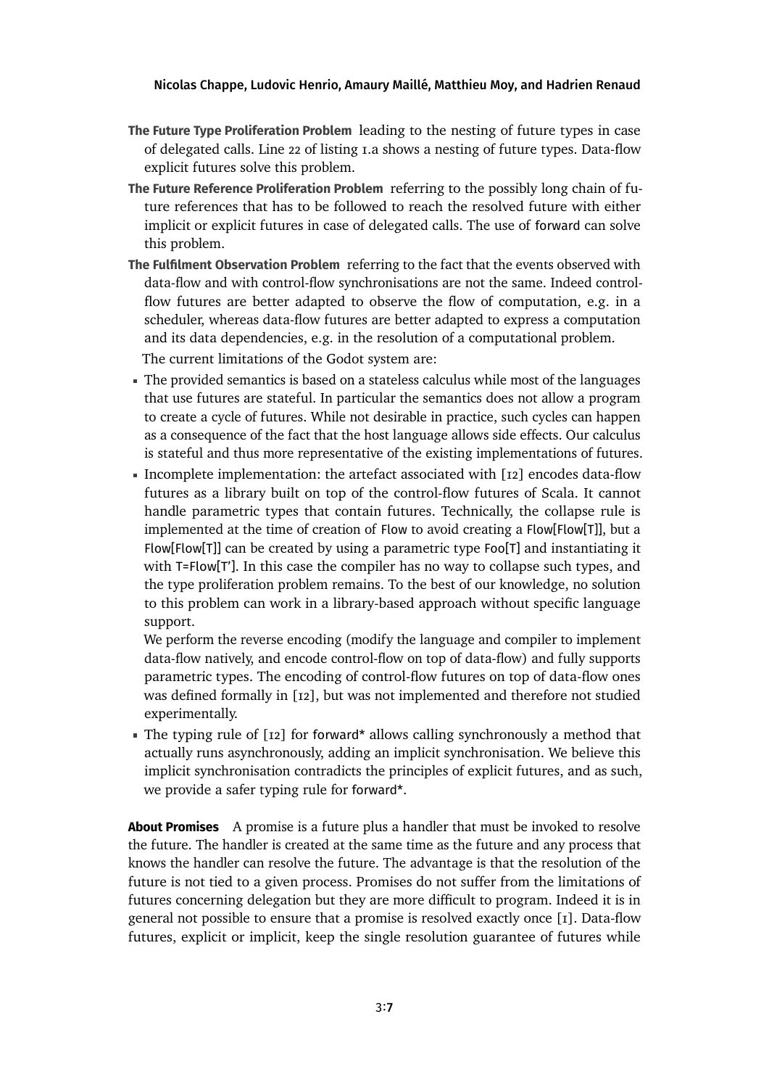- **The Future Type Proliferation Problem** leading to the nesting of future types in case of delegated calls. Line 22 of listing [1.](#page-4-0)a shows a nesting of future types. Data-flow explicit futures solve this problem.
- **The Future Reference Proliferation Problem** referring to the possibly long chain of future references that has to be followed to reach the resolved future with either implicit or explicit futures in case of delegated calls. The use of forward can solve this problem.
- **The Fulfilment Observation Problem** referring to the fact that the events observed with data-flow and with control-flow synchronisations are not the same. Indeed controlflow futures are better adapted to observe the flow of computation, e.g. in a scheduler, whereas data-flow futures are better adapted to express a computation and its data dependencies, e.g. in the resolution of a computational problem. The current limitations of the Godot system are:
- The provided semantics is based on a stateless calculus while most of the languages that use futures are stateful. In particular the semantics does not allow a program to create a cycle of futures. While not desirable in practice, such cycles can happen as a consequence of the fact that the host language allows side effects. Our calculus is stateful and thus more representative of the existing implementations of futures.
- Incomplete implementation: the artefact associated with [\[12\]](#page-28-0) encodes data-flow futures as a library built on top of the control-flow futures of Scala. It cannot handle parametric types that contain futures. Technically, the collapse rule is implemented at the time of creation of Flow to avoid creating a Flow[Flow[T]], but a Flow[Flow[T]] can be created by using a parametric type Foo[T] and instantiating it with T=Flow[T']. In this case the compiler has no way to collapse such types, and the type proliferation problem remains. To the best of our knowledge, no solution to this problem can work in a library-based approach without specific language support.

We perform the reverse encoding (modify the language and compiler to implement data-flow natively, and encode control-flow on top of data-flow) and fully supports parametric types. The encoding of control-flow futures on top of data-flow ones was defined formally in [\[12\]](#page-28-0), but was not implemented and therefore not studied experimentally.

The typing rule of [\[12\]](#page-28-0) for forward\* allows calling synchronously a method that actually runs asynchronously, adding an implicit synchronisation. We believe this implicit synchronisation contradicts the principles of explicit futures, and as such, we provide a safer typing rule for forward\*.

**About Promises** A promise is a future plus a handler that must be invoked to resolve the future. The handler is created at the same time as the future and any process that knows the handler can resolve the future. The advantage is that the resolution of the future is not tied to a given process. Promises do not suffer from the limitations of futures concerning delegation but they are more difficult to program. Indeed it is in general not possible to ensure that a promise is resolved exactly once [\[1\]](#page-27-4). Data-flow futures, explicit or implicit, keep the single resolution guarantee of futures while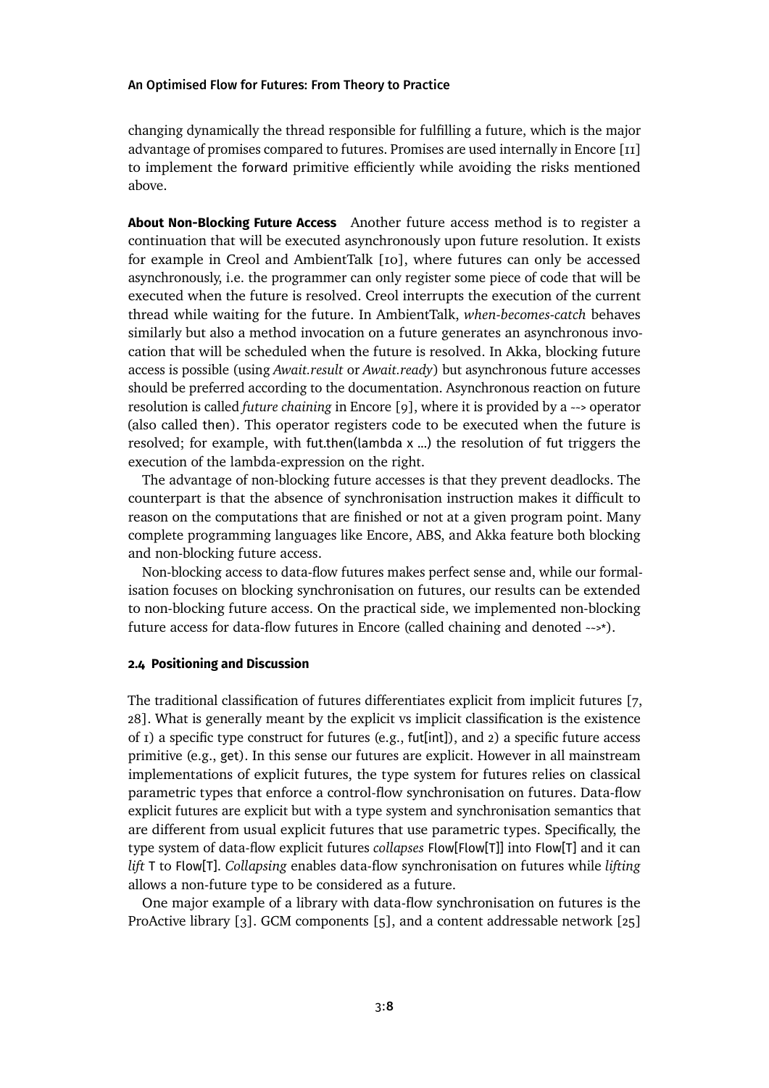changing dynamically the thread responsible for fulfilling a future, which is the major advantage of promises compared to futures. Promises are used internally in Encore [\[11\]](#page-28-2) to implement the forward primitive efficiently while avoiding the risks mentioned above.

**About Non-Blocking Future Access** Another future access method is to register a continuation that will be executed asynchronously upon future resolution. It exists for example in Creol and AmbientTalk [\[10\]](#page-28-7), where futures can only be accessed asynchronously, i.e. the programmer can only register some piece of code that will be executed when the future is resolved. Creol interrupts the execution of the current thread while waiting for the future. In AmbientTalk, *when-becomes-catch* behaves similarly but also a method invocation on a future generates an asynchronous invocation that will be scheduled when the future is resolved. In Akka, blocking future access is possible (using *Await.result* or *Await.ready*) but asynchronous future accesses should be preferred according to the documentation. Asynchronous reaction on future resolution is called *future chaining* in Encore [\[9\]](#page-28-1), where it is provided by a ~~> operator (also called then). This operator registers code to be executed when the future is resolved; for example, with fut.then(lambda x ...) the resolution of fut triggers the execution of the lambda-expression on the right.

The advantage of non-blocking future accesses is that they prevent deadlocks. The counterpart is that the absence of synchronisation instruction makes it difficult to reason on the computations that are finished or not at a given program point. Many complete programming languages like Encore, ABS, and Akka feature both blocking and non-blocking future access.

Non-blocking access to data-flow futures makes perfect sense and, while our formalisation focuses on blocking synchronisation on futures, our results can be extended to non-blocking future access. On the practical side, we implemented non-blocking future access for data-flow futures in Encore (called chaining and denoted ~~>\*).

### **2.4 Positioning and Discussion**

The traditional classification of futures differentiates explicit from implicit futures [\[7,](#page-27-1) [28\]](#page-30-0). What is generally meant by the explicit vs implicit classification is the existence of  $I$ ) a specific type construct for futures (e.g., fut[int]), and  $2$ ) a specific future access primitive (e.g., get). In this sense our futures are explicit. However in all mainstream implementations of explicit futures, the type system for futures relies on classical parametric types that enforce a control-flow synchronisation on futures. Data-flow explicit futures are explicit but with a type system and synchronisation semantics that are different from usual explicit futures that use parametric types. Specifically, the type system of data-flow explicit futures *collapses* Flow[Flow[T]] into Flow[T] and it can *lift* T to Flow[T]. *Collapsing* enables data-flow synchronisation on futures while *lifting* allows a non-future type to be considered as a future.

One major example of a library with data-flow synchronisation on futures is the ProActive library  $\lceil 3 \rceil$ . GCM components  $\lceil 5 \rceil$ , and a content addressable network  $\lceil 25 \rceil$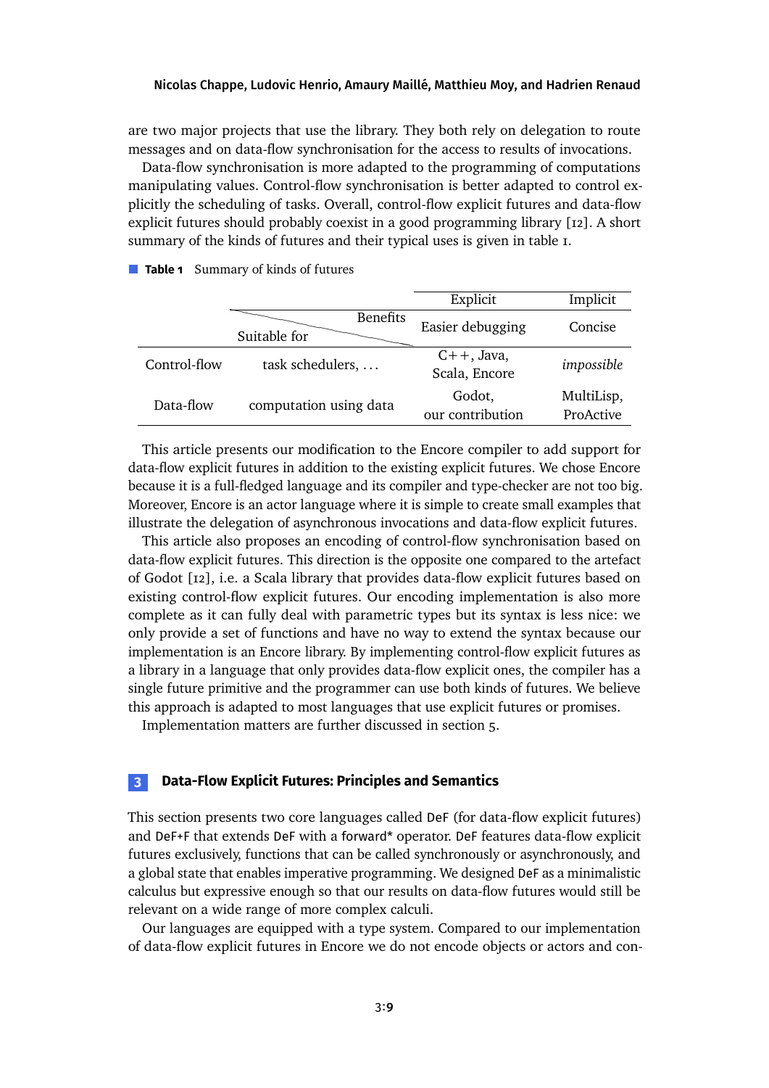are two major projects that use the library. They both rely on delegation to route messages and on data-flow synchronisation for the access to results of invocations.

Data-flow synchronisation is more adapted to the programming of computations manipulating values. Control-flow synchronisation is better adapted to control explicitly the scheduling of tasks. Overall, control-flow explicit futures and data-flow explicit futures should probably coexist in a good programming library [\[12\]](#page-28-0). A short summary of the kinds of futures and their typical uses is given in table [1.](#page-8-1)

| Explicit         |                                                                         | Implicit              |  |
|------------------|-------------------------------------------------------------------------|-----------------------|--|
|                  | <b>Benefits</b>                                                         |                       |  |
|                  | Suitable for                                                            |                       |  |
| $C++$ , Java,    |                                                                         |                       |  |
| Scala, Encore    |                                                                         |                       |  |
| Godot,           |                                                                         | MultiLisp,            |  |
| our contribution |                                                                         | ProActive             |  |
| Easier debugging | task schedulers,<br>Control-flow<br>computation using data<br>Data-flow | Concise<br>impossible |  |

## <span id="page-8-1"></span>**Table 1** Summary of kinds of futures

This article presents our modification to the Encore compiler to add support for data-flow explicit futures in addition to the existing explicit futures. We chose Encore because it is a full-fledged language and its compiler and type-checker are not too big. Moreover, Encore is an actor language where it is simple to create small examples that illustrate the delegation of asynchronous invocations and data-flow explicit futures.

This article also proposes an encoding of control-flow synchronisation based on data-flow explicit futures. This direction is the opposite one compared to the artefact of Godot [\[12\]](#page-28-0), i.e. a Scala library that provides data-flow explicit futures based on existing control-flow explicit futures. Our encoding implementation is also more complete as it can fully deal with parametric types but its syntax is less nice: we only provide a set of functions and have no way to extend the syntax because our implementation is an Encore library. By implementing control-flow explicit futures as a library in a language that only provides data-flow explicit ones, the compiler has a single future primitive and the programmer can use both kinds of futures. We believe this approach is adapted to most languages that use explicit futures or promises.

Implementation matters are further discussed in section [5.](#page-20-0)

# <span id="page-8-0"></span>**3 Data-Flow Explicit Futures: Principles and Semantics**

This section presents two core languages called DeF (for data-flow explicit futures) and DeF+F that extends DeF with a forward\* operator. DeF features data-flow explicit futures exclusively, functions that can be called synchronously or asynchronously, and a global state that enables imperative programming. We designed DeF as a minimalistic calculus but expressive enough so that our results on data-flow futures would still be relevant on a wide range of more complex calculi.

Our languages are equipped with a type system. Compared to our implementation of data-flow explicit futures in Encore we do not encode objects or actors and con-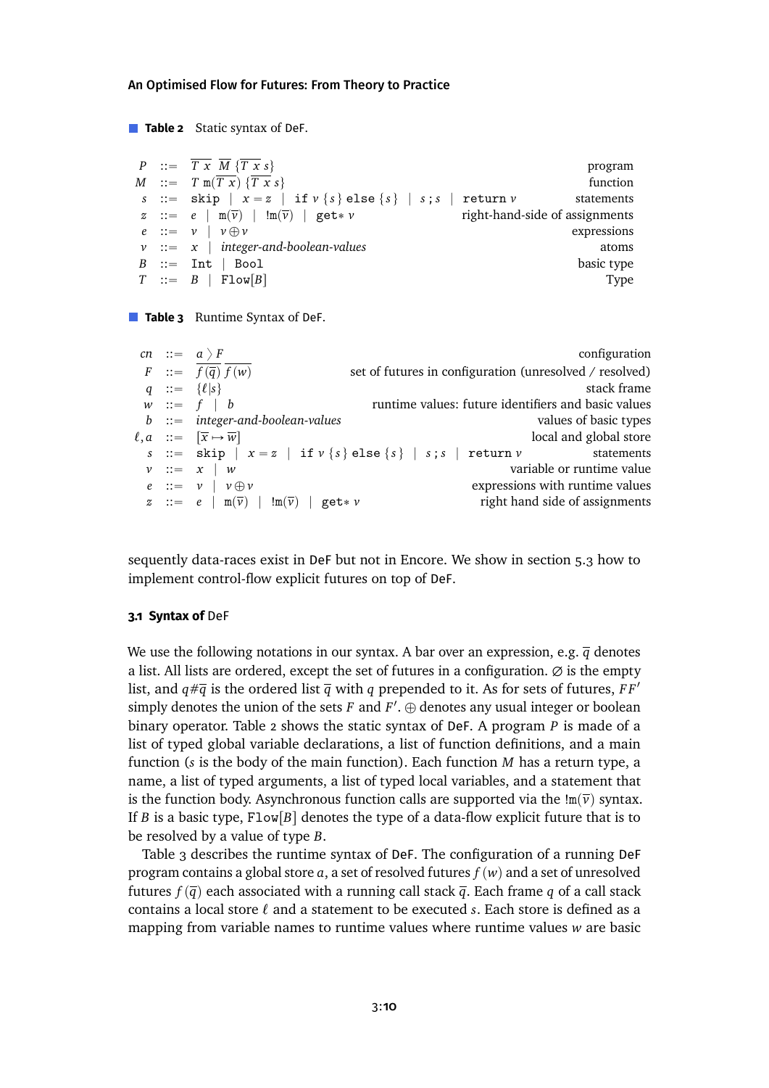```
Table 2 Static syntax of DeF.
```

```
P ::= \overline{T} \overline{x} \overline{M} \{ \overline{T} \overline{x} s \} program
M ::= T \ln(T \bar{x}) \{ \overline{T} \bar{x} s \} function
s ::= \text{skip} \mid x = z \mid \text{if } v \{s\} \text{else} \{s\} \mid s ; s \mid \text{return } v statements
z := e \mid m(\overline{v}) \mid \mathbf{Im}(\overline{v}) \mid \mathbf{get} * v right-hand-side of assignments
e ::= v \mid v \oplus v expressions
\nu ::= x | integer-and-boolean-values atoms
B ::= Int | Bool
T \ ::= B \mid \text{Flow}[B] Type
```
### **Table 3** Runtime Syntax of DeF.

|  | cn ::= $a$ } F                                                         |                                                                      | configuration                   |
|--|------------------------------------------------------------------------|----------------------------------------------------------------------|---------------------------------|
|  | $F$ ::= $f(\overline{q}) f(w)$                                         | set of futures in configuration (unresolved / resolved)              |                                 |
|  | $q ::= \{\ell   s\}$                                                   |                                                                      | stack frame                     |
|  | $w ::= f   b$                                                          | runtime values: future identifiers and basic values                  |                                 |
|  | $b$ ::= integer-and-boolean-values                                     |                                                                      | values of basic types           |
|  | $\ell, a$ ::= $\overline{[x \mapsto w]}$                               |                                                                      | local and global store          |
|  |                                                                        | s ::= skip   $x = z$   if $v \{s\}$ else $\{s\}$   s; s   return $v$ | statements                      |
|  | $v ::= x \mid w$                                                       |                                                                      | variable or runtime value       |
|  | $e ::= v   v \oplus v$                                                 |                                                                      | expressions with runtime values |
|  | $z := e \mid m(\overline{\nu}) \mid !m(\overline{\nu}) \mid get * \nu$ |                                                                      | right hand side of assignments  |

sequently data-races exist in DeF but not in Encore. We show in section [5.3](#page-22-0) how to implement control-flow explicit futures on top of DeF.

#### **3.1 Syntax of** DeF

We use the following notations in our syntax. A bar over an expression, e.g.  $\bar{q}$  denotes a list. All lists are ordered, except the set of futures in a configuration.  $\emptyset$  is the empty list, and  $q \neq \overline{q}$  is the ordered list  $\overline{q}$  with *q* prepended to it. As for sets of futures, *FF'* simply denotes the union of the sets  $F$  and  $F'$ .  $\oplus$  denotes any usual integer or boolean binary operator. Table [2](#page-9-0) shows the static syntax of DeF. A program *P* is made of a list of typed global variable declarations, a list of function definitions, and a main function (*s* is the body of the main function). Each function *M* has a return type, a name, a list of typed arguments, a list of typed local variables, and a statement that is the function body. Asynchronous function calls are supported via the  $\text{Im}(\bar{v})$  syntax. If *B* is a basic type,  $Flow[B]$  denotes the type of a data-flow explicit future that is to be resolved by a value of type *B*.

Table [3](#page-9-0) describes the runtime syntax of DeF. The configuration of a running DeF program contains a global store  $a$ , a set of resolved futures  $f(w)$  and a set of unresolved futures  $f(\bar{q})$  each associated with a running call stack  $\bar{q}$ . Each frame *q* of a call stack contains a local store  $\ell$  and a statement to be executed  $s$ . Each store is defined as a mapping from variable names to runtime values where runtime values *w* are basic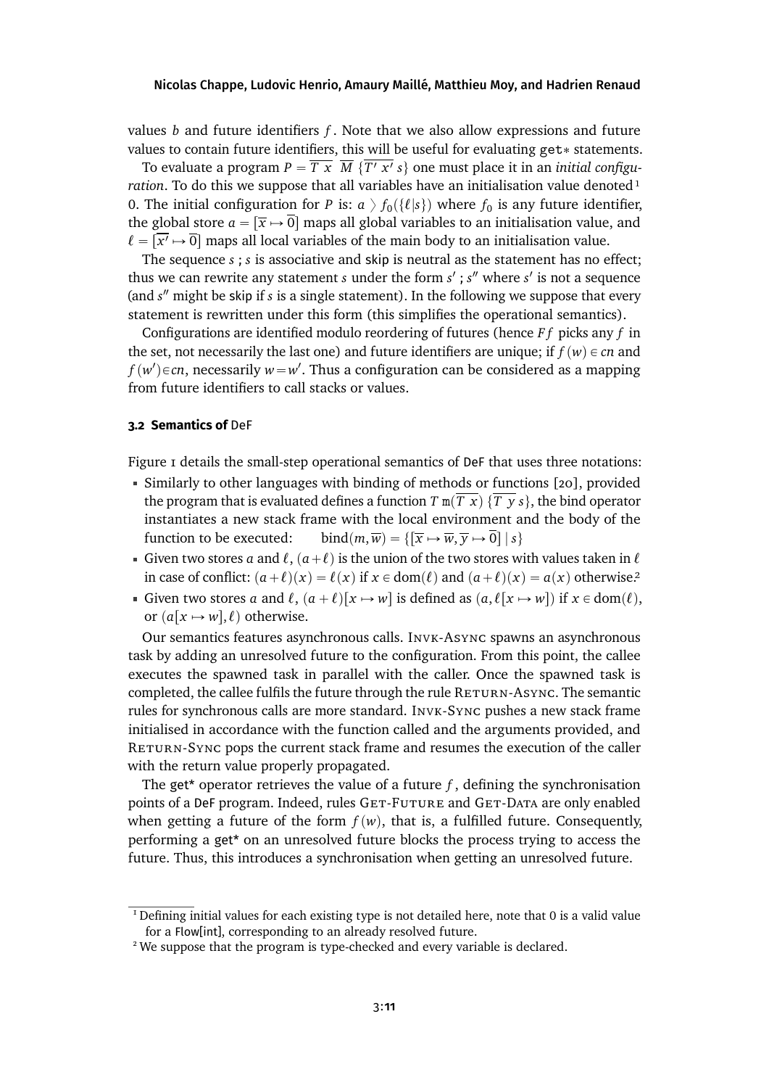values *b* and future identifiers *f* . Note that we also allow expressions and future values to contain future identifiers, this will be useful for evaluating  $get*$  statements.

To evaluate a program  $P = \overline{T \times M} \; \{\overline{T' \times'} \; s\}$  one must place it in an *initial configuration*. To do this we suppose that all variables have an initialisation value denoted<sup>1</sup> 0. The initial configuration for *P* is:  $a \gt f_0(\{\ell | s\})$  where  $f_0$  is any future identifier, the global store  $a = [\overline{x} \mapsto 0]$  maps all global variables to an initialisation value, and  $\ell = [\overline{x'} \mapsto \overline{0}]$  maps all local variables of the main body to an initialisation value.

The sequence *s* ; *s* is associative and skip is neutral as the statement has no effect; thus we can rewrite any statement *s* under the form *s'*; *s*<sup>*n*</sup> where *s'* is not a sequence (and *s* <sup>2</sup> might be skip if *s* is a single statement). In the following we suppose that every statement is rewritten under this form (this simplifies the operational semantics).

Configurations are identified modulo reordering of futures (hence *F f* picks any *f* in the set, not necessarily the last one) and future identifiers are unique; if  $f(w) \in cn$  and  $f(w')$  $\in$ *cn*, necessarily  $w$   $=w'$ . Thus a configuration can be considered as a mapping from future identifiers to call stacks or values.

### <span id="page-10-2"></span>**3.2 Semantics of** DeF

Figure [1](#page-11-0) details the small-step operational semantics of DeF that uses three notations:

- Similarly to other languages with binding of methods or functions [\[20\]](#page-29-4), provided the program that is evaluated defines a function *T* m $(T \times \{T \times s\})$ , the bind operator instantiates a new stack frame with the local environment and the body of the function to be executed: bind $(m, \overline{w}) = \{[\overline{x} \mapsto \overline{w}, \overline{y} \mapsto \overline{0}] \mid s\}$
- Given two stores *a* and  $\ell$ ,  $(a+\ell)$  is the union of the two stores with values taken in  $\ell$ in case of conflict:  $(a+\ell)(x) = \ell(x)$  if  $x \in \text{dom}(\ell)$  and  $(a+\ell)(x) = a(x)$  otherwise.<sup>2</sup>
- Given two stores *a* and  $\ell$ ,  $(a + \ell)[x \mapsto w]$  is defined as  $(a, \ell[x \mapsto w])$  if  $x \in \text{dom}(\ell)$ , or  $(a[x \mapsto w], \ell)$  otherwise.

Our semantics features asynchronous calls. Invk-Async spawns an asynchronous task by adding an unresolved future to the configuration. From this point, the callee executes the spawned task in parallel with the caller. Once the spawned task is completed, the callee fulfils the future through the rule RETURN-ASYNC. The semantic rules for synchronous calls are more standard. Invk-Sync pushes a new stack frame initialised in accordance with the function called and the arguments provided, and RETURN-SYNC pops the current stack frame and resumes the execution of the caller with the return value properly propagated.

The get<sup>\*</sup> operator retrieves the value of a future  $f$ , defining the synchronisation points of a DeF program. Indeed, rules GET-FUTURE and GET-DATA are only enabled when getting a future of the form  $f(w)$ , that is, a fulfilled future. Consequently, performing a get\* on an unresolved future blocks the process trying to access the future. Thus, this introduces a synchronisation when getting an unresolved future.

<span id="page-10-0"></span> $<sup>I</sup>$  Defining initial values for each existing type is not detailed here, note that 0 is a valid value</sup> for a Flow[int], corresponding to an already resolved future.

<span id="page-10-1"></span><sup>&</sup>lt;sup>2</sup> We suppose that the program is type-checked and every variable is declared.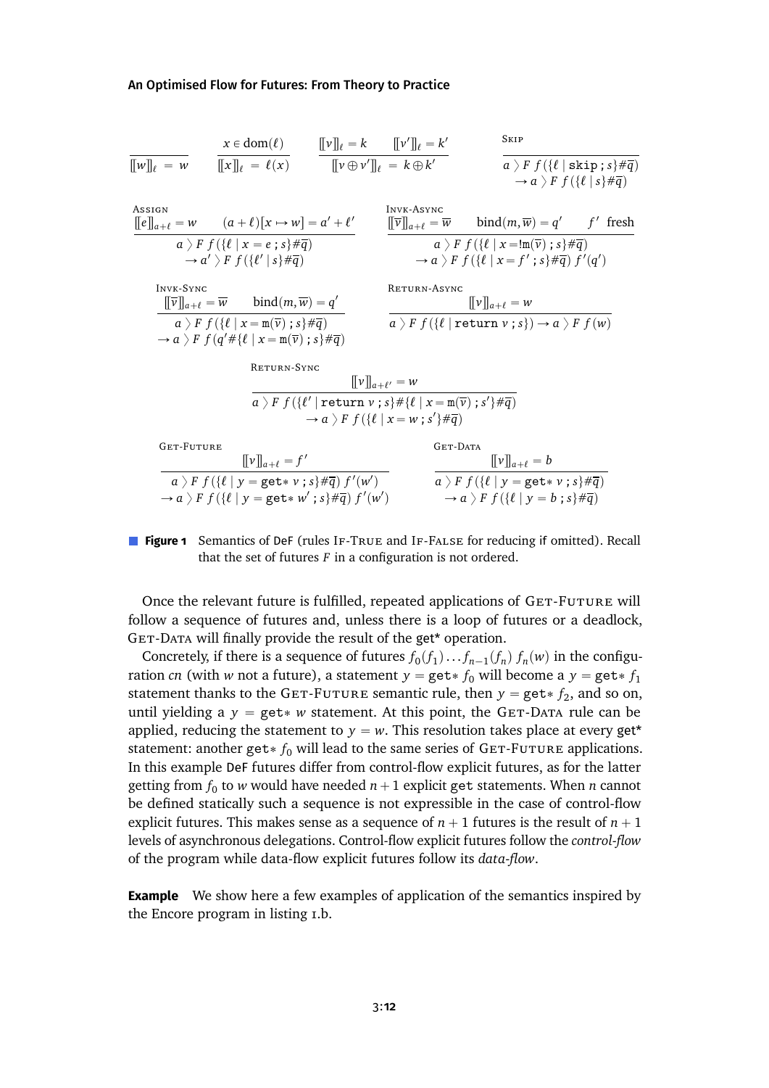<span id="page-11-0"></span>
$$
\frac{x \in \text{dom}(\ell)}{\llbracket w \rrbracket_{\ell} = w} \quad \frac{x \in \text{dom}(\ell)}{\llbracket x \rrbracket_{\ell} = \ell(x)} \quad \frac{\llbracket v \rrbracket_{\ell} = k \quad \llbracket v' \rrbracket_{\ell} = k'}{\llbracket v \oplus v' \rrbracket_{\ell} = k \oplus k'} \quad \frac{\text{StrP}}{a \sum F f(\{\ell \mid \text{skip}; s\} \# \overline{q})}
$$
\n
$$
\xrightarrow{\text{Assson}} \frac{\llbracket e \rrbracket_{a+\ell} = w \quad (a+\ell)[x \mapsto w] = a' + \ell'}{a \sum F f(\{\ell \mid s \neq \overline{q})} \quad \frac{\llbracket w \rrbracket_{a+\ell} = \overline{w} \quad \text{bind}(m, \overline{w}) = q' \quad f' \text{ fresh}}{a \sum F f(\{\ell \mid s \neq \overline{q})} \quad \xrightarrow{a \sum F f(\{\ell \mid s \neq \overline{q})} \quad a \sum F f(\{\ell \mid s \neq \overline{q})} \quad \xrightarrow{a \sum F f(\{\ell \mid x = \text{Im}(\overline{v}); s\} \# \overline{q})} \quad \xrightarrow{a \sum F f(\{\ell \mid x = \overline{w}(\overline{v}); s\} \# \overline{q})} \quad \xrightarrow{B \cap F(\{\ell \mid x = \overline{r}'; s\} \# \overline{q})} \quad f'(q')
$$
\n
$$
\xrightarrow{\text{InvK-Sync}} \quad \frac{\llbracket v \rrbracket_{a+\ell} = w}{a \sum F f(\{\ell \mid x = \text{Im}(\overline{v}); s\} \# \overline{q})} \quad \xrightarrow{\text{RETURN-SyNC}} \quad \frac{\llbracket v \rrbracket_{a+\ell} = w}{a \sum F f(\{\ell \mid \text{return } v ; s\} \# \overline{q})} \quad \xrightarrow{B \cap F(\{\ell \mid x = \text{Im}(\overline{v}); s'\} \# \overline{q})} \quad \xrightarrow{B \cap F(\{\ell \mid x = \text{Im}(\overline{v}); s'\} \# \overline{q})}
$$
\n
$$
\xrightarrow{\text{GET-FUTURE}} \quad \frac{\llbracket v \rrbracket_{a+\ell} = f'}{\text{B} \quad \text{
$$

**Figure 1** Semantics of DeF (rules IF-TRUE and IF-FALSE for reducing if omitted). Recall that the set of futures  $F$  in a configuration is not ordered.

Once the relevant future is fulfilled, repeated applications of GET-FUTURE will follow a sequence of futures and, unless there is a loop of futures or a deadlock, GET-DATA will finally provide the result of the get\* operation.

Concretely, if there is a sequence of futures  $f_0(f_1)...f_{n-1}(f_n)f_n(w)$  in the configuration *cn* (with *w* not a future), a statement  $y = get * f_0$  will become a  $y = get * f_1$ statement thanks to the GET-FUTURE semantic rule, then  $y = get * f_2$ , and so on, until yielding a  $y = get * w$  statement. At this point, the GET-DATA rule can be applied, reducing the statement to  $y = w$ . This resolution takes place at every get<sup>\*</sup> statement: another get  $* f_0$  will lead to the same series of GET-FUTURE applications. In this example DeF futures differ from control-flow explicit futures, as for the latter getting from  $f_0$  to *w* would have needed  $n+1$  explicit get statements. When *n* cannot be defined statically such a sequence is not expressible in the case of control-flow explicit futures. This makes sense as a sequence of  $n + 1$  futures is the result of  $n + 1$ levels of asynchronous delegations. Control-flow explicit futures follow the *control-flow* of the program while data-flow explicit futures follow its *data-flow*.

**Example** We show here a few examples of application of the semantics inspired by the Encore program in listing [1.](#page-4-0)b.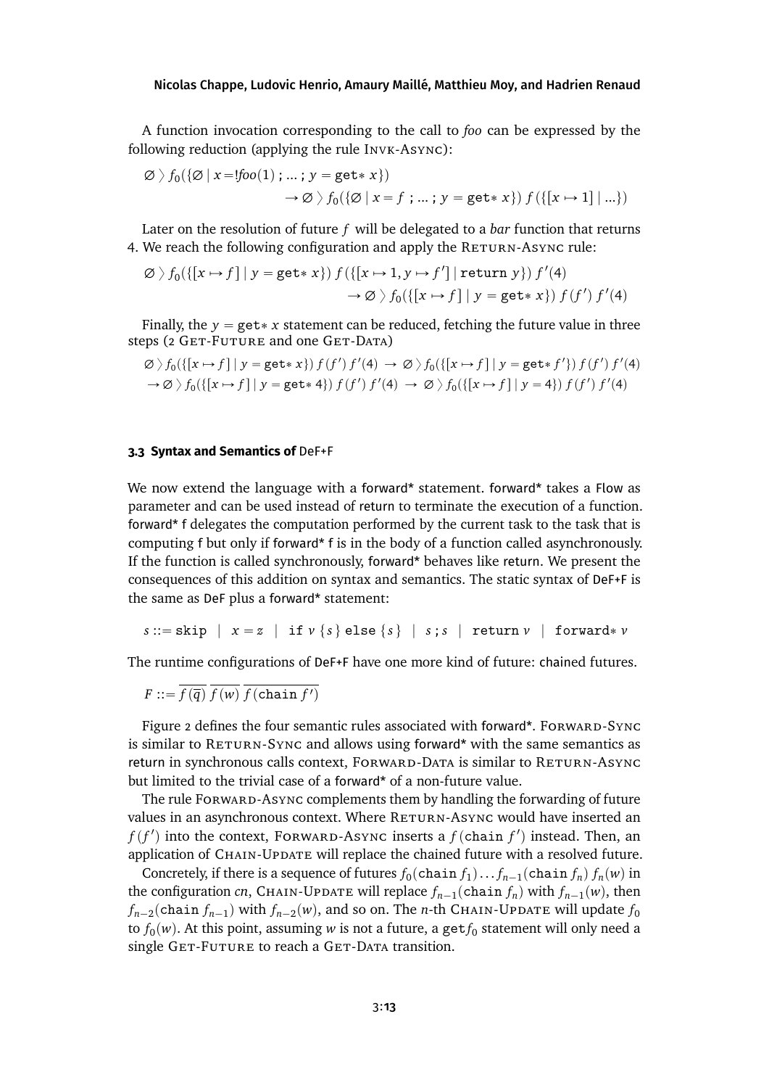A function invocation corresponding to the call to *foo* can be expressed by the following reduction (applying the rule INVK-ASYNC):

$$
\emptyset \setminus f_0(\{\emptyset \mid x = ! \text{foo}(1) ; \dots ; y = \text{get} * x\})
$$
  

$$
\rightarrow \emptyset \setminus f_0(\{\emptyset \mid x = f ; \dots ; y = \text{get} * x\}) f(\{\{x \mapsto 1\} \mid \dots\})
$$

Later on the resolution of future *f* will be delegated to a *bar* function that returns 4. We reach the following configuration and apply the RETURN-ASYNC rule:

$$
\varnothing \setminus f_0(\{[x \mapsto f] \mid y = \text{get} * x\}) f(\{[x \mapsto 1, y \mapsto f'] \mid \text{return } y\}) f'(4) \rightarrow \varnothing \setminus f_0(\{[x \mapsto f] \mid y = \text{get} * x\}) f(f') f'(4)
$$

Finally, the  $y = get * x$  statement can be reduced, fetching the future value in three steps (2 GET-FUTURE and one GET-DATA)

$$
\varnothing \setminus f_0(\{[x \mapsto f] \mid y = \text{get} * x\}) f(f') f'(4) \to \varnothing \setminus f_0(\{[x \mapsto f] \mid y = \text{get} * f'\}) f(f') f'(4)
$$
  
\n
$$
\to \varnothing \setminus f_0(\{[x \mapsto f] \mid y = \text{get} * 4\}) f(f') f'(4) \to \varnothing \setminus f_0(\{[x \mapsto f] \mid y = 4\}) f(f') f'(4)
$$

### **3.3 Syntax and Semantics of** DeF+F

We now extend the language with a forward\* statement. forward\* takes a Flow as parameter and can be used instead of return to terminate the execution of a function. forward\* f delegates the computation performed by the current task to the task that is computing f but only if forward\* f is in the body of a function called asynchronously. If the function is called synchronously, forward\* behaves like return. We present the consequences of this addition on syntax and semantics. The static syntax of DeF+F is the same as DeF plus a forward\* statement:

 $s ::=$ skip  $x = z \mid \text{if } v \{s\}$ else $\{s\} \mid s ; s \mid \text{return } v \mid \text{forward} * v$ 

The runtime configurations of DeF+F have one more kind of future: chained futures.

$$
F ::= \overline{f(\overline{q})} \ \overline{f(w)} \ \overline{f(\text{chain } f')}
$$

Figure [2](#page-13-0) defines the four semantic rules associated with forward\*. Forward-Sync is similar to  $REURN-SYNC$  and allows using forward\* with the same semantics as return in synchronous calls context, FORWARD-DATA is similar to RETURN-ASYNC but limited to the trivial case of a forward\* of a non-future value.

The rule Forward-Async complements them by handling the forwarding of future values in an asynchronous context. Where RETURN-ASYNC would have inserted an  $f(f')$  into the context, Forward-Async inserts a  $f$  (chain  $f'$ ) instead. Then, an application of CHAIN-UPDATE will replace the chained future with a resolved future.

Concretely, if there is a sequence of futures  $f_0(\text{chain } f_1) \dots f_{n-1}(\text{chain } f_n)$   $f_n(w)$  in the configuration *cn*, CHAIN-UPDATE will replace  $f_{n-1}(\text{chain } f_n)$  with  $f_{n-1}(w)$ , then  $f_{n-2}$ (chain  $f_{n-1}$ ) with  $f_{n-2}(w)$ , and so on. The *n*-th Chain-Update will update  $f_0$ to  $f_0(w)$ . At this point, assuming  $w$  is not a future, a get $f_0$  statement will only need a single GET-FUTURE to reach a GET-DATA transition.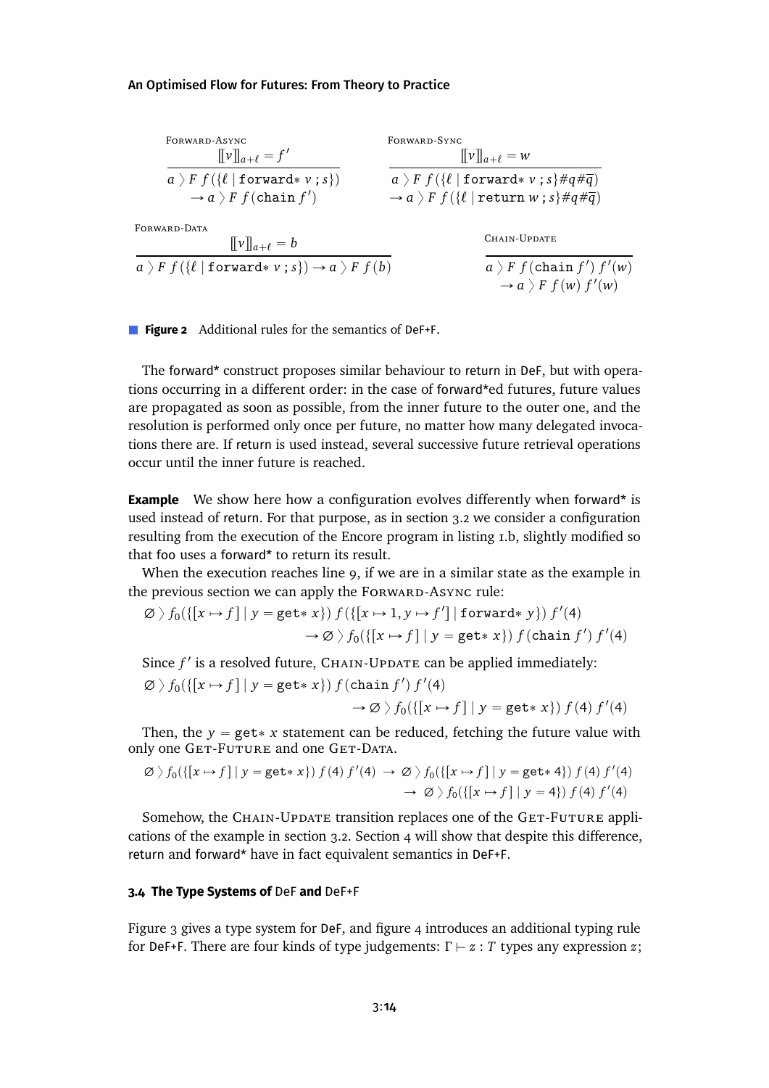<span id="page-13-0"></span>

| FORWARD-ASYNC<br>$[\![v]\!]_{a+\ell} = f'$                                         | FORWARD-SYNC<br>$\llbracket v \rrbracket_{a+\ell} = w$                                       |  |  |
|------------------------------------------------------------------------------------|----------------------------------------------------------------------------------------------|--|--|
| $a$ $F$ $f$ ({ $\ell$   forward* $v$ ; s})                                         | $a$ > F $f$ ({ $\ell$   forward* v; s}#q# $\overline{q}$ )                                   |  |  |
| $\rightarrow a$ $\rightarrow$ F $f$ (chain $f'$ )                                  | $\rightarrow a$ $\rightarrow$ $F$ $f$ ({ $\ell$   return $w$ ; $s$ }# $q$ # $\overline{q}$ ) |  |  |
| FORWARD-DATA<br>$\ \nu\ _{a+\ell}=b$                                               | CHAIN-UPDATE                                                                                 |  |  |
| $a \nbrace F f(\{\ell \mid \text{forward} * v ; s\}) \rightarrow a \nbrace F f(b)$ | $a$ $F$ $f$ (chain $f'$ ) $f'(w)$<br>$\rightarrow a$ $\rightarrow$ F $f(w)$ $f'(w)$          |  |  |

**Figure 2** Additional rules for the semantics of DeF+F.

The forward\* construct proposes similar behaviour to return in DeF, but with operations occurring in a different order: in the case of forward\*ed futures, future values are propagated as soon as possible, from the inner future to the outer one, and the resolution is performed only once per future, no matter how many delegated invocations there are. If return is used instead, several successive future retrieval operations occur until the inner future is reached.

**Example** We show here how a configuration evolves differently when forward\* is used instead of return. For that purpose, as in section [3.2](#page-10-2) we consider a configuration resulting from the execution of the Encore program in listing [1.](#page-4-0)b, slightly modified so that foo uses a forward\* to return its result.

When the execution reaches line 9, if we are in a similar state as the example in the previous section we can apply the FORWARD-ASYNC rule:

$$
\varnothing \setminus f_0(\{[x \mapsto f] \mid y = \text{get} * x\}) f(\{[x \mapsto 1, y \mapsto f'] \mid \text{forward} * y\}) f'(4)
$$

$$
\to \varnothing \setminus f_0(\{[x \mapsto f] \mid y = \text{get} * x\}) f(\text{chain } f') f'(4)
$$

Since  $f'$  is a resolved future,  $CHAIN-UPDATE$  can be applied immediately:

$$
\varnothing \rangle f_0(\{[x \mapsto f] \mid y = \text{get} * x\}) f(\text{chain } f') f'(4) \rightarrow \varnothing \rangle f_0(\{[x \mapsto f] \mid y = \text{get} * x\}) f(4) f'(4)
$$

Then, the  $y = get * x$  statement can be reduced, fetching the future value with only one GET-FUTURE and one GET-DATA.

$$
\varnothing \setminus f_0(\{[x \mapsto f] \mid y = \text{get} * x\}) f(4) f'(4) \rightarrow \varnothing \setminus f_0(\{[x \mapsto f] \mid y = \text{get} * 4\}) f(4) f'(4) \rightarrow \varnothing \setminus f_0(\{[x \mapsto f] \mid y = 4\}) f(4) f'(4)
$$

Somehow, the CHAIN-UPDATE transition replaces one of the GET-FUTURE applications of the example in section [3.2.](#page-10-2) Section [4](#page-16-0) will show that despite this difference, return and forward\* have in fact equivalent semantics in DeF+F.

#### <span id="page-13-1"></span>**3.4 The Type Systems of** DeF **and** DeF+F

Figure [3](#page-14-0) gives a type system for DeF, and figure [4](#page-14-0) introduces an additional typing rule for DeF+F. There are four kinds of type judgements:  $\Gamma \vdash z : T$  types any expression *z*;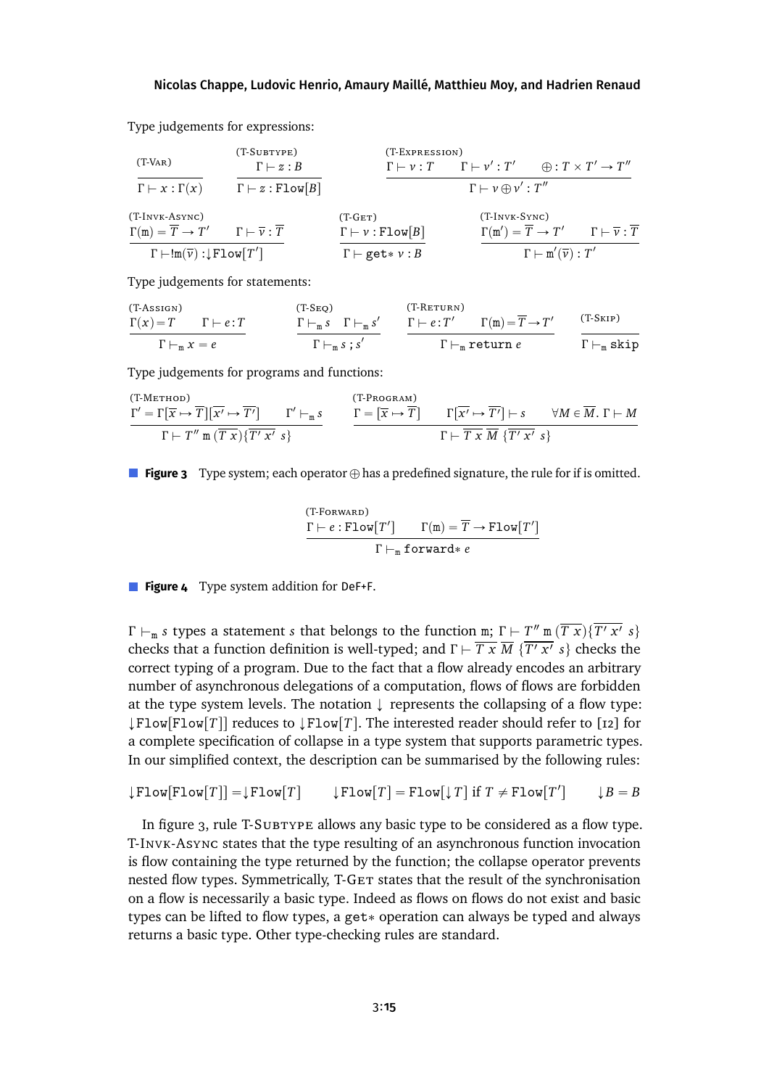<span id="page-14-0"></span>Type judgements for expressions:

$$
\begin{array}{ccc}\n( T\text{-Var}) & & (T\text{-}\text{-Var}_T) \\
\hline\n\Gamma \vdash x : \Gamma(x) & & \Gamma \vdash z : B \\
(T\text{-InvK-Async}) & & \Gamma \vdash z : \text{Flow}[B] \\
\end{array}\n\qquad\n\begin{array}{ccc}\n( T\text{-E} \text{exp} \text{res} \text{isom}) & & \\
\hline\n\Gamma \vdash y : T & & \Gamma \vdash v' : T' & \bigoplus : T \times T' \rightarrow T'' \\
T \vdash v \oplus v' : T'' & & \Gamma \vdash v \oplus v' : T'' \\
\end{array}\n\qquad\n\begin{array}{ccc}\n( T\text{-InvK-Async}) & & (T\text{-InvK-Sync}) \\
\hline\n\Gamma \vdash y : \text{Flow}[B] & & \Gamma \vdash v : \text{Flow}[B] \\
T \vdash \text{Inv}(\overline{v}) : \text{Flow}[T'] & & \Gamma \vdash \text{get}*v : B\n\end{array}\n\qquad\n\begin{array}{ccc}\n( T\text{-InvK-Sync}) & & \Gamma \vdash \overline{v} : \overline{T} \\
\hline\n\Gamma \vdash \text{Inv}(\overline{v}) : T' & & \Gamma \vdash \overline{v} : \overline{T} \\
\end{array}
$$

Type judgements for statements:

$$
\frac{\Gamma(x) = T \qquad \Gamma \vdash e : T}{\Gamma \vdash_m x = e} \qquad \qquad \frac{\Gamma \vdash_m s \quad \Gamma \vdash_m s'}{\Gamma \vdash_m s ; s'} \qquad \frac{\Gamma \vdash e : T' \qquad \Gamma(m) = \overline{T} \to T'}{\Gamma \vdash_m \text{return } e} \qquad \frac{\text{(T-Skip)}}{\Gamma \vdash_m \text{skip}}
$$

Type judgements for programs and functions:

$$
\frac{\Gamma' = \Gamma[\overline{x} \mapsto \overline{T}][\overline{x'} \mapsto \overline{T'}] \qquad \Gamma' \vdash_{\mathfrak{m}} s}{\Gamma \vdash T'' \mathfrak{m}(\overline{T} \times) \{\overline{T'x'}\ s\}} \qquad \frac{\Gamma = [\overline{x} \mapsto \overline{T}] \qquad \Gamma[\overline{x'} \mapsto \overline{T'}] \vdash s \qquad \forall M \in \overline{M}. \ \Gamma \vdash M}{\Gamma \vdash \overline{T} \times \overline{M} \ {\overline{T'x'} \ s\}}
$$

**Figure 3** Type system; each operator  $\oplus$  has a predefined signature, the rule for if is omitted.

$$
\cfrac{\Gamma \vdash e : \texttt{Flow}[T']}{\Gamma \vdash_e : \texttt{Flow}[T']} \cfrac{\Gamma(m) = \overline{T} \rightarrow \texttt{Flow}[T']}{\Gamma \vdash_m \texttt{forward} * e}
$$

**Figure 4** Type system addition for DeF+F.

*Γ*  $\vdash_m s$  types a statement *s* that belongs to the function m; *Γ*  $\vdash T''$  m  $(Tx)\$   $(T'x' s)$ checks that a function definition is well-typed; and  $\Gamma \vdash \overline{T x} \overline{M}$   $\{ \overline{T' x'} \ s \}$  checks the correct typing of a program. Due to the fact that a flow already encodes an arbitrary number of asynchronous delegations of a computation, flows of flows are forbidden at the type system levels. The notation  $\downarrow$  represents the collapsing of a flow type:  $\downarrow$  Flow[Flow[T]] reduces to  $\downarrow$  Flow[T]. The interested reader should refer to [\[12\]](#page-28-0) for a complete specification of collapse in a type system that supports parametric types. In our simplified context, the description can be summarised by the following rules:

$$
\downarrow \texttt{Flow}[\texttt{Flow}[T]] = \downarrow \texttt{Flow}[T] \qquad \downarrow \texttt{Flow}[T] = \texttt{Flow}[\downarrow T] \text{ if } T \neq \texttt{Flow}[T'] \qquad \downarrow B = B
$$

In figure [3,](#page-14-0) rule T-SUBTYPE allows any basic type to be considered as a flow type. T-Invk-Async states that the type resulting of an asynchronous function invocation is flow containing the type returned by the function; the collapse operator prevents nested flow types. Symmetrically, T-GET states that the result of the synchronisation on a flow is necessarily a basic type. Indeed as flows on flows do not exist and basic types can be lifted to flow types, a get\* operation can always be typed and always returns a basic type. Other type-checking rules are standard.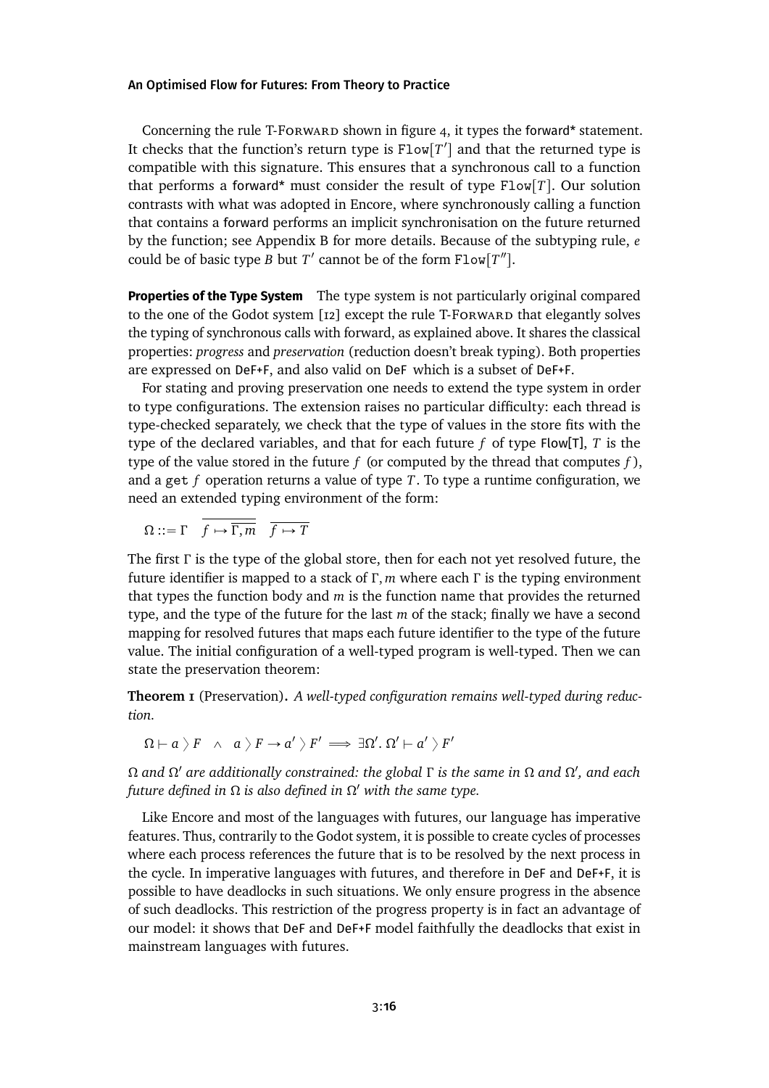Concerning the rule T-Forward shown in figure [4,](#page-14-0) it types the forward\* statement. It checks that the function's return type is  $Flow[T']$  and that the returned type is compatible with this signature. This ensures that a synchronous call to a function that performs a forward<sup>\*</sup> must consider the result of type  $Flow[T]$ . Our solution contrasts with what was adopted in Encore, where synchronously calling a function that contains a forward performs an implicit synchronisation on the future returned by the function; see Appendix [B](#page-35-0) for more details. Because of the subtyping rule, *e* could be of basic type *B* but  $T'$  cannot be of the form  $Flow[T'']$ .

**Properties of the Type System** The type system is not particularly original compared to the one of the Godot system [\[12\]](#page-28-0) except the rule T-Forward that elegantly solves the typing of synchronous calls with forward, as explained above. It shares the classical properties: *progress* and *preservation* (reduction doesn't break typing). Both properties are expressed on DeF+F, and also valid on DeF which is a subset of DeF+F.

For stating and proving preservation one needs to extend the type system in order to type configurations. The extension raises no particular difficulty: each thread is type-checked separately, we check that the type of values in the store fits with the type of the declared variables, and that for each future *f* of type Flow[T], *T* is the type of the value stored in the future  $f$  (or computed by the thread that computes  $f$ ), and a get *f* operation returns a value of type *T*. To type a runtime configuration, we need an extended typing environment of the form:

 $\Omega := \Gamma$   $\overline{f \mapsto \overline{\Gamma, m}}$   $\overline{f \mapsto T}$ 

The first *Γ* is the type of the global store, then for each not yet resolved future, the future identifier is mapped to a stack of *Γ* , *m* where each *Γ* is the typing environment that types the function body and *m* is the function name that provides the returned type, and the type of the future for the last *m* of the stack; finally we have a second mapping for resolved futures that maps each future identifier to the type of the future value. The initial configuration of a well-typed program is well-typed. Then we can state the preservation theorem:

**Theorem 1** (Preservation)**.** *A well-typed configuration remains well-typed during reduction.*

 $\Omega \vdash a\ \rangle \ F \ \ \land \ \ a\ \rangle \ F \rightarrow a'\ \rangle \ F' \ \Longrightarrow \ \exists \Omega'. \ \Omega' \vdash a' \ \rangle \ F'$ 

*Ω and Ω* <sup>1</sup> *are additionally constrained: the global Γ is the same in Ω and Ω* 1 *, and each future defined in Ω is also defined in Ω* 1 *with the same type.*

Like Encore and most of the languages with futures, our language has imperative features. Thus, contrarily to the Godot system, it is possible to create cycles of processes where each process references the future that is to be resolved by the next process in the cycle. In imperative languages with futures, and therefore in DeF and DeF+F, it is possible to have deadlocks in such situations. We only ensure progress in the absence of such deadlocks. This restriction of the progress property is in fact an advantage of our model: it shows that DeF and DeF+F model faithfully the deadlocks that exist in mainstream languages with futures.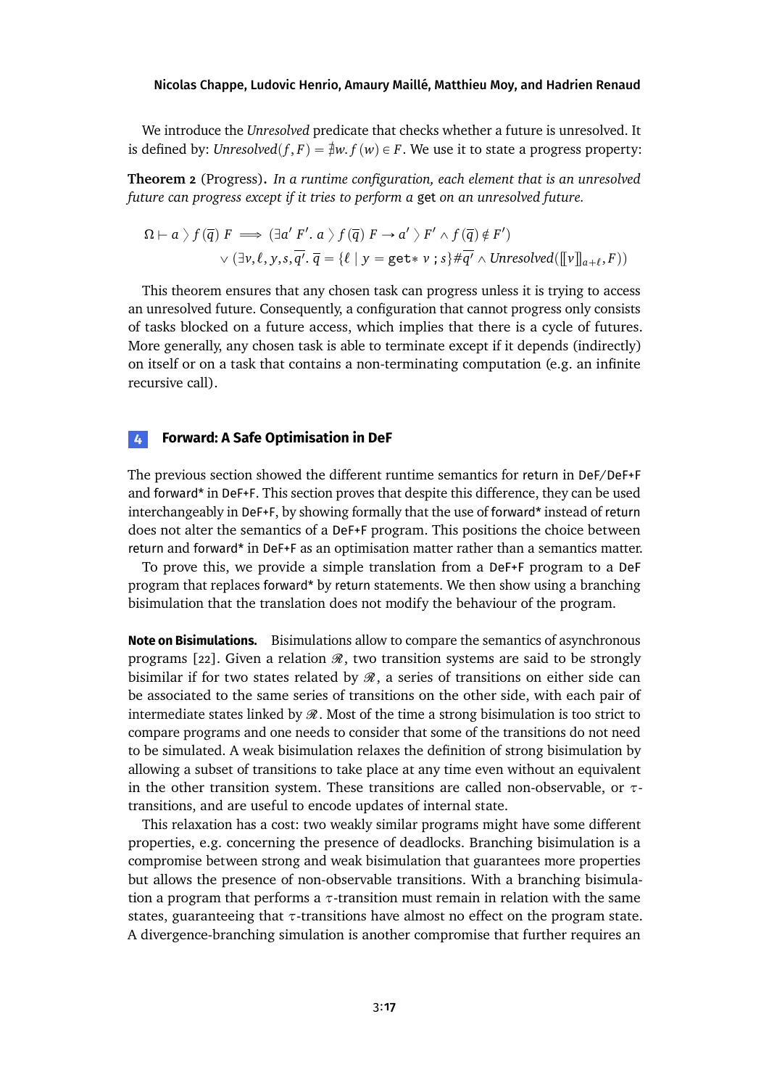We introduce the *Unresolved* predicate that checks whether a future is unresolved. It is defined by: *Unresolved* $(f, F) = \frac{1}{F}w$ ,  $f(w) \in F$ . We use it to state a progress property:

**Theorem 2** (Progress)**.** *In a runtime configuration, each element that is an unresolved future can progress except if it tries to perform a* get *on an unresolved future.*

$$
\Omega \vdash a \; \rangle \; f(\overline{q}) \; F \implies (\exists a' \; F'. \; a \; \rangle \; f(\overline{q}) \; F \rightarrow a' \; \rangle \; F' \land f(\overline{q}) \notin F')
$$
  
\$\lor (\exists v, \ell, y, s, \overline{q'} \cdot \overline{q} = \{\ell \mid y = \text{get} \* v \; ; \; s\} \# \overline{q'} \; \land \; \text{Unresolved}([\![v]\!]\_{a+\ell}, F))\$

This theorem ensures that any chosen task can progress unless it is trying to access an unresolved future. Consequently, a configuration that cannot progress only consists of tasks blocked on a future access, which implies that there is a cycle of futures. More generally, any chosen task is able to terminate except if it depends (indirectly) on itself or on a task that contains a non-terminating computation (e.g. an infinite recursive call).

### <span id="page-16-0"></span>**4 Forward: A Safe Optimisation in DeF**

The previous section showed the different runtime semantics for return in DeF/DeF+F and forward\* in DeF+F. This section proves that despite this difference, they can be used interchangeably in DeF+F, by showing formally that the use of forward\* instead of return does not alter the semantics of a DeF+F program. This positions the choice between return and forward\* in DeF+F as an optimisation matter rather than a semantics matter.

To prove this, we provide a simple translation from a DeF+F program to a DeF program that replaces forward\* by return statements. We then show using a branching bisimulation that the translation does not modify the behaviour of the program.

**Note on Bisimulations.** Bisimulations allow to compare the semantics of asynchronous programs [\[22\]](#page-29-8). Given a relation  $\mathcal{R}$ , two transition systems are said to be strongly bisimilar if for two states related by  $\mathcal{R}$ , a series of transitions on either side can be associated to the same series of transitions on the other side, with each pair of intermediate states linked by  $\mathcal{R}$ . Most of the time a strong bisimulation is too strict to compare programs and one needs to consider that some of the transitions do not need to be simulated. A weak bisimulation relaxes the definition of strong bisimulation by allowing a subset of transitions to take place at any time even without an equivalent in the other transition system. These transitions are called non-observable, or *τ*transitions, and are useful to encode updates of internal state.

This relaxation has a cost: two weakly similar programs might have some different properties, e.g. concerning the presence of deadlocks. Branching bisimulation is a compromise between strong and weak bisimulation that guarantees more properties but allows the presence of non-observable transitions. With a branching bisimulation a program that performs a *τ*-transition must remain in relation with the same states, guaranteeing that  $\tau$ -transitions have almost no effect on the program state. A divergence-branching simulation is another compromise that further requires an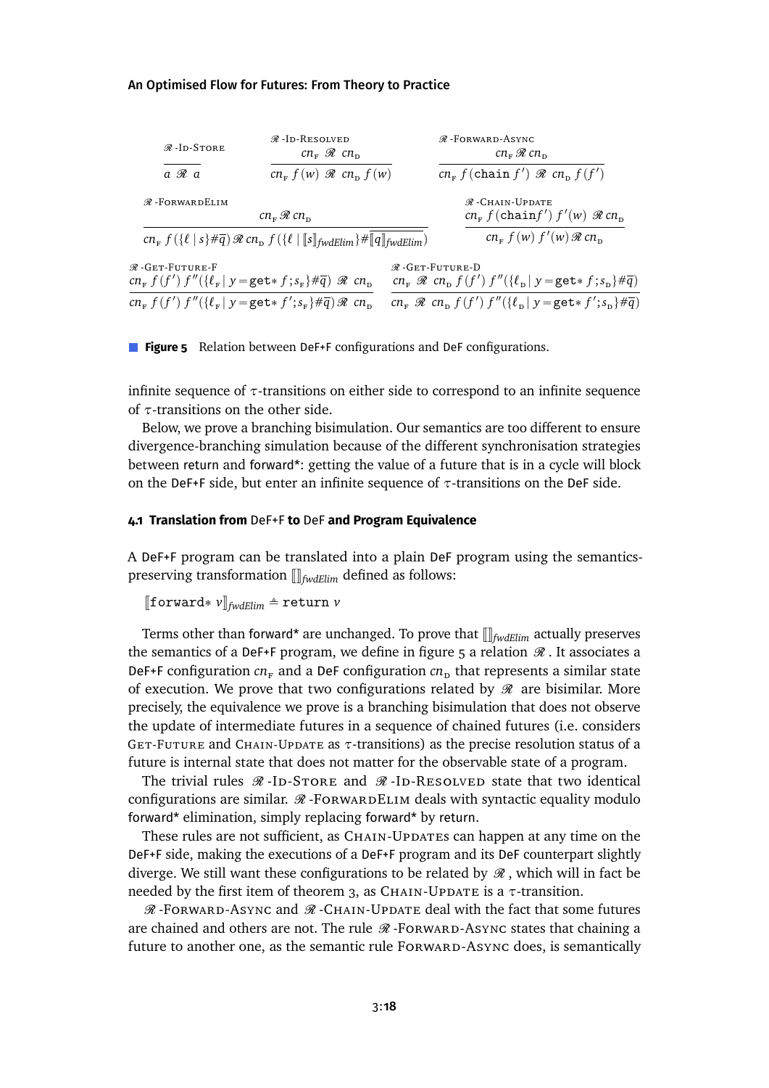<span id="page-17-0"></span>

| $\mathcal{R}$ -Id-Store                                                                                                                                         | $\mathcal{R}$ -Id-Resolved<br>$cn_{\rm m} \mathcal{R} cn_{\rm m}$ |                             | $\mathcal{R}$ -FORWARD-ASYNC<br>$cn_{\rm F}$ $\mathcal{R}$ $cn_{\rm D}$                              |  |
|-----------------------------------------------------------------------------------------------------------------------------------------------------------------|-------------------------------------------------------------------|-----------------------------|------------------------------------------------------------------------------------------------------|--|
| $a \mathcal{R} a$                                                                                                                                               | $cn_F f(w) \mathcal{R} cn_D f(w)$                                 |                             | $cn_F f$ (chain f') $\Re cn_D f(f')$                                                                 |  |
| $\mathcal{R}$ -FORWARDELIM                                                                                                                                      |                                                                   |                             | $\mathcal{R}$ -Chain-Update                                                                          |  |
|                                                                                                                                                                 | $cn_{\rm F}$ $\Re$ $cn_{\rm D}$                                   |                             | $cn_F f$ (chainf') $f'(w) \mathcal{R} cn_D$                                                          |  |
| $cn_F f(\{\ell \mid s\} \# \overline{q}) \mathcal{R} cn_D f(\{\ell \mid \llbracket s\rrbracket_{\text{fwdElim}} \} \# \llbracket q\rrbracket_{\text{fwdElim}})$ |                                                                   |                             | $cn_F f(w) f'(w) \mathcal{R} cn_D$                                                                   |  |
| $\mathcal{R}$ -Get-Future-F                                                                                                                                     |                                                                   | $\mathcal{R}$ -GET-FUTURE-D |                                                                                                      |  |
| $cn_F f(f') f''(\lbrace \ell_F   y = \text{get} \cdot f ; s_F \rbrace \# \overline{q}) \mathcal{R} cn_D$                                                        |                                                                   |                             | $cn_F \mathcal{R} cn_D f(f') f''(\lbrace \ell_D   y = \texttt{get*} f; s_D \rbrace \# \overline{q})$ |  |
| $cn_F f(f') f''({\ell_F   y = \texttt{get*} f'; s_F \neq \overline{q}}) \mathcal{R} cn_D$                                                                       |                                                                   |                             | $cn_F \mathcal{R} cn_D f(f') f''(\lbrace \ell_D   y = \text{get* } f'; s_D \rbrace \# \overline{q})$ |  |

**Figure 5** Relation between DeF +F configurations and DeF configurations.

infinite sequence of *τ*-transitions on either side to correspond to an infinite sequence of *τ*-transitions on the other side.

Below, we prove a branching bisimulation. Our semantics are too different to ensure divergence-branching simulation because of the different synchronisation strategies between return and forward\*: getting the value of a future that is in a cycle will block on the DeF+F side, but enter an infinite sequence of *τ*-transitions on the DeF side.

### **4.1 Translation from** DeF+F **to** DeF **and Program Equivalence**

A DeF+F program can be translated into a plain DeF program using the semanticspreserving transformation  $\left|\right|_{\text{fwdElim}}$  defined as follows:

```
[\![forward* v]\!]_{\text{fwdElim}} \triangleq return v
```
Terms other than forward\* are unchanged. To prove that  $[\![]_{fwdElim}$  actually preserves the semantics of a DeF+F program, we define in figure [5](#page-17-0) a relation  $\mathcal R$ . It associates a DeF+F configuration  $cn_F$  and a DeF configuration  $cn_p$  that represents a similar state of execution. We prove that two configurations related by  $\mathcal{R}$  are bisimilar. More precisely, the equivalence we prove is a branching bisimulation that does not observe the update of intermediate futures in a sequence of chained futures (i.e. considers GET-FUTURE and CHAIN-UPDATE as *τ*-transitions) as the precise resolution status of a future is internal state that does not matter for the observable state of a program.

The trivial rules  $\Re$ -ID-Store and  $\Re$ -ID-Resolved state that two identical configurations are similar.  $\mathcal{R}$ -Forward DELIM deals with syntactic equality modulo forward\* elimination, simply replacing forward\* by return.

These rules are not sufficient, as CHAIN-Updates can happen at any time on the DeF+F side, making the executions of a DeF+F program and its DeF counterpart slightly diverge. We still want these configurations to be related by  $\mathcal{R}$ , which will in fact be needed by the first item of theorem [3,](#page-18-0) as CHAIN-UPDATE is a  $τ$ -transition.

 $\mathcal R$ -Forward-Async and  $\mathcal R$ -Chain-Update deal with the fact that some futures are chained and others are not. The rule  $\mathcal{R}$ -Forward-Async states that chaining a future to another one, as the semantic rule FORWARD-ASYNC does, is semantically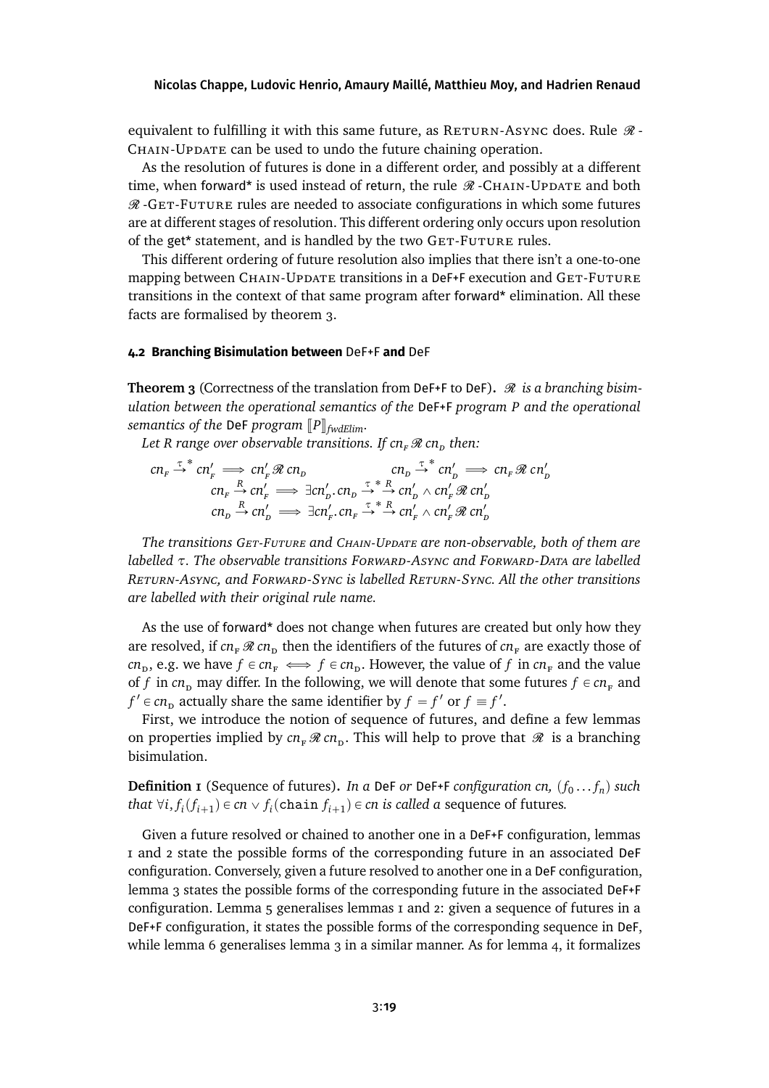equivalent to fulfilling it with this same future, as  $R$ ETURN-ASYNC does. Rule  $\Re$ -CHAIN-UPDATE can be used to undo the future chaining operation.

As the resolution of futures is done in a different order, and possibly at a different time, when forward\* is used instead of return, the rule  $\mathcal{R}$  -CHAIN-UPDATE and both  $\mathcal R$ -GET-FUTURE rules are needed to associate configurations in which some futures are at different stages of resolution. This different ordering only occurs upon resolution of the get\* statement, and is handled by the two GET-FUTURE rules.

This different ordering of future resolution also implies that there isn't a one-to-one mapping between CHAIN-Update transitions in a DeF+F execution and GET-FUTURE transitions in the context of that same program after forward\* elimination. All these facts are formalised by theorem [3.](#page-18-0)

### **4.2 Branching Bisimulation between** DeF+F **and** DeF

<span id="page-18-0"></span>**Theorem 3** (Correctness of the translation from DeF+F to DeF).  $\mathcal{R}$  is a branching bisim*ulation between the operational semantics of the* DeF+F *program P and the operational semantics of the DeF program*  $[$ *P* $]$ <sub>*fwdElim.*</sub>

Let *R* range over observable transitions. If  $cn_{F} \mathcal{R} cn_{D}$  then:

$$
\begin{array}{rcl}\n\mathit{cn}_{F} \xrightarrow{\tau}^* \mathit{cn}'_{F} \implies \mathit{cn}'_{F} \mathcal{R} \mathit{cn}_{D} & \mathit{cn}_{D} \xrightarrow{\tau}^* \mathit{cn}'_{D} \implies \mathit{cn}_{F} \mathcal{R} \mathit{cn}'_{D} \\
\mathit{cn}_{F} \xrightarrow{R} \mathit{cn}'_{F} \implies \exists \mathit{cn}'_{D} \ldots \mathit{cn}_{D} \xrightarrow{\tau}^* \mathit{R} \mathit{cn}'_{D} \wedge \mathit{cn}'_{F} \mathcal{R} \mathit{cn}'_{D} \\
\mathit{cn}_{D} \xrightarrow{R} \mathit{cn}'_{D} \implies \exists \mathit{cn}'_{F} \ldots \mathit{cn}_{F} \xrightarrow{\tau}^* \mathit{R} \mathit{cn}'_{F} \wedge \mathit{cn}'_{F} \mathcal{R} \mathit{cn}'_{D}\n\end{array}
$$

*The transitions Get-Future and Chain-Update are non-observable, both of them are labelled τ. The observable transitions Forward-Async and Forward-Data are labelled Return-Async, and Forward-Sync is labelled Return-Sync. All the other transitions are labelled with their original rule name.*

As the use of forward\* does not change when futures are created but only how they are resolved, if  $cn_F \mathcal{R}$  *cn*<sub>D</sub> then the identifiers of the futures of  $cn_F$  are exactly those of *cn*<sub>p</sub>, e.g. we have  $f \in cn_F \iff f \in cn_D$ . However, the value of *f* in  $cn_F$  and the value of *f* in  $cn_p$  may differ. In the following, we will denote that some futures  $f \in cn_F$  and  $f' \in cn_D$  actually share the same identifier by  $f = f'$  or  $f \equiv f'$ .

First, we introduce the notion of sequence of futures, and define a few lemmas on properties implied by  $cn_F \mathcal{R} cn_D$ . This will help to prove that  $\mathcal{R}$  is a branching bisimulation.

Definition 1 (Sequence of futures). *In a* DeF *or* DeF+F *configuration cn,*  $(f_0...f_n)$  *such that*  $\forall i, f_i(f_{i+1}) \in cn \vee f_i(\text{chain } f_{i+1}) \in cn$  *is called a* sequence of futures.

Given a future resolved or chained to another one in a DeF+F configuration, lemmas [1](#page-19-0) and [2](#page-19-1) state the possible forms of the corresponding future in an associated DeF configuration. Conversely, given a future resolved to another one in a DeF configuration, lemma [3](#page-19-2) states the possible forms of the corresponding future in the associated DeF+F configuration. Lemma [5](#page-20-1) generalises lemmas [1](#page-19-0) and [2:](#page-19-1) given a sequence of futures in a DeF+F configuration, it states the possible forms of the corresponding sequence in DeF, while lemma [6](#page-20-2) generalises lemma [3](#page-19-2) in a similar manner. As for lemma [4,](#page-19-3) it formalizes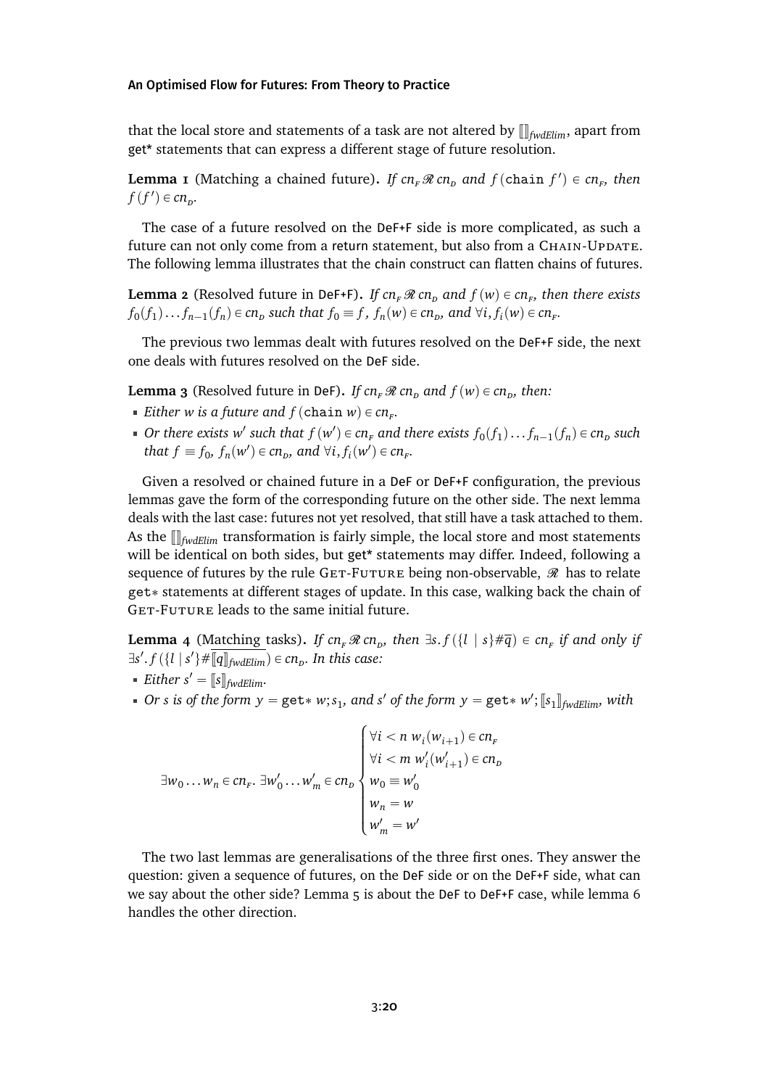that the local store and statements of a task are not altered by  $\prod_{fwdElim}$ , apart from get\* statements that can express a different stage of future resolution.

<span id="page-19-0"></span>**Lemma 1** (Matching a chained future). If  $cn_F \Re cn_D$  and  $f$  (chain  $f'$ )  $\in cn_F$ , then  $f(f') \in cn_p$ .

The case of a future resolved on the DeF+F side is more complicated, as such a future can not only come from a return statement, but also from a CHAIN-UPDATE. The following lemma illustrates that the chain construct can flatten chains of futures.

<span id="page-19-1"></span>**Lemma 2** (Resolved future in DeF+F). *If*  $cn_F \mathcal{R}$   $cn_D$  and  $f(w) \in cn_F$ , then there exists  $f_0(f_1)...f_{n-1}(f_n) \in cn_p$  such that  $f_0 \equiv f$ ,  $f_n(w) \in cn_p$ , and  $\forall i, f_i(w) \in cn_p$ .

The previous two lemmas dealt with futures resolved on the DeF+F side, the next one deals with futures resolved on the DeF side.

<span id="page-19-2"></span>**Lemma 3** (Resolved future in DeF). *If cn<sub>F</sub>*  $\Re$  *cn<sub>D</sub>* and  $f(w) \in cn_p$ , then:

- *Either w is a future and*  $f$  (chain  $w$ )  $\in$   $cn<sub>F</sub>$ .
- *Or there exists*  $w'$  *such that*  $f(w') \in cn_F$  *and there exists*  $f_0(f_1) \ldots f_{n-1}(f_n) \in cn_D$  *such that*  $f \equiv f_0$ ,  $f_n(w') \in cn_p$ , and  $\forall i, f_i(w') \in cn_r$ .

Given a resolved or chained future in a DeF or DeF+F configuration, the previous lemmas gave the form of the corresponding future on the other side. The next lemma deals with the last case: futures not yet resolved, that still have a task attached to them. As the  $\prod_{fwdElim}$  transformation is fairly simple, the local store and most statements will be identical on both sides, but get\* statements may differ. Indeed, following a sequence of futures by the rule GET-FUTURE being non-observable,  $\mathcal{R}$  has to relate get \* statements at different stages of update. In this case, walking back the chain of GET-FUTURE leads to the same initial future.

<span id="page-19-3"></span>**Lemma 4** (Matching tasks). If  $cn_F \mathcal{R} cn_D$ , then  $\exists s.f(\lbrace l \mid s \rbrace \# \overline{q}) \in cn_F$  if and only if  $\exists s'. f(\{l \mid s'\} \# \overline{\llbracket q \rrbracket_{\text{fwdElim}}}) \in cn_{\text{p}}$ . In this case:

- *Either*  $s' = [[s]]_{fwdElim}.$
- *Or s* is of the form  $y = get * w$ ;  $s_1$ , and  $s'$  of the form  $y = get * w'$ ;  $[s_1]_{fwdElim}$ , with

$$
\exists w_0 \dots w_n \in cn_F. \ \exists w'_0 \dots w'_m \in cn_D \begin{cases} \forall i < n \ w_i(w_{i+1}) \in cn_F \\ \forall i < m \ w'_i(w'_{i+1}) \in cn_D \\ w_0 \equiv w'_0 \\ w_n = w \\ w'_m = w' \end{cases}
$$

The two last lemmas are generalisations of the three first ones. They answer the question: given a sequence of futures, on the DeF side or on the DeF+F side, what can we say about the other side? Lemma [5](#page-20-1) is about the DeF to DeF+F case, while lemma [6](#page-20-2) handles the other direction.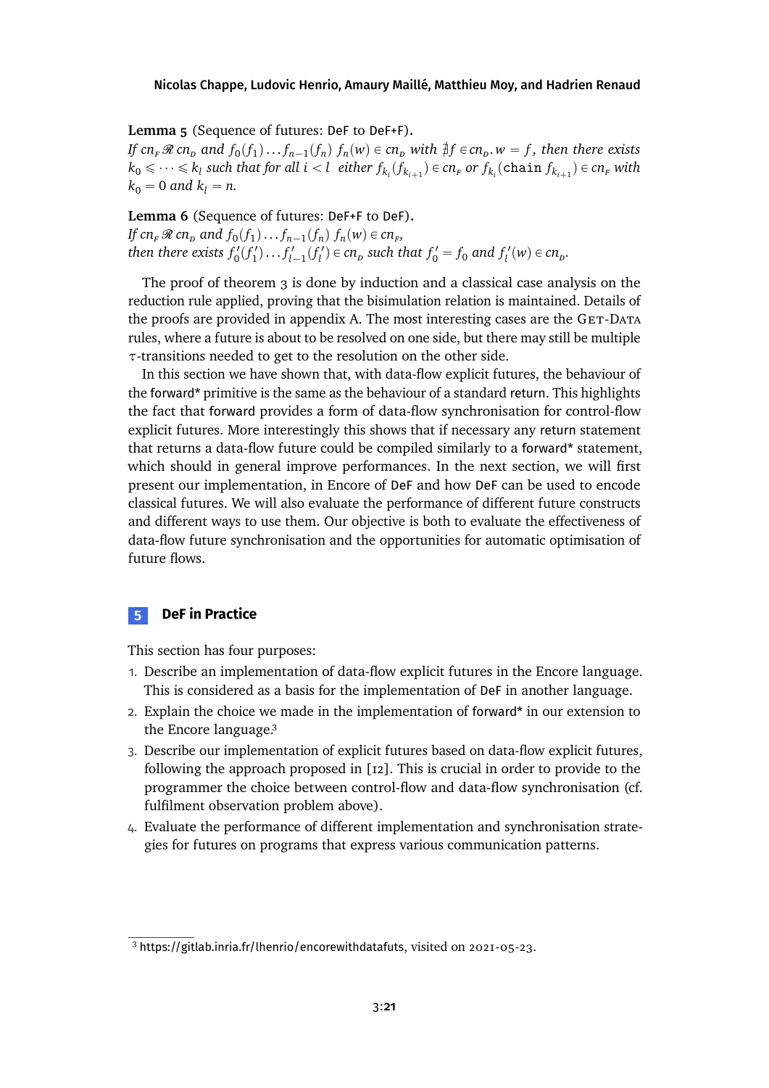### <span id="page-20-1"></span>**Lemma 5** (Sequence of futures: DeF to DeF+F)**.**

If  $cn_F \mathcal{R}$   $cn_D$  and  $f_0(f_1)...f_{n-1}(f_n)$   $f_n(w) \in cn_D$  with  $\frac{4}{7}f \in cn_D$ .  $w = f$ , then there exists  $k_0 \leqslant \cdots \leqslant k_l$  such that for all  $i < l$  either  $f_{k_i}(f_{k_{i+1}}) \in cn_F$  or  $f_{k_i}(\texttt{chain}~f_{k_{i+1}}) \in cn_F$  with  $k_0 = 0$  *and*  $k_l = n$ .

<span id="page-20-2"></span>**Lemma 6** (Sequence of futures: DeF+F to DeF)**.** *If*  $cn_F \mathcal{R}$   $cn_D$  and  $f_0(f_1) \dots f_{n-1}(f_n)$   $f_n(w) \in cn_F$ , then there exists  $f'_0(f'_1)...f'_{l-1}(f'_l) \in cn_p$  such that  $f'_0 = f_0$  and  $f'_l(w) \in cn_p$ .

The proof of theorem [3](#page-18-0) is done by induction and a classical case analysis on the reduction rule applied, proving that the bisimulation relation is maintained. Details of the proofs are provided in appendix [A.](#page-31-0) The most interesting cases are the GET-DATA rules, where a future is about to be resolved on one side, but there may still be multiple *τ*-transitions needed to get to the resolution on the other side.

In this section we have shown that, with data-flow explicit futures, the behaviour of the forward\* primitive is the same as the behaviour of a standard return. This highlights the fact that forward provides a form of data-flow synchronisation for control-flow explicit futures. More interestingly this shows that if necessary any return statement that returns a data-flow future could be compiled similarly to a forward\* statement, which should in general improve performances. In the next section, we will first present our implementation, in Encore of DeF and how DeF can be used to encode classical futures. We will also evaluate the performance of different future constructs and different ways to use them. Our objective is both to evaluate the effectiveness of data-flow future synchronisation and the opportunities for automatic optimisation of future flows.

# <span id="page-20-0"></span>**5 DeF in Practice**

This section has four purposes:

- 1. Describe an implementation of data-flow explicit futures in the Encore language. This is considered as a basis for the implementation of DeF in another language.
- 2. Explain the choice we made in the implementation of forward\* in our extension to the Encore languag[e.3](#page-20-3)
- 3. Describe our implementation of explicit futures based on data-flow explicit futures, following the approach proposed in [\[12\]](#page-28-0). This is crucial in order to provide to the programmer the choice between control-flow and data-flow synchronisation (cf. fulfilment observation problem above).
- 4. Evaluate the performance of different implementation and synchronisation strategies for futures on programs that express various communication patterns.

<span id="page-20-3"></span><sup>3</sup> <https://gitlab.inria.fr/lhenrio/encorewithdatafuts>, visited on 2021-05-23.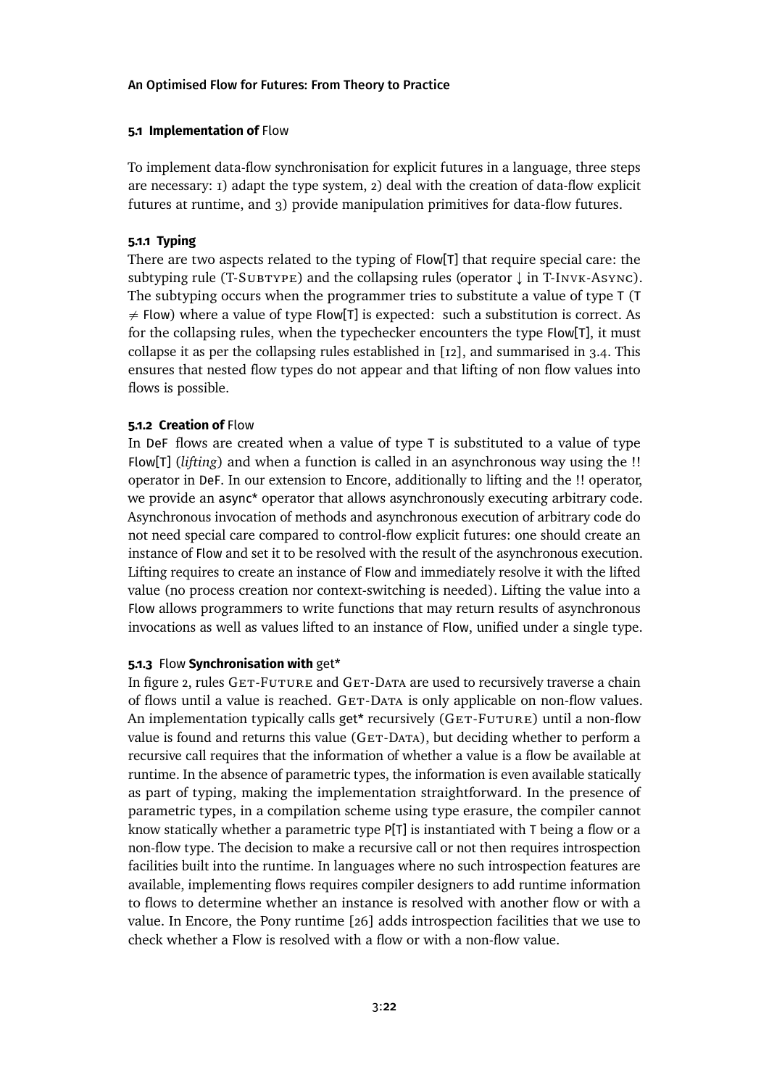# **5.1 Implementation of** Flow

To implement data-flow synchronisation for explicit futures in a language, three steps are necessary: 1) adapt the type system, 2) deal with the creation of data-flow explicit futures at runtime, and 3) provide manipulation primitives for data-flow futures.

# **5.1.1 Typing**

There are two aspects related to the typing of Flow[T] that require special care: the subtyping rule (T-SUBTYPE) and the collapsing rules (operator  $\downarrow$  in T-INVK-ASYNC). The subtyping occurs when the programmer tries to substitute a value of type T (T  $\neq$  Flow) where a value of type Flow[T] is expected: such a substitution is correct. As for the collapsing rules, when the typechecker encounters the type Flow[T], it must collapse it as per the collapsing rules established in [\[12\]](#page-28-0), and summarised in [3.4.](#page-13-1) This ensures that nested flow types do not appear and that lifting of non flow values into flows is possible.

# **5.1.2 Creation of** Flow

In DeF flows are created when a value of type T is substituted to a value of type Flow[T] (*lifting*) and when a function is called in an asynchronous way using the !! operator in DeF. In our extension to Encore, additionally to lifting and the !! operator, we provide an async\* operator that allows asynchronously executing arbitrary code. Asynchronous invocation of methods and asynchronous execution of arbitrary code do not need special care compared to control-flow explicit futures: one should create an instance of Flow and set it to be resolved with the result of the asynchronous execution. Lifting requires to create an instance of Flow and immediately resolve it with the lifted value (no process creation nor context-switching is needed). Lifting the value into a Flow allows programmers to write functions that may return results of asynchronous invocations as well as values lifted to an instance of Flow, unified under a single type.

# **5.1.3** Flow **Synchronisation with** get\*

In figure [2,](#page-13-0) rules GET-FUTURE and GET-DATA are used to recursively traverse a chain of flows until a value is reached. GET-DATA is only applicable on non-flow values. An implementation typically calls get\* recursively (GET-FUTURE) until a non-flow value is found and returns this value (GET-DATA), but deciding whether to perform a recursive call requires that the information of whether a value is a flow be available at runtime. In the absence of parametric types, the information is even available statically as part of typing, making the implementation straightforward. In the presence of parametric types, in a compilation scheme using type erasure, the compiler cannot know statically whether a parametric type P[T] is instantiated with T being a flow or a non-flow type. The decision to make a recursive call or not then requires introspection facilities built into the runtime. In languages where no such introspection features are available, implementing flows requires compiler designers to add runtime information to flows to determine whether an instance is resolved with another flow or with a value. In Encore, the Pony runtime [\[26\]](#page-30-3) adds introspection facilities that we use to check whether a Flow is resolved with a flow or with a non-flow value.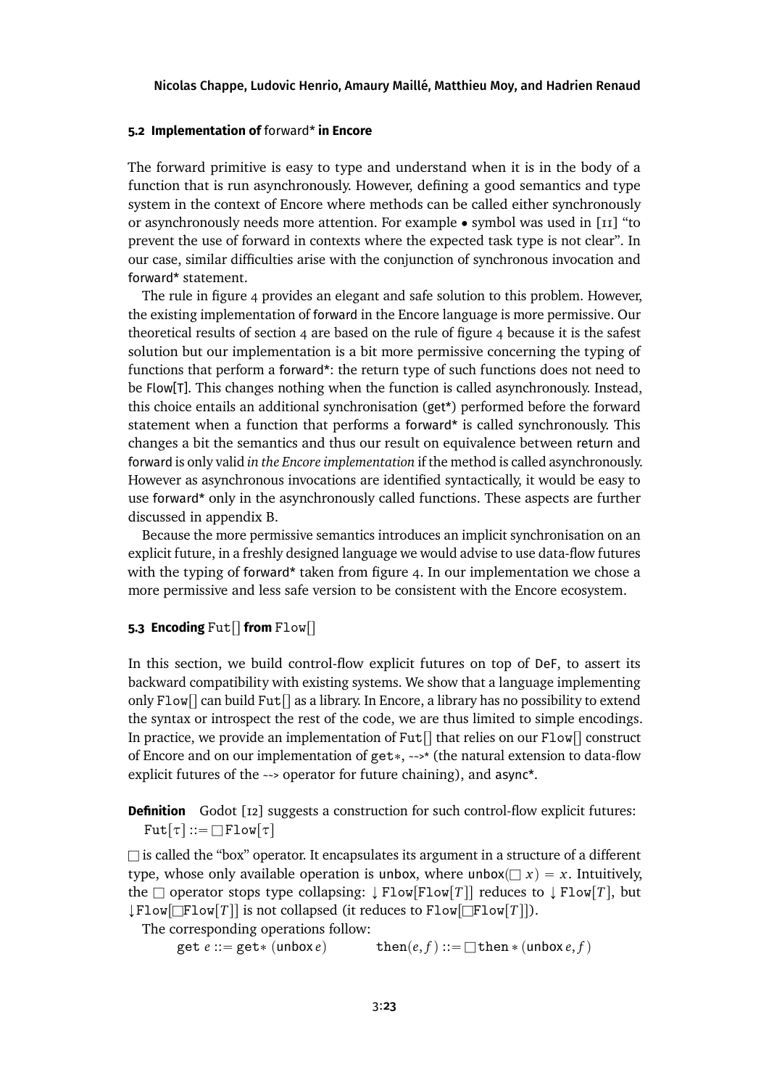# **5.2 Implementation of** forward\* **in Encore**

The forward primitive is easy to type and understand when it is in the body of a function that is run asynchronously. However, defining a good semantics and type system in the context of Encore where methods can be called either synchronously or asynchronously needs more attention. For example  $\bullet$  symbol was used in [\[11\]](#page-28-2) "to prevent the use of forward in contexts where the expected task type is not clear". In our case, similar difficulties arise with the conjunction of synchronous invocation and forward\* statement.

The rule in figure [4](#page-14-0) provides an elegant and safe solution to this problem. However, the existing implementation of forward in the Encore language is more permissive. Our theoretical results of section [4](#page-16-0) are based on the rule of figure [4](#page-14-0) because it is the safest solution but our implementation is a bit more permissive concerning the typing of functions that perform a forward\*: the return type of such functions does not need to be Flow[T]. This changes nothing when the function is called asynchronously. Instead, this choice entails an additional synchronisation (get\*) performed before the forward statement when a function that performs a forward\* is called synchronously. This changes a bit the semantics and thus our result on equivalence between return and forward is only valid *in the Encore implementation* if the method is called asynchronously. However as asynchronous invocations are identified syntactically, it would be easy to use forward\* only in the asynchronously called functions. These aspects are further discussed in appendix [B.](#page-35-0)

Because the more permissive semantics introduces an implicit synchronisation on an explicit future, in a freshly designed language we would advise to use data-flow futures with the typing of forward\* taken from figure [4.](#page-14-0) In our implementation we chose a more permissive and less safe version to be consistent with the Encore ecosystem.

# <span id="page-22-0"></span>**5.3 Encoding Fut** $\left[ \right]$  from Flow $\left[ \right]$

In this section, we build control-flow explicit futures on top of DeF, to assert its backward compatibility with existing systems. We show that a language implementing only Flow  $\Gamma$  can build Fut  $\Gamma$  as a library. In Encore, a library has no possibility to extend the syntax or introspect the rest of the code, we are thus limited to simple encodings. In practice, we provide an implementation of Fut $\lceil \cdot \rceil$  that relies on our Flow $\lceil \cdot \rceil$  construct of Encore and on our implementation of get\*,  $\rightarrow$ \* (the natural extension to data-flow explicit futures of the ~~> operator for future chaining), and async\*.

**Definition** Godot [\[12\]](#page-28-0) suggests a construction for such control-flow explicit futures:  $Fut[\tau] ::= \Box$  Flow $[\tau]$ 

 $\Box$  is called the "box" operator. It encapsulates its argument in a structure of a different type, whose only available operation is unbox, where unbox $(\Box x) = x$ . Intuitively, the  $\square$  operator stops type collapsing:  $\downarrow$  Flow  $\lceil T \rceil$  reduces to  $\downarrow$  Flow  $\lceil T \rceil$ , but  $\downarrow$  Flow $\Box$ Flow $\Box$ *T* $\parallel$  is not collapsed (it reduces to Flow $\Box$ Flow $\Box$ *T* $\parallel$ ).

The corresponding operations follow:

 $get e ::= get * (unbox e)$   $then (e, f) ::= \Box then * (unbox e, f)$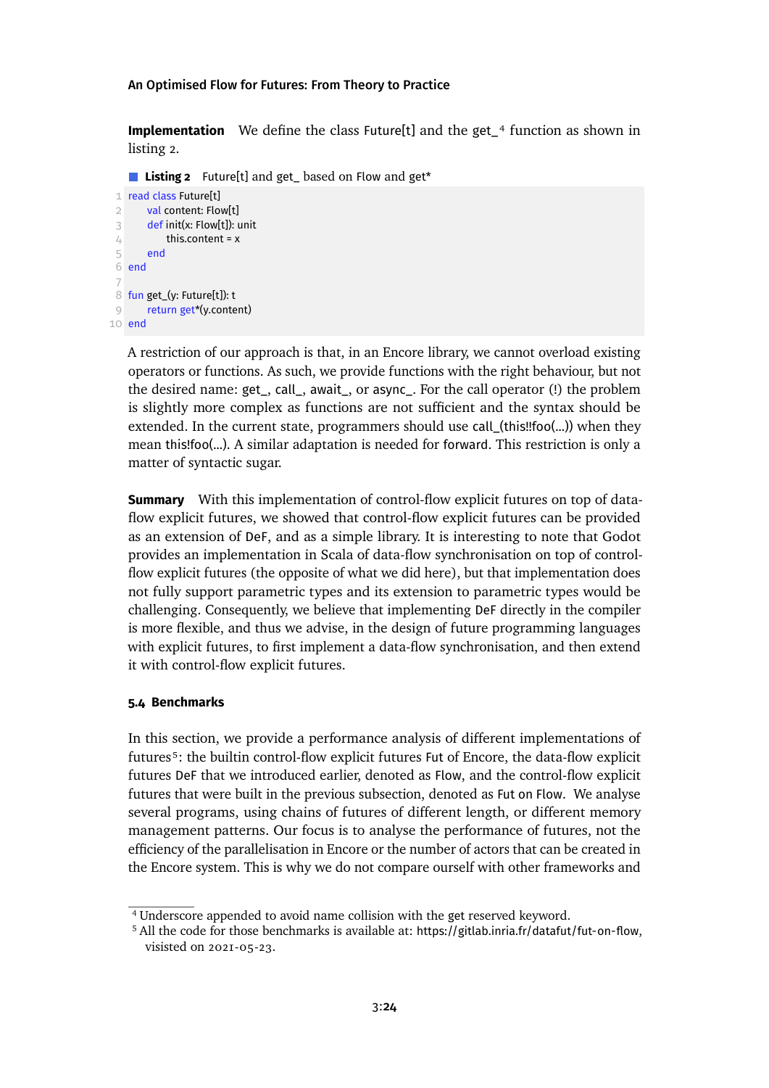**Implementation** We define the class Future[t] and the get<sub>14</sub> function as shown in listing [2.](#page-23-1)

<span id="page-23-1"></span>**Listing 2** Future[t] and get\_ based on Flow and get\*

```
1 read class Future[t]
 2 val content: Flow[t]
 3 def init(x: Flow[t]): unit
 4 this.content = x
 5 end
6 end
 7
 8 fun get_(y: Future[t]): t
9 return get*(y.content)
10 end
```
A restriction of our approach is that, in an Encore library, we cannot overload existing operators or functions. As such, we provide functions with the right behaviour, but not the desired name: get\_, call\_, await\_, or async\_. For the call operator (!) the problem is slightly more complex as functions are not sufficient and the syntax should be extended. In the current state, programmers should use call\_(this!!foo(...)) when they mean this!foo(...). A similar adaptation is needed for forward. This restriction is only a matter of syntactic sugar.

**Summary** With this implementation of control-flow explicit futures on top of dataflow explicit futures, we showed that control-flow explicit futures can be provided as an extension of DeF, and as a simple library. It is interesting to note that Godot provides an implementation in Scala of data-flow synchronisation on top of controlflow explicit futures (the opposite of what we did here), but that implementation does not fully support parametric types and its extension to parametric types would be challenging. Consequently, we believe that implementing DeF directly in the compiler is more flexible, and thus we advise, in the design of future programming languages with explicit futures, to first implement a data-flow synchronisation, and then extend it with control-flow explicit futures.

### **5.4 Benchmarks**

In this section, we provide a performance analysis of different implementations of future[s⁵:](#page-23-2) the builtin control-flow explicit futures Fut of Encore, the data-flow explicit futures DeF that we introduced earlier, denoted as Flow, and the control-flow explicit futures that were built in the previous subsection, denoted as Fut on Flow. We analyse several programs, using chains of futures of different length, or different memory management patterns. Our focus is to analyse the performance of futures, not the efficiency of the parallelisation in Encore or the number of actors that can be created in the Encore system. This is why we do not compare ourself with other frameworks and

<span id="page-23-0"></span><sup>4</sup> Underscore appended to avoid name collision with the get reserved keyword.

<span id="page-23-2"></span><sup>5</sup> All the code for those benchmarks is available at: <https://gitlab.inria.fr/datafut/fut-on-flow>, visisted on 2021-05-23.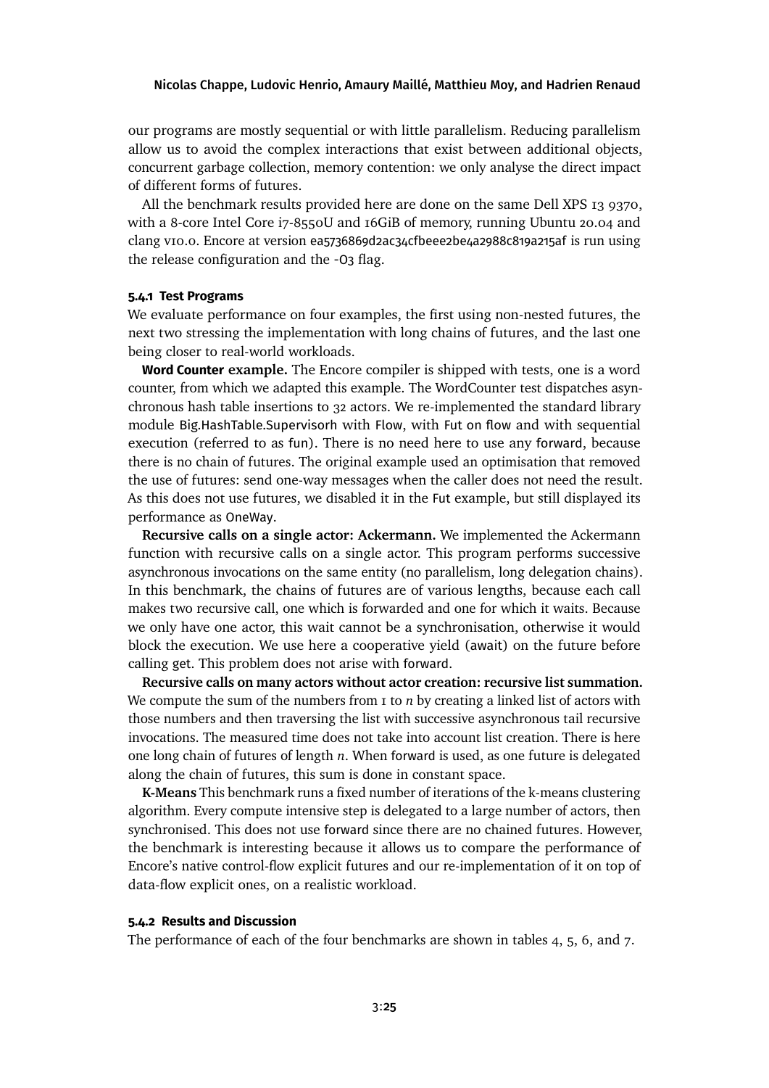our programs are mostly sequential or with little parallelism. Reducing parallelism allow us to avoid the complex interactions that exist between additional objects, concurrent garbage collection, memory contention: we only analyse the direct impact of different forms of futures.

All the benchmark results provided here are done on the same Dell XPS 13 9370, with a 8-core Intel Core i7-8550U and 16GiB of memory, running Ubuntu 20.04 and clang v10.0. Encore at version ea5736869d2ac34cfbeee2be4a2988c819a215af is run using the release configuration and the -O3 flag.

### **5.4.1 Test Programs**

We evaluate performance on four examples, the first using non-nested futures, the next two stressing the implementation with long chains of futures, and the last one being closer to real-world workloads.

**Word Counter example.** The Encore compiler is shipped with tests, one is a word counter, from which we adapted this example. The WordCounter test dispatches asynchronous hash table insertions to 32 actors. We re-implemented the standard library module Big.HashTable.Supervisorh with Flow, with Fut on flow and with sequential execution (referred to as fun). There is no need here to use any forward, because there is no chain of futures. The original example used an optimisation that removed the use of futures: send one-way messages when the caller does not need the result. As this does not use futures, we disabled it in the Fut example, but still displayed its performance as OneWay.

**Recursive calls on a single actor: Ackermann.** We implemented the Ackermann function with recursive calls on a single actor. This program performs successive asynchronous invocations on the same entity (no parallelism, long delegation chains). In this benchmark, the chains of futures are of various lengths, because each call makes two recursive call, one which is forwarded and one for which it waits. Because we only have one actor, this wait cannot be a synchronisation, otherwise it would block the execution. We use here a cooperative yield (await) on the future before calling get. This problem does not arise with forward.

**Recursive calls on many actors without actor creation: recursive list summation.** We compute the sum of the numbers from 1 to *n* by creating a linked list of actors with those numbers and then traversing the list with successive asynchronous tail recursive invocations. The measured time does not take into account list creation. There is here one long chain of futures of length *n*. When forward is used, as one future is delegated along the chain of futures, this sum is done in constant space.

**K-Means** This benchmark runs a fixed number of iterations of the k-means clustering algorithm. Every compute intensive step is delegated to a large number of actors, then synchronised. This does not use forward since there are no chained futures. However, the benchmark is interesting because it allows us to compare the performance of Encore's native control-flow explicit futures and our re-implementation of it on top of data-flow explicit ones, on a realistic workload.

#### **5.4.2 Results and Discussion**

The performance of each of the four benchmarks are shown in tables [4, 5, 6,](#page-25-0) and [7.](#page-25-0)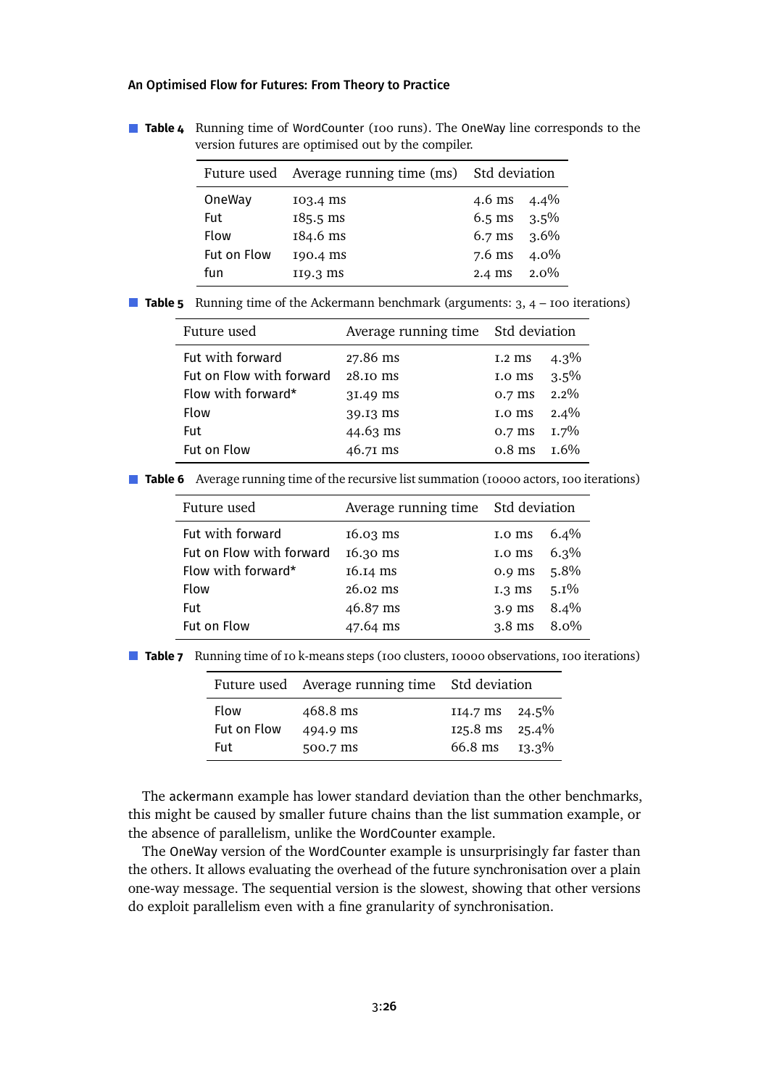<span id="page-25-0"></span>**Table 4** Running time of WordCounter (100 runs). The OneWay line corresponds to the version futures are optimised out by the compiler.

|             | Future used Average running time (ms) Std deviation |                       |      |
|-------------|-----------------------------------------------------|-----------------------|------|
| OneWay      | 103.4 ms                                            | 4.6 ms $4.4\%$        |      |
| Fut         | $185.5$ ms                                          | 6.5 ms $3.5\%$        |      |
| Flow        | 184.6 ms                                            | $6.7 \text{ ms}$ 3.6% |      |
| Fut on Flow | 190.4 ms                                            | $7.6$ ms              | 4.0% |
| fun         | $II9.3 \text{ ms}$                                  | 2.4 ms                | 2.0% |

■ **Table 5** Running time of the Ackermann benchmark (arguments: 3, 4 – 100 iterations)

| Future used              | Average running time Std deviation |                  |         |
|--------------------------|------------------------------------|------------------|---------|
| Fut with forward         | 27.86 ms                           | $1.2 \text{ ms}$ | $4.3\%$ |
| Fut on Flow with forward | 28.10 ms                           | 1.0 ms           | 3.5%    |
| Flow with forward*       | 31.49 ms                           | 0.7 ms           | $2.2\%$ |
| Flow                     | 39.I3 ms                           | 1.0 ms           | 2.4%    |
| Fut                      | $44.63$ ms                         | 0.7 ms           | $1.7\%$ |
| Fut on Flow              | 46.71 ms                           | $0.8$ ms         | $1.6\%$ |

**Table 6** Average running time of the recursive list summation (10000 actors, 100 iterations)

| Future used              | Average running time Std deviation |          |         |
|--------------------------|------------------------------------|----------|---------|
| Fut with forward         | $16.03$ ms                         | 1.0 ms   | $6.4\%$ |
| Fut on Flow with forward | 16.30 ms                           | 1.0 ms   | $6.3\%$ |
| Flow with forward*       | 16.14 ms                           | $0.9$ ms | 5.8%    |
| <b>Flow</b>              | $26.02 \text{ ms}$                 | $I.3$ ms | $5.1\%$ |
| Fut                      | 46.87 ms                           | $3.9$ ms | 8.4%    |
| Fut on Flow              | 47.64 ms                           | $3.8$ ms | $8.0\%$ |

**Table 7** Running time of 10 k-means steps (100 clusters, 10000 observations, 100 iterations)

|                                                                       | Future used Average running time Std deviation |                                                                          |  |
|-----------------------------------------------------------------------|------------------------------------------------|--------------------------------------------------------------------------|--|
| <b>Flow</b><br>468.8 ms<br>Fut on Flow<br>494.9 ms<br>Fut<br>500.7 ms |                                                | $114.7 \text{ ms}$ 24.5%<br>$125.8 \text{ ms}$ $25.4\%$<br>66.8 ms 13.3% |  |

The ackermann example has lower standard deviation than the other benchmarks, this might be caused by smaller future chains than the list summation example, or the absence of parallelism, unlike the WordCounter example.

The OneWay version of the WordCounter example is unsurprisingly far faster than the others. It allows evaluating the overhead of the future synchronisation over a plain one-way message. The sequential version is the slowest, showing that other versions do exploit parallelism even with a fine granularity of synchronisation.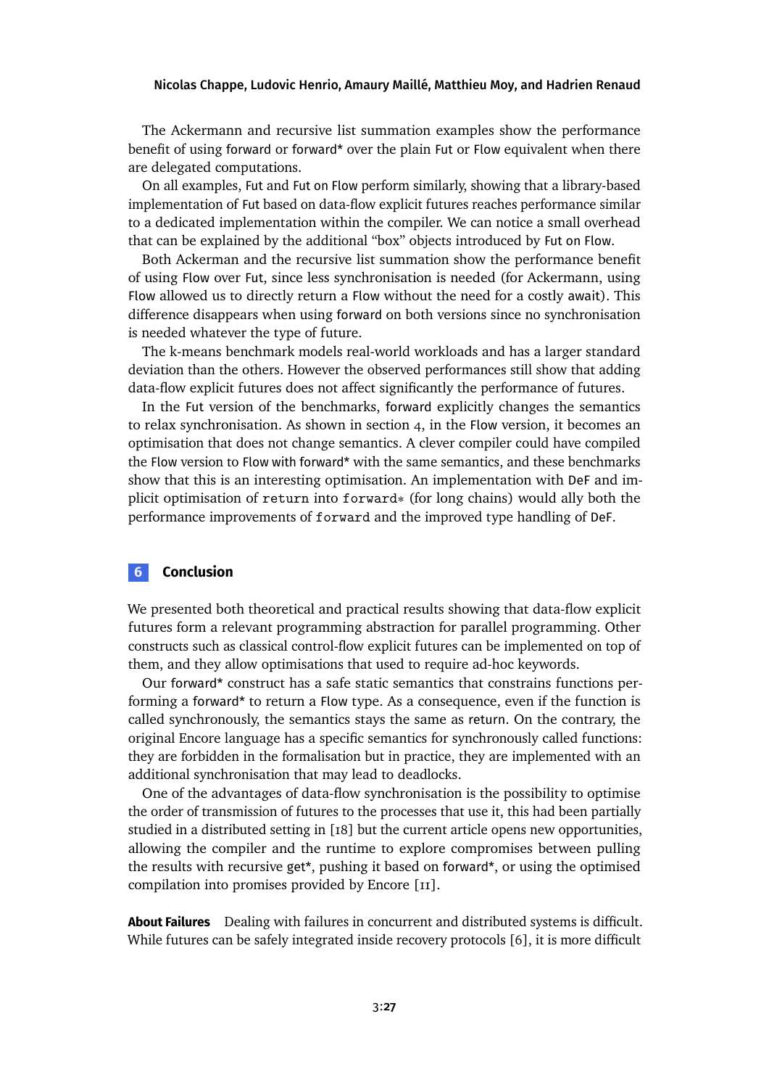The Ackermann and recursive list summation examples show the performance benefit of using forward or forward\* over the plain Fut or Flow equivalent when there are delegated computations.

On all examples, Fut and Fut on Flow perform similarly, showing that a library-based implementation of Fut based on data-flow explicit futures reaches performance similar to a dedicated implementation within the compiler. We can notice a small overhead that can be explained by the additional "box" objects introduced by Fut on Flow.

Both Ackerman and the recursive list summation show the performance benefit of using Flow over Fut, since less synchronisation is needed (for Ackermann, using Flow allowed us to directly return a Flow without the need for a costly await). This difference disappears when using forward on both versions since no synchronisation is needed whatever the type of future.

The k-means benchmark models real-world workloads and has a larger standard deviation than the others. However the observed performances still show that adding data-flow explicit futures does not affect significantly the performance of futures.

In the Fut version of the benchmarks, forward explicitly changes the semantics to relax synchronisation. As shown in section [4,](#page-16-0) in the Flow version, it becomes an optimisation that does not change semantics. A clever compiler could have compiled the Flow version to Flow with forward\* with the same semantics, and these benchmarks show that this is an interesting optimisation. An implementation with DeF and implicit optimisation of return into forward\* (for long chains) would ally both the performance improvements of forward and the improved type handling of DeF.

# **6 Conclusion**

We presented both theoretical and practical results showing that data-flow explicit futures form a relevant programming abstraction for parallel programming. Other constructs such as classical control-flow explicit futures can be implemented on top of them, and they allow optimisations that used to require ad-hoc keywords.

Our forward\* construct has a safe static semantics that constrains functions performing a forward\* to return a Flow type. As a consequence, even if the function is called synchronously, the semantics stays the same as return. On the contrary, the original Encore language has a specific semantics for synchronously called functions: they are forbidden in the formalisation but in practice, they are implemented with an additional synchronisation that may lead to deadlocks.

One of the advantages of data-flow synchronisation is the possibility to optimise the order of transmission of futures to the processes that use it, this had been partially studied in a distributed setting in [\[18\]](#page-29-9) but the current article opens new opportunities, allowing the compiler and the runtime to explore compromises between pulling the results with recursive get\*, pushing it based on forward\*, or using the optimised compilation into promises provided by Encore [\[11\]](#page-28-2).

**About Failures** Dealing with failures in concurrent and distributed systems is difficult. While futures can be safely integrated inside recovery protocols [\[6\]](#page-27-6), it is more difficult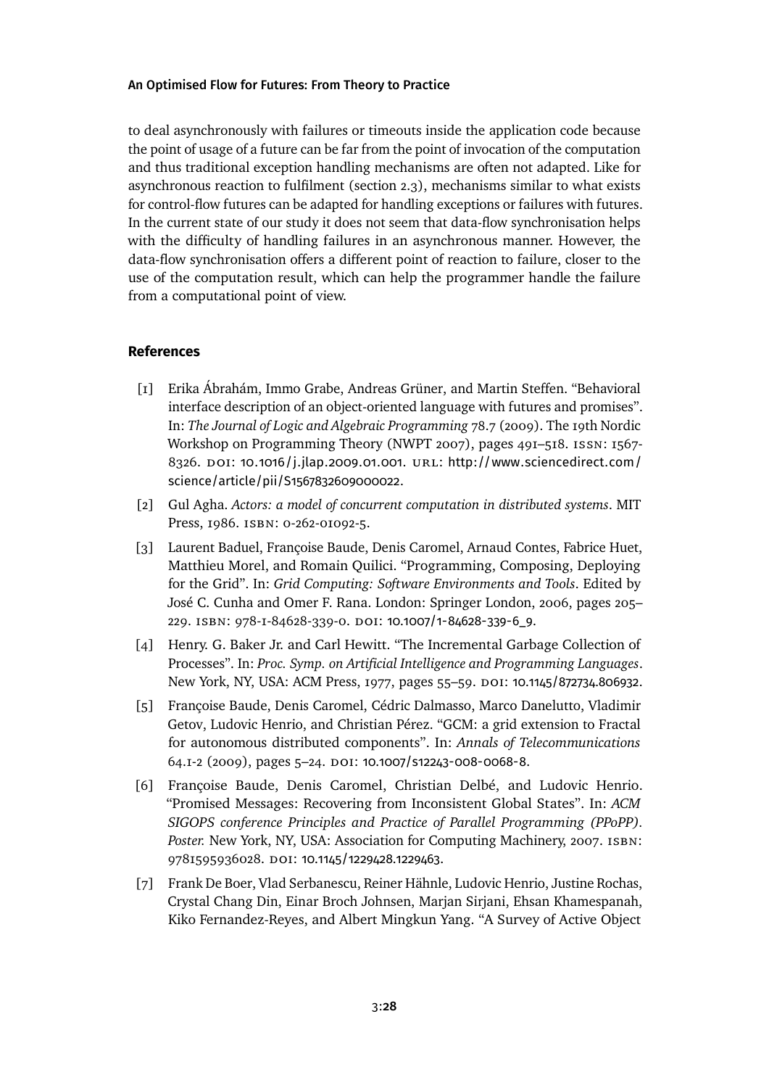to deal asynchronously with failures or timeouts inside the application code because the point of usage of a future can be far from the point of invocation of the computation and thus traditional exception handling mechanisms are often not adapted. Like for asynchronous reaction to fulfilment (section [2.3\)](#page-5-0), mechanisms similar to what exists for control-flow futures can be adapted for handling exceptions or failures with futures. In the current state of our study it does not seem that data-flow synchronisation helps with the difficulty of handling failures in an asynchronous manner. However, the data-flow synchronisation offers a different point of reaction to failure, closer to the use of the computation result, which can help the programmer handle the failure from a computational point of view.

# **References**

- <span id="page-27-4"></span>[1] Erika Ábrahám, Immo Grabe, Andreas Grüner, and Martin Steffen. "Behavioral interface description of an object-oriented language with futures and promises". In: *The Journal of Logic and Algebraic Programming* 78.7 (2009). The 19th Nordic Workshop on Programming Theory (NWPT 2007), pages 491–518. issn: 1567- 8326. DOI: [10.1016/j.jlap.2009.01.001](https://doi.org/10.1016/j.jlap.2009.01.001). URL: [http://www.sciencedirect.com/](http://www.sciencedirect.com/science/article/pii/S1567832609000022) [science/article/pii/S1567832609000022](http://www.sciencedirect.com/science/article/pii/S1567832609000022).
- <span id="page-27-2"></span>[2] Gul Agha. *Actors: a model of concurrent computation in distributed systems*. MIT Press, 1986. ISBN: 0-262-01092-5.
- <span id="page-27-3"></span>[3] Laurent Baduel, Françoise Baude, Denis Caromel, Arnaud Contes, Fabrice Huet, Matthieu Morel, and Romain Quilici. "Programming, Composing, Deploying for the Grid". In: *Grid Computing: Software Environments and Tools*. Edited by José C. Cunha and Omer F. Rana. London: Springer London, 2006, pages 205– 229. isbn: 978-1-84628-339-0. doi: [10.1007/1-84628-339-6\\_9](https://doi.org/10.1007/1-84628-339-6_9).
- <span id="page-27-0"></span>[4] Henry. G. Baker Jr. and Carl Hewitt. "The Incremental Garbage Collection of Processes". In: *Proc. Symp. on Artificial Intelligence and Programming Languages*. New York, NY, USA: ACM Press, 1977, pages 55-59. DOI: [10.1145/872734.806932](https://doi.org/10.1145/872734.806932).
- <span id="page-27-5"></span>[5] Françoise Baude, Denis Caromel, Cédric Dalmasso, Marco Danelutto, Vladimir Getov, Ludovic Henrio, and Christian Pérez. "GCM: a grid extension to Fractal for autonomous distributed components". In: *Annals of Telecommunications* 64.1-2 (2009), pages 5–24. doi: [10.1007/s12243-008-0068-8](https://doi.org/10.1007/s12243-008-0068-8).
- <span id="page-27-6"></span>[6] Françoise Baude, Denis Caromel, Christian Delbé, and Ludovic Henrio. "Promised Messages: Recovering from Inconsistent Global States". In: *ACM SIGOPS conference Principles and Practice of Parallel Programming (PPoPP). Poster.* New York, NY, USA: Association for Computing Machinery, 2007. isbn: 9781595936028. DOI: [10.1145/1229428.1229463](https://doi.org/10.1145/1229428.1229463).
- <span id="page-27-1"></span>[7] Frank De Boer, Vlad Serbanescu, Reiner Hähnle, Ludovic Henrio, Justine Rochas, Crystal Chang Din, Einar Broch Johnsen, Marjan Sirjani, Ehsan Khamespanah, Kiko Fernandez-Reyes, and Albert Mingkun Yang. "A Survey of Active Object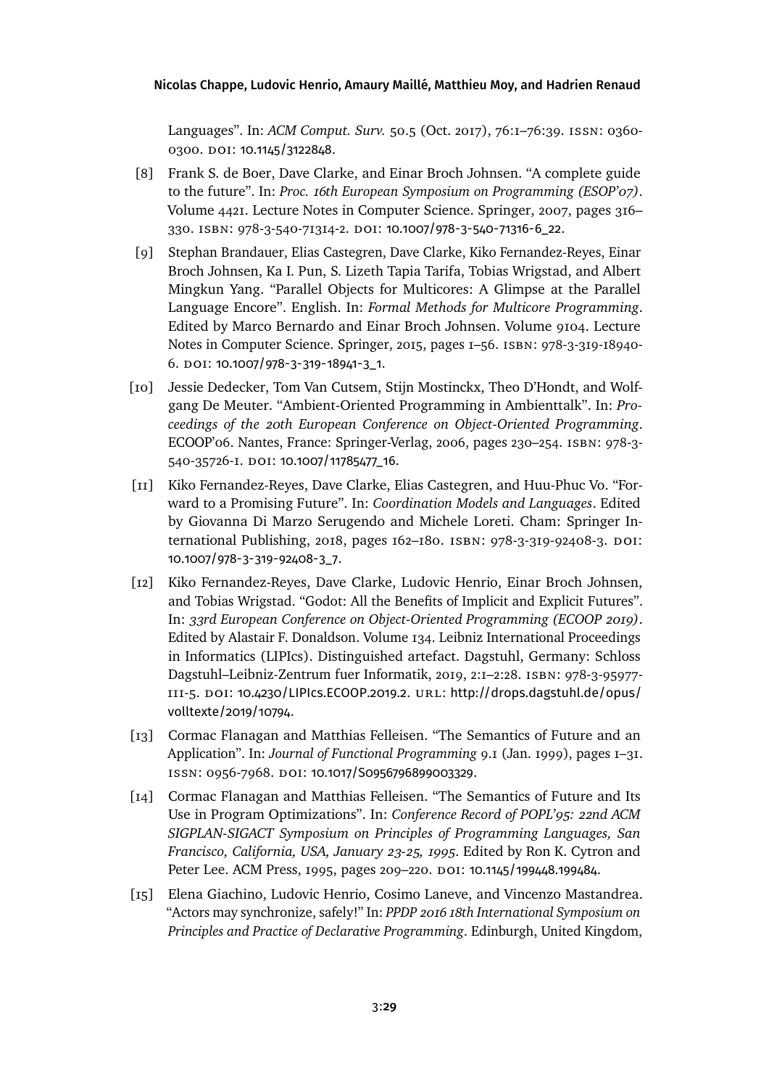Languages". In: *ACM Comput. Surv.* 50.5 (Oct. 2017), 76:1–76:39. issn: 0360- 0300. DOI: [10.1145/3122848](https://doi.org/10.1145/3122848).

- <span id="page-28-5"></span>[8] Frank S. de Boer, Dave Clarke, and Einar Broch Johnsen. "A complete guide to the future". In: *Proc. 16th European Symposium on Programming (ESOP'07)*. Volume 4421. Lecture Notes in Computer Science. Springer, 2007, pages 316– 330. isbn: 978-3-540-71314-2. doi: [10.1007/978-3-540-71316-6\\_22](https://doi.org/10.1007/978-3-540-71316-6_22).
- <span id="page-28-1"></span>[9] Stephan Brandauer, Elias Castegren, Dave Clarke, Kiko Fernandez-Reyes, Einar Broch Johnsen, Ka I. Pun, S. Lizeth Tapia Tarifa, Tobias Wrigstad, and Albert Mingkun Yang. "Parallel Objects for Multicores: A Glimpse at the Parallel Language Encore". English. In: *Formal Methods for Multicore Programming*. Edited by Marco Bernardo and Einar Broch Johnsen. Volume 9104. Lecture Notes in Computer Science. Springer, 2015, pages 1–56. isbn: 978-3-319-18940- 6. doi: [10.1007/978-3-319-18941-3\\_1](https://doi.org/10.1007/978-3-319-18941-3_1).
- <span id="page-28-7"></span>[10] Jessie Dedecker, Tom Van Cutsem, Stijn Mostinckx, Theo D'Hondt, and Wolfgang De Meuter. "Ambient-Oriented Programming in Ambienttalk". In: *Proceedings of the 20th European Conference on Object-Oriented Programming*. ECOOP'06. Nantes, France: Springer-Verlag, 2006, pages 230–254. isbn: 978-3- 540-35726-1. doi: [10.1007/11785477\\_16](https://doi.org/10.1007/11785477_16).
- <span id="page-28-2"></span>[11] Kiko Fernandez-Reyes, Dave Clarke, Elias Castegren, and Huu-Phuc Vo. "Forward to a Promising Future". In: *Coordination Models and Languages*. Edited by Giovanna Di Marzo Serugendo and Michele Loreti. Cham: Springer International Publishing, 2018, pages  $162-180$ . ISBN: 978-3-319-92408-3. DOI: [10.1007/978-3-319-92408-3\\_7](https://doi.org/10.1007/978-3-319-92408-3_7).
- <span id="page-28-0"></span>[12] Kiko Fernandez-Reyes, Dave Clarke, Ludovic Henrio, Einar Broch Johnsen, and Tobias Wrigstad. "Godot: All the Benefits of Implicit and Explicit Futures". In: *33rd European Conference on Object-Oriented Programming (ECOOP 2019)*. Edited by Alastair F. Donaldson. Volume 134. Leibniz International Proceedings in Informatics (LIPIcs). Distinguished artefact. Dagstuhl, Germany: Schloss Dagstuhl–Leibniz-Zentrum fuer Informatik, 2019, 2:1–2:28. isbn: 978-3-95977- 111-5. doi: [10.4230/LIPIcs.ECOOP.2019.2](https://doi.org/10.4230/LIPIcs.ECOOP.2019.2). url: [http://drops.dagstuhl.de/opus/](http://drops.dagstuhl.de/opus/volltexte/2019/10794) [volltexte/2019/10794](http://drops.dagstuhl.de/opus/volltexte/2019/10794).
- <span id="page-28-3"></span>[13] Cormac Flanagan and Matthias Felleisen. "The Semantics of Future and an Application". In: *Journal of Functional Programming* 9.1 (Jan. 1999), pages 1–31. issn: 0956-7968. doi: [10.1017/S0956796899003329](https://doi.org/10.1017/S0956796899003329).
- <span id="page-28-4"></span>[14] Cormac Flanagan and Matthias Felleisen. "The Semantics of Future and Its Use in Program Optimizations". In: *Conference Record of POPL'95: 22nd ACM SIGPLAN-SIGACT Symposium on Principles of Programming Languages, San Francisco, California, USA, January 23-25, 1995*. Edited by Ron K. Cytron and Peter Lee. ACM Press, 1995, pages 209-220. DOI: [10.1145/199448.199484](https://doi.org/10.1145/199448.199484).
- <span id="page-28-6"></span>[15] Elena Giachino, Ludovic Henrio, Cosimo Laneve, and Vincenzo Mastandrea. "Actors may synchronize, safely!" In: *PPDP 2016 18th International Symposium on Principles and Practice of Declarative Programming*. Edinburgh, United Kingdom,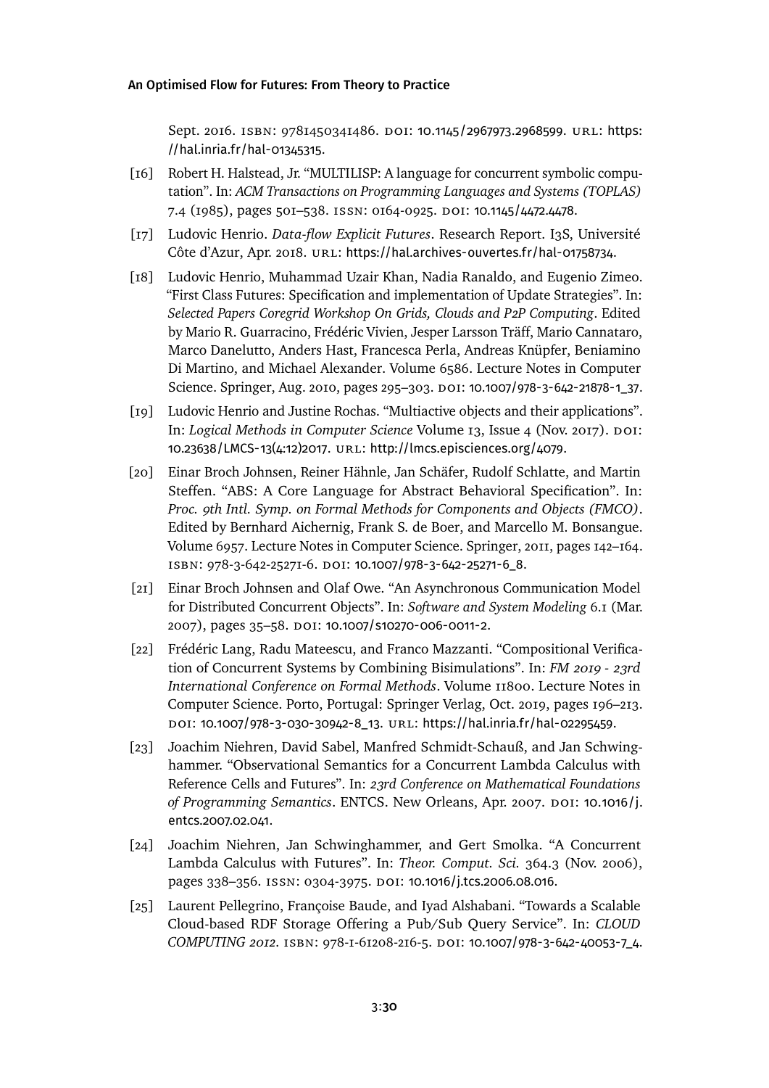Sept. 2016. isbn: 9781450341486. doi: [10.1145/2967973.2968599](https://doi.org/10.1145/2967973.2968599). url: [https:](https://hal.inria.fr/hal-01345315) [//hal.inria.fr/hal-01345315](https://hal.inria.fr/hal-01345315).

- <span id="page-29-1"></span>[16] Robert H. Halstead, Jr. "MULTILISP: A language for concurrent symbolic computation". In: *ACM Transactions on Programming Languages and Systems (TOPLAS)* 7.4 (1985), pages 501–538. issn: 0164-0925. doi: [10.1145/4472.4478](https://doi.org/10.1145/4472.4478).
- <span id="page-29-0"></span>[17] Ludovic Henrio. *Data-flow Explicit Futures*. Research Report. I3S, Université Côte d'Azur, Apr. 2018. URL: <https://hal.archives-ouvertes.fr/hal-01758734>.
- <span id="page-29-9"></span>[18] Ludovic Henrio, Muhammad Uzair Khan, Nadia Ranaldo, and Eugenio Zimeo. "First Class Futures: Specification and implementation of Update Strategies". In: *Selected Papers Coregrid Workshop On Grids, Clouds and P2P Computing*. Edited by Mario R. Guarracino, Frédéric Vivien, Jesper Larsson Träff, Mario Cannataro, Marco Danelutto, Anders Hast, Francesca Perla, Andreas Knüpfer, Beniamino Di Martino, and Michael Alexander. Volume 6586. Lecture Notes in Computer Science. Springer, Aug. 2010, pages 295-303. DOI: [10.1007/978-3-642-21878-1\\_37](https://doi.org/10.1007/978-3-642-21878-1_37).
- <span id="page-29-6"></span>[19] Ludovic Henrio and Justine Rochas. "Multiactive objects and their applications". In: *Logical Methods in Computer Science* Volume 13, Issue 4 (Nov. 2017). poi: [10.23638/LMCS-13\(4:12\)2017](https://doi.org/10.23638/LMCS-13(4:12)2017). url: <http://lmcs.episciences.org/4079>.
- <span id="page-29-4"></span>[20] Einar Broch Johnsen, Reiner Hähnle, Jan Schäfer, Rudolf Schlatte, and Martin Steffen. "ABS: A Core Language for Abstract Behavioral Specification". In: *Proc. 9th Intl. Symp. on Formal Methods for Components and Objects (FMCO)*. Edited by Bernhard Aichernig, Frank S. de Boer, and Marcello M. Bonsangue. Volume 6957. Lecture Notes in Computer Science. Springer, 2011, pages 142–164. isbn: 978-3-642-25271-6. doi: [10.1007/978-3-642-25271-6\\_8](https://doi.org/10.1007/978-3-642-25271-6_8).
- <span id="page-29-5"></span>[21] Einar Broch Johnsen and Olaf Owe. "An Asynchronous Communication Model for Distributed Concurrent Objects". In: *Software and System Modeling* 6.1 (Mar. 2007), pages 35–58. doi: [10.1007/s10270-006-0011-2](https://doi.org/10.1007/s10270-006-0011-2).
- <span id="page-29-8"></span>[22] Frédéric Lang, Radu Mateescu, and Franco Mazzanti. "Compositional Verification of Concurrent Systems by Combining Bisimulations". In: *FM 2019 - 23rd International Conference on Formal Methods*. Volume 11800. Lecture Notes in Computer Science. Porto, Portugal: Springer Verlag, Oct. 2019, pages 196–213. doi: [10.1007/978-3-030-30942-8\\_13](https://doi.org/10.1007/978-3-030-30942-8_13). url: <https://hal.inria.fr/hal-02295459>.
- <span id="page-29-3"></span>[23] Joachim Niehren, David Sabel, Manfred Schmidt-Schauß, and Jan Schwinghammer. "Observational Semantics for a Concurrent Lambda Calculus with Reference Cells and Futures". In: *23rd Conference on Mathematical Foundations* of Programming Semantics. ENTCS. New Orleans, Apr. 2007. DOI: [10.1016/j.](https://doi.org/10.1016/j.entcs.2007.02.041) [entcs.2007.02.041](https://doi.org/10.1016/j.entcs.2007.02.041).
- <span id="page-29-2"></span>[24] Joachim Niehren, Jan Schwinghammer, and Gert Smolka. "A Concurrent Lambda Calculus with Futures". In: *Theor. Comput. Sci.* 364.3 (Nov. 2006), pages 338-356. ISSN: 0304-3975. DOI: [10.1016/j.tcs.2006.08.016](https://doi.org/10.1016/j.tcs.2006.08.016).
- <span id="page-29-7"></span>[25] Laurent Pellegrino, Françoise Baude, and Iyad Alshabani. "Towards a Scalable Cloud-based RDF Storage Offering a Pub/Sub Query Service". In: *CLOUD COMPUTING 2012*. isbn: 978-1-61208-216-5. doi: [10.1007/978-3-642-40053-7\\_4](https://doi.org/10.1007/978-3-642-40053-7_4).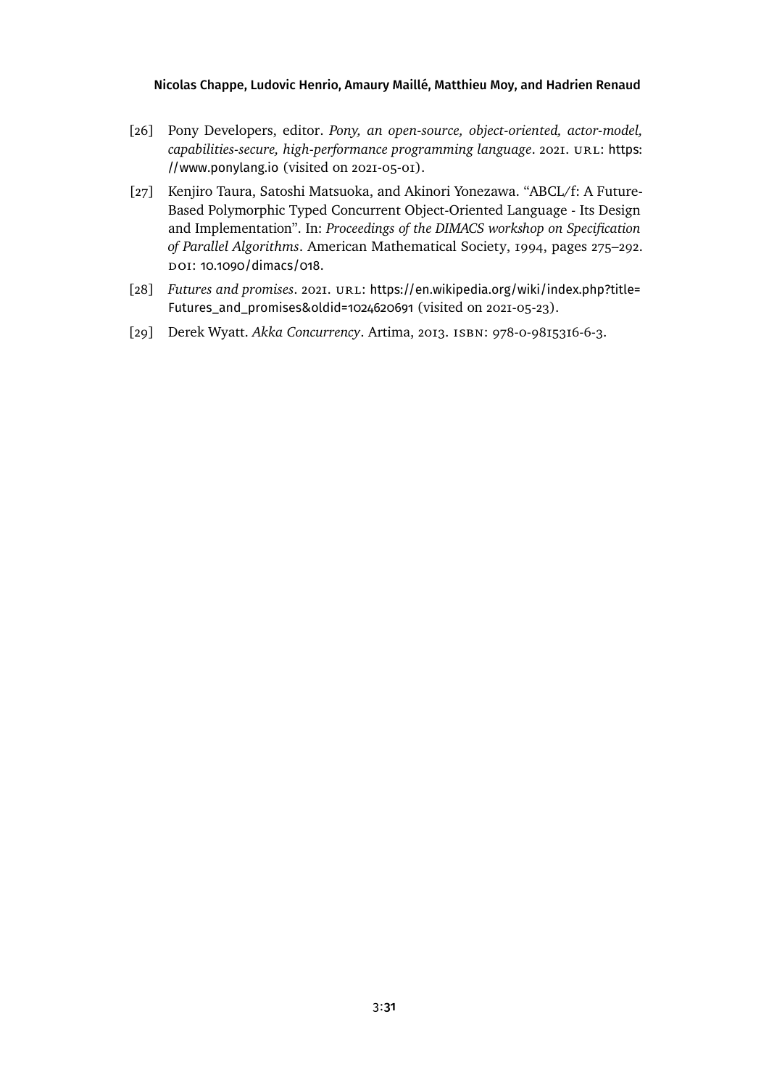- <span id="page-30-3"></span>[26] Pony Developers, editor. *Pony, an open-source, object-oriented, actor-model, capabilities-secure, high-performance programming language.* 2021. URL: [https:](https://www.ponylang.io) [//www.ponylang.io](https://www.ponylang.io) (visited on 2021-05-01).
- <span id="page-30-1"></span>[27] Kenjiro Taura, Satoshi Matsuoka, and Akinori Yonezawa. "ABCL/f: A Future-Based Polymorphic Typed Concurrent Object-Oriented Language - Its Design and Implementation". In: *Proceedings of the DIMACS workshop on Specification of Parallel Algorithms*. American Mathematical Society, 1994, pages 275–292. DOI: [10.1090/dimacs/018](https://doi.org/10.1090/dimacs/018).
- <span id="page-30-0"></span>[28] *Futures and promises.* 2021. URL: [https://en.wikipedia.org/wiki/index.php?title=](https://en.wikipedia.org/wiki/index.php?title=Futures_and_promises&oldid=1024620691) [Futures\\_and\\_promises&oldid=1024620691](https://en.wikipedia.org/wiki/index.php?title=Futures_and_promises&oldid=1024620691) (visited on 2021-05-23).
- <span id="page-30-2"></span>[29] Derek Wyatt. *Akka Concurrency*. Artima, 2013. isbn: 978-0-9815316-6-3.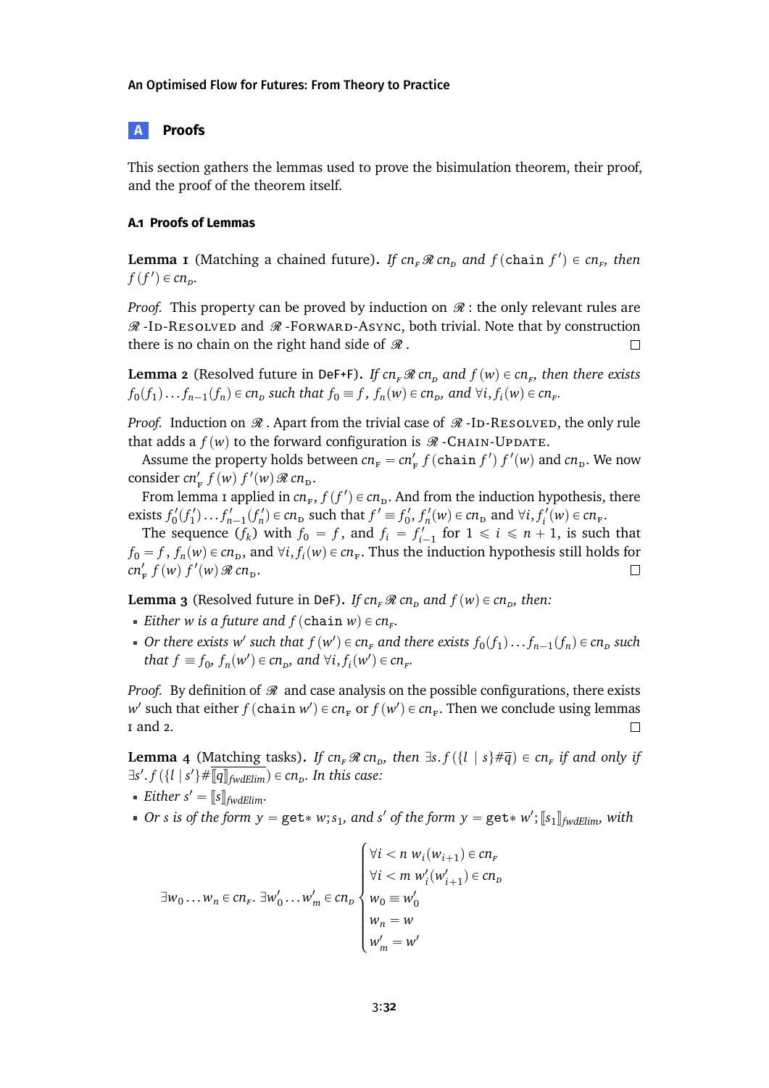# <span id="page-31-0"></span>**A Proofs**

This section gathers the lemmas used to prove the bisimulation theorem, their proof, and the proof of the theorem itself.

# **A.1 Proofs of Lemmas**

**Lemma 1** (Matching a chained future). If  $cn_F \Re cn_D$  and  $f$  (chain  $f'$ )  $\in cn_F$ , then  $f(f') \in cn_p$ .

*Proof.* This property can be proved by induction on  $\mathcal{R}$ : the only relevant rules are  $\mathcal{R}$ -ID-RESOLVED and  $\mathcal{R}$ -FORWARD-ASYNC, both trivial. Note that by construction there is no chain on the right hand side of  $\mathcal R$ .  $\Box$ 

**Lemma 2** (Resolved future in DeF+F). *If*  $cn_F \mathcal{R}$   $cn_D$  and  $f(w) \in cn_F$ , then there exists  $f_0(f_1)...f_{n-1}(f_n) \in cn_p$  such that  $f_0 \equiv f$ ,  $f_n(w) \in cn_p$ , and  $\forall i, f_i(w) \in cn_p$ .

*Proof.* Induction on  $\Re$ . Apart from the trivial case of  $\Re$ -ID-RESOLVED, the only rule that adds a  $f(w)$  to the forward configuration is  $\mathcal{R}$  -CHAIN-UPDATE.

Assume the property holds between  $cn_F = cn'_F f$  (chain  $f'$ )  $f'(w)$  and  $cn_D$ . We now consider  $cn'_{F} f(w) f'(w) \mathcal{R} cn_{D}$ .

From lemma [1](#page-19-0) applied in  $cn_F$ ,  $f(f') \in cn_D$ . And from the induction hypothesis, there exists  $f'_0(f'_1) \dots f'_{n-1}(f'_n) \in cn$  such that  $f' \equiv f'_0$ ,  $f'_n(w) \in cn$  and  $\forall i, f'_i(w) \in cn$   $r$ .

The sequence  $(f_k)$  with  $f_0 = f$ , and  $f_i = f'_{i-1}$  for  $1 \le i \le n + 1$ , is such that  $f_0 = f$ ,  $f_n(w) \in cn_D$ , and  $\forall i, f_i(w) \in cn_F$ . Thus the induction hypothesis still holds for  $cn'_{\text{F}} f(w) f'(w) \mathcal{R} cn_{\text{D}}.$  $\Box$ 

**Lemma 3** (Resolved future in DeF). *If cn<sub>F</sub>*  $\Re$  *cn<sub>D</sub>* and  $f(w) \in cn_p$ , then:

- *Either w is a future and*  $f$  (chain  $w$ )  $\in$   $cn<sub>F</sub>$ .
- *Or there exists*  $w'$  such that  $f(w') \in cn_F$  and there exists  $f_0(f_1) \ldots f_{n-1}(f_n) \in cn_D$  such *that*  $f \equiv f_0$ ,  $f_n(w') \in cn_p$ , and  $\forall i, f_i(w') \in cn_r$ .

*Proof.* By definition of  $\Re$  and case analysis on the possible configurations, there exists  $w'$  such that either  $f$  (chain  $w'$ )  $\in$   $cn_F$  or  $f(w') \in cn_F$ . Then we conclude using lemmas [1](#page-19-0) and [2.](#page-19-1)  $\Box$ 

**Lemma 4** (Matching tasks). If  $cn_F \mathcal{R} cn_D$ , then  $\exists s.f(\lbrace l \mid s \rbrace \# \overline{q}) \in cn_F$  if and only if  $\exists s'. f(\{l \mid s'\} \# \overline{\mathbb{q}} \overline{\mathbb{q}}_{\text{fwdElim}}) \in cn_{\mathcal{D}}$ . In this case:

- *Either*  $s' = [[s]]_{fwdElim}.$
- *Or s* is of the form  $y = get * w$ ;  $s_1$ , and  $s'$  of the form  $y = get * w'$ ;  $[s_1]_{fwdElim}$ , with

$$
\exists w_0 \dots w_n \in cn_F. \ \exists w'_0 \dots w'_m \in cn_D \begin{cases} \forall i < n \ w_i(w_{i+1}) \in cn_F \\ \forall i < m \ w'_i(w'_{i+1}) \in cn_D \\ w_0 \equiv w'_0 \\ w_n = w \\ w'_m = w' \end{cases}
$$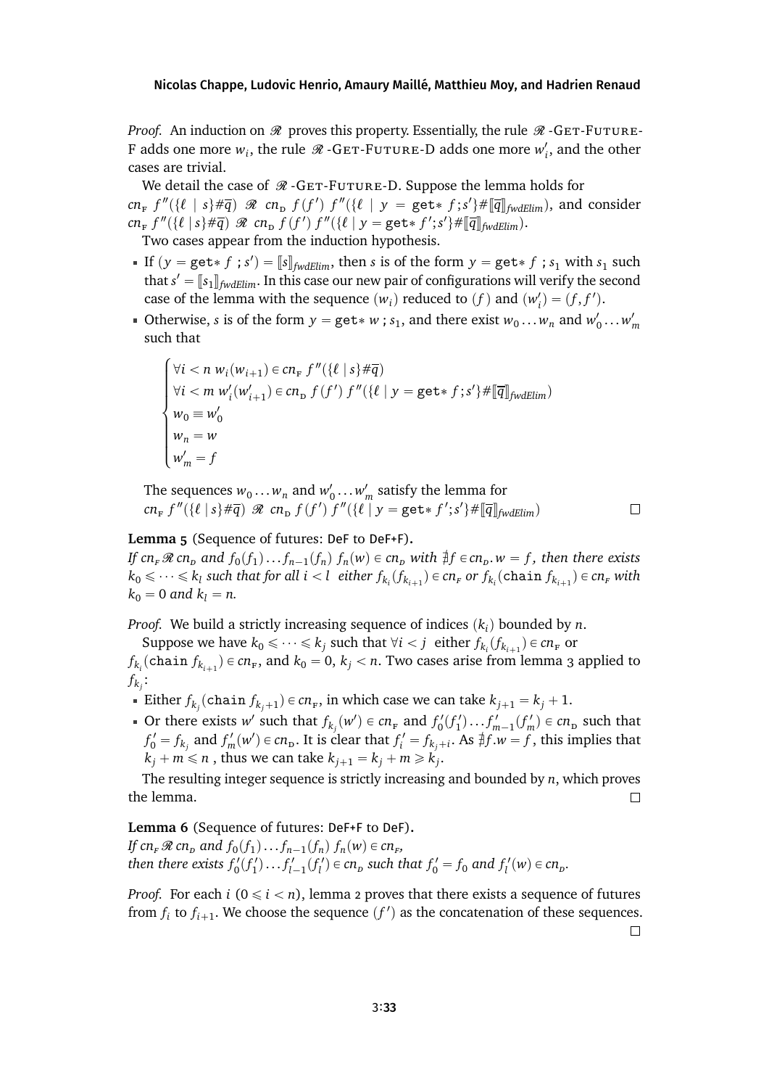*Proof.* An induction on  $\mathcal R$  proves this property. Essentially, the rule  $\mathcal R$  -GET-FUTURE-F adds one more  $w_i$ , the rule  $\Re$  -GET-FUTURE-D adds one more  $w'_i$ , and the other cases are trivial.

We detail the case of  $\mathcal{R}$  -GET-FUTURE-D. Suppose the lemma holds for  $cn_F f''(\{\ell \mid s\} \# \overline{q}) \mathcal{R}$   $cn_D f(f') f''(\{\ell \mid y = \text{get* } f; s'\} \# [\overline{q}]_{fwdElim})$ , and consider  $cn_F f''(\{\ell | s\} \# \overline{q})$   $\Re$   $cn_D f(f') f''(\{\ell | y = get * f'; s'\} \# [\overline{q}]_{fwdElim})$ . Two cases appear from the induction hypothesis.

- If  $(y = get * f ; s') = [s]_{fwdElim}$ , then *s* is of the form  $y = get * f ; s_1$  with  $s_1$  such that  $s'$ that  $s' = [s_1]_{fwdElim}$ . In this case our new pair of configurations will verify the second case of the lemma with the sequence  $(w_i)$  reduced to  $(f)$  and  $(w'_i) = (f, f').$
- Otherwise, *s* is of the form  $y = get * w$ ; *s*<sub>1</sub>, and there exist  $w_0 \dots w_n$  and  $w'_0 \dots w'_m$ such that

$$
\begin{cases}\n\forall i < n \ w_i(w_{i+1}) \in cn_{F} \ f''(\{\ell \mid s\} \#\overline{q}) \\
\forall i < m \ w'_{i}(w'_{i+1}) \in cn_{D} \ f(f') \ f''(\{\ell \mid y = \text{get} \ast f ; s'\} \#\overline{q}\rrbracket_{\text{fwdElim}}) \\
w_0 \equiv w'_{0} \\
w_n = w \\
w'_{m} = f\n\end{cases}
$$

The sequences  $w_0 \dots w_n$  and  $w'_0 \dots w'_m$  satisfy the lemma for  $cn_F f''(\lbrace \ell | s \rbrace \# \overline{q}) \mathcal{R}$   $cn_D f(f') f''(\lbrace \ell | y = \texttt{get} * f'; s' \rbrace \# \llbracket \overline{q} \rrbracket_{\text{fwdElim}})$ 

### $\Box$

# **Lemma 5** (Sequence of futures: DeF to DeF+F)**.**

 $\overline{a}$ 

If  $cn_F \mathcal{R}$   $cn_D$  and  $f_0(f_1)...f_{n-1}(f_n)$   $f_n(w) \in cn_D$  with  $\frac{1}{\#}f \in cn_D$ .  $w = f$ , then there exists  $k_0 \leqslant \cdots \leqslant k_l$  such that for all  $i < l$  either  $f_{k_i}(f_{k_{i+1}}) \in cn_F$  or  $f_{k_i}(\texttt{chain}\, f_{k_{i+1}}) \in cn_F$  with  $k_0 = 0$  *and*  $k_l = n$ .

*Proof.* We build a strictly increasing sequence of indices  $(k<sub>i</sub>)$  bounded by *n*.

Suppose we have  $k_0 \leq \cdots \leq k_j$  such that  $\forall i < j$  either  $f_{k_i}(f_{k_{i+1}}) \in cn_F$  or

 $f_{k_i}$ (chain  $f_{k_{i+1}}$ )  $\in$   $cn_{\rm F}$ , and  $k_0$  = 0,  $k_j$   $<$   $n$ . Two cases arise from lemma [3](#page-19-2) applied to  $f_{k_j}$ :

- Either  $f_{k_j}$ (chain  $f_{k_j+1}$ )  $\in$   $cn_F$ , in which case we can take  $k_{j+1} = k_j + 1$ .
- Or there exists *w*<sup>*'*</sup> such that  $f_{k_j}(w') \in cn_F$  and  $f'_0(f'_1) \dots f'_{m-1}(f'_m) \in cn_D$  such that  $f'_0 = f_{k_j}$  and  $f'_m(w') \in cn_p$ . It is clear that  $f'_i = f_{k_j+i}$ . As  $\sharp f.w = f$ , this implies that  $k_j + m \leq n$  , thus we can take  $k_{j+1} = k_j + m \geqslant k_j'$ .

The resulting integer sequence is strictly increasing and bounded by *n*, which proves the lemma.  $\Box$ 

**Lemma 6** (Sequence of futures: DeF+F to DeF)**.** *If*  $cn_F \mathcal{R}$   $cn_D$  and  $f_0(f_1) \dots f_{n-1}(f_n)$   $f_n(w) \in cn_F$ , then there exists  $f'_0(f'_1)...f'_{l-1}(f'_l) \in cn_p$  such that  $f'_0 = f_0$  and  $f'_l(w) \in cn_p$ .

*Proof.* For each *i*  $(0 \le i < n)$ , lemma [2](#page-19-1) proves that there exists a sequence of futures from  $f_i$  to  $f_{i+1}$ . We choose the sequence  $(f')$  as the concatenation of these sequences.

 $\Box$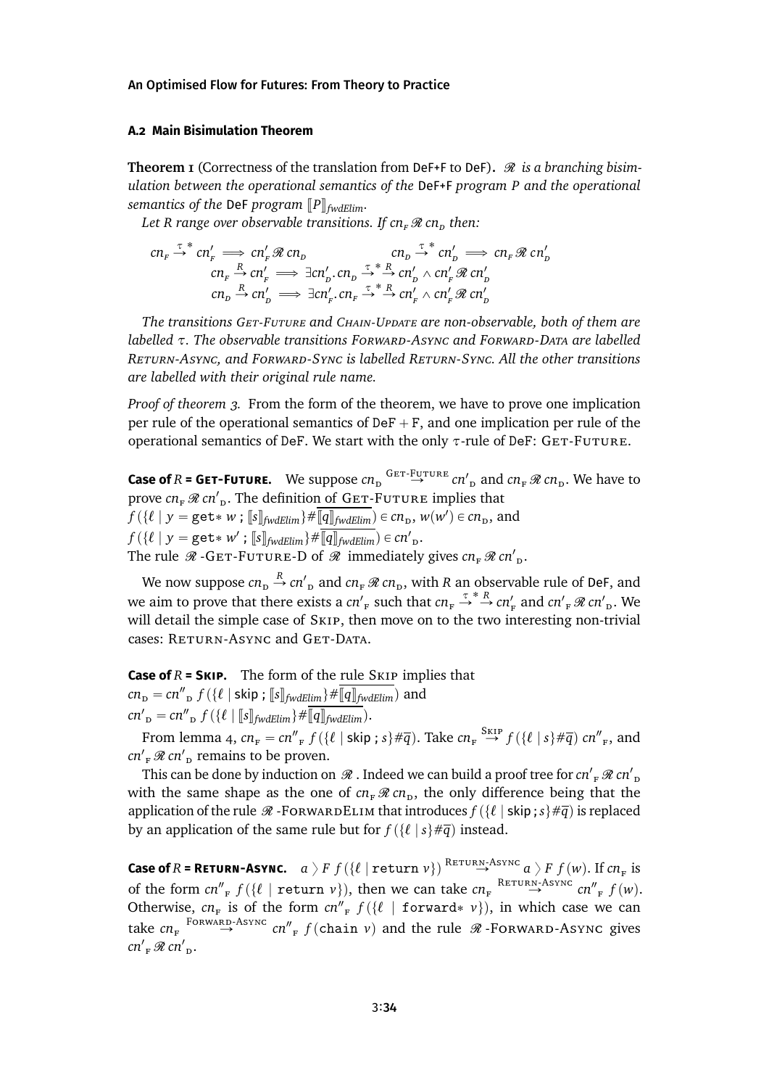### **A.2 Main Bisimulation Theorem**

**Theorem 1** (Correctness of the translation from DeF+F to DeF).  $\mathcal{R}$  is a branching bisim*ulation between the operational semantics of the* DeF+F *program P and the operational semantics of the DeF program*  $\llbracket P \rrbracket_{\text{fw}dElim}$ .

Let R range over observable transitions. If  $cn_{F} \mathscr{R} cn_{D}$  then:

$$
cn_F \xrightarrow{\tau} cn'_F \implies cn'_F \n\implies cn'_B \n\text{ on } \n\begin{array}{rcl}\n\text{ on } & \text{ on } \n\frac{\tau}{2} \text{ on } & \text{ on } F \n\end{array}\n\implies \text{ on } \n\frac{\tau}{2} \text{ on } \n\frac{\tau}{2} \text{ on } \n\frac{\tau}{2} \text{ on } \n\frac{\tau}{2} \text{ on } \n\frac{\tau}{2} \text{ on } \n\frac{\tau}{2} \text{ on } \n\frac{\tau}{2} \text{ on } \n\frac{\tau}{2} \text{ on } \n\frac{\tau}{2} \text{ on } \n\frac{\tau}{2} \text{ on } \n\frac{\tau}{2} \text{ on } \n\frac{\tau}{2} \text{ on } \n\frac{\tau}{2} \text{ on } \n\frac{\tau}{2} \text{ on } \n\frac{\tau}{2} \text{ on } \n\frac{\tau}{2} \text{ on } \n\frac{\tau}{2} \text{ on } \n\frac{\tau}{2} \text{ on } \n\frac{\tau}{2} \text{ on } \n\frac{\tau}{2} \text{ on } \n\frac{\tau}{2} \text{ on } \n\frac{\tau}{2} \text{ on } \n\frac{\tau}{2} \text{ on } \n\frac{\tau}{2} \text{ on } \n\frac{\tau}{2} \text{ on } \n\frac{\tau}{2} \text{ on } \n\frac{\tau}{2} \text{ on } \n\frac{\tau}{2} \text{ on } \n\frac{\tau}{2} \text{ on } \n\frac{\tau}{2} \text{ on } \n\frac{\tau}{2} \text{ on } \n\frac{\tau}{2} \text{ on } \n\frac{\tau}{2} \text{ on } \n\frac{\tau}{2} \text{ on } \n\frac{\tau}{2} \text{ on } \n\frac{\tau}{2} \text{ on } \n\frac{\tau}{2} \text{ on } \n\frac{\tau}{2} \text{ on } \n\frac{\tau}{2} \text{ on } \n\frac{\tau}{2} \text{ on } \n\frac{\tau}{2} \text{ on } \n\frac{\tau}{2} \text{ on } \n\frac{\tau}{2} \text{ on } \n\frac{\tau}{2} \text{ on } \n\frac{\tau}{2} \text{ on } \n\frac{\tau}{2} \text{ on } \n\frac{\tau}{2} \text{ on } \n\frac{\tau}{2} \
$$

*The transitions Get-Future and Chain-Update are non-observable, both of them are labelled τ. The observable transitions Forward-Async and Forward-Data are labelled Return-Async, and Forward-Sync is labelled Return-Sync. All the other transitions are labelled with their original rule name.*

*Proof of theorem [3.](#page-18-0)* From the form of the theorem, we have to prove one implication per rule of the operational semantics of  $Def + F$ , and one implication per rule of the operational semantics of DeF. We start with the only *τ*-rule of DeF: GET-FUTURE.

**Case of**  $R$  = GET-Future. We suppose  $cn_p \stackrel{GET-FUTURE}{\rightarrow} cn'_{p}$  and  $cn_{F} \mathcal{R} cn_{p}$ . We have to prove  $cn_F \mathcal{R} cn'_{\text{D}}$ . The definition of GET-Future implies that  $f(\lbrace \ell \mid y = \texttt{get} * w; \llbracket s \rrbracket_{fwdElim} \rbrace \# \overline{\llbracket q \rrbracket_{fwdElim}}) \in cn_{\texttt{D}}, w(w') \in cn_{\texttt{D}}, \text{ and}$  $f(\{\ell \mid y = \text{get* } w'; \text{ [s]}_{fwdElim}\} \neq \overline{\mathbb{q}} \cdot \overline{\mathbb{q}} \cdot \overline{\mathbb{q}} \cdot \overline{\mathbb{q}} \cdot \overline{\mathbb{q}} \cdot \overline{\mathbb{q}} \cdot \overline{\mathbb{q}} \cdot \overline{\mathbb{q}} \cdot \overline{\mathbb{q}} \cdot \overline{\mathbb{q}} \cdot \overline{\mathbb{q}} \cdot \overline{\mathbb{q}} \cdot \overline{\mathbb{q}} \cdot \overline{\mathbb{q}} \cdot \overline{\mathbb{q}} \cdot \overline{\mathbb{q}} \cdot \overline{\mathbb{q}} \cdot \over$ The rule  $\mathcal{R}$  -GET-FUTURE-D of  $\mathcal{R}$  immediately gives  $cn_F \mathcal{R} cn_D$ .

We now suppose  $cn_{\rm p} \stackrel{R}{\rightarrow} cn'_{\rm p}$  and  $cn_{\rm r}$   $\mathscr R$   $cn_{\rm p}$ , with  $R$  an observable rule of DeF, and we aim to prove that there exists a  $cn'_F$  such that  $cn_F \stackrel{\tau^* R}{\rightarrow} cn'_F$  and  $cn'_F \mathcal{R} cn'_D$ . We will detail the simple case of Skip, then move on to the two interesting non-trivial cases: RETURN-ASYNC and GET-DATA.

**Case of** *R* **= Skip.** The form of the rule Skip implies that  $cn_{\rm p} = cn''_{\rm p} f(\{\ell \mid \textsf{skip}; \llbracket s \rrbracket_{\textit{fwdElim}}\} \# \overline{\llbracket q \rrbracket_{\textit{fwdElim}}})$  and

 $cn'_{\perp p} = cn''_{\perp p} f(\{\ell \mid [\![s]\!]_{fwdElim}\} \# \overline{[\![q]\!]_{fwdElim}}).$ 

From lemma [4,](#page-19-3)  $cn_F = cn''_F f(\lbrace \ell \mid \text{skip } ; s \rbrace \# \overline{q})$ . Take  $cn_F \stackrel{\text{SLIP}}{\rightarrow} f(\lbrace \ell \mid s \rbrace \# \overline{q})$   $cn''_F$ , and  $cn'_{F}$   $\mathcal{R}$  *cn'*<sub>p</sub> remains to be proven.

This can be done by induction on  $\mathscr R$  . Indeed we can build a proof tree for  $cn'$ <sub>F</sub>  $\mathscr R$   $cn'$ <sub>D</sub> with the same shape as the one of  $cn_{\rm F}$   $\mathcal{R}$   $cn_{\rm D}$ , the only difference being that the application of the rule  $\mathcal{R}$  -ForwardELIM that introduces  $f(\lbrace \ell \mid \text{skip } ; s \rbrace \# \overline{q}$  is replaced by an application of the same rule but for  $f({\ell} | s \neq \overline{q})$  instead.

 $\textbf{Case of } R = \textbf{RETURN-ASYNC.} \quad a \geq F \cdot f(\{\ell \mid \textbf{return } v\}) \stackrel{\text{RETURN-ASYNC}}{\longrightarrow} a \geq F \cdot f(w). \text{ If } cn_F \text{ is }$ of the form  $cn''_F f(\ell \mid \text{return } v)$ , then we can take  $cn_F \stackrel{\text{RETURN-ASYNC}}{\rightarrow} cn''_F f(w)$ . Otherwise,  $cn_F$  is of the form  $cn''_F f(\{\ell \mid forward* v\})$ , in which case we can take  $cn_F$  <sup>FORWARD-Async</sup>  $cn''_F f$  (chain *v*) and the rule  $\mathcal{R}$ -FORWARD-Async gives  $cn'$ <sub>F</sub> $\mathcal{R}$   $cn'$ <sub>D</sub>.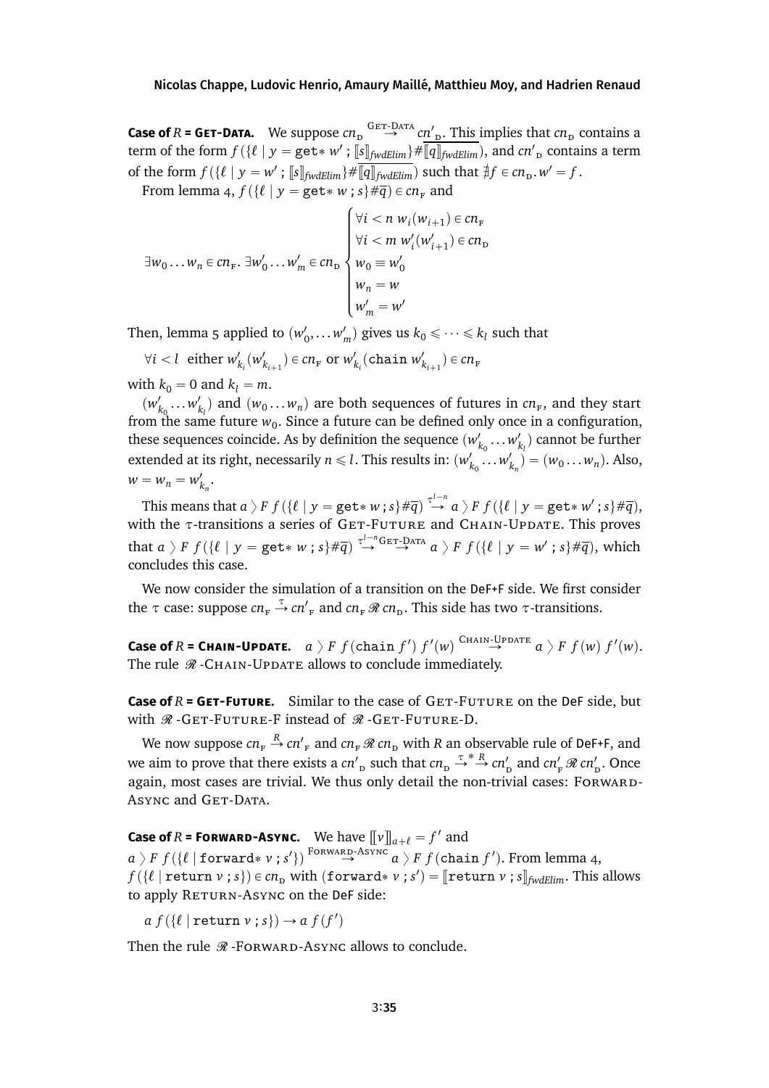**Case of**  $R$  = GET-DATA. We suppose  $cn_D^{\text{GET-DATA}}$   $cn_D^{\prime}$ . This implies that  $cn_D$  contains a term of the form  $f(\{\ell \mid y = get * w' ; \sqrt{\lbrack s \rbrack_{fwdElim}}\} \neq \sqrt{\lbrack q \rbrack_{fwdElim}},$  and  $cn'_D$  contains a term of the form  $f(\{\ell \mid y = w' \; ; \; [\![s]\!]_{fwdElim} \} \neq \overline{[\![q]\!]_{fwdElim}}$  such that  $\sharp f \in cn_{\text{D}}$ .  $w' = f$ .

From lemma [4,](#page-19-3)  $f(\lbrace \ell \mid y = \texttt{get*} \ w \ ; \ s \rbrace \# \overline{q}) \in cn_F$  and

$$
\exists w_0 \dots w_n \in cn_F. \ \exists w'_0 \dots w'_m \in cn_D
$$
\n
$$
\forall i < m \ w'_i(w'_{i+1}) \in cn_D
$$
\n
$$
\begin{cases}\n\forall i < n \ w_i(w_{i+1}) \in cn_F \\
\forall i < m \ w'_i(w'_{i+1}) \in cn_D \\
w_0 \equiv w'_0 \\
w'_m = w'\n\end{cases}
$$

Then, lemma [5](#page-20-1) applied to  $(w'_0, \ldots w'_m)$  gives us  $k_0 \leq \cdots \leq k_l$  such that

$$
\forall i < l \text{ either } w'_{k_i}(w'_{k_{i+1}}) \in cn_{\mathbf{F}} \text{ or } w'_{k_i}(\text{chain } w'_{k_{i+1}}) \in cn_{\mathbf{F}}
$$

with  $k_0 = 0$  and  $k_l = m$ .

 $(w'_{k_0} \dots w'_{k_l})$  and  $(w_0 \dots w_n)$  are both sequences of futures in  $cn_r$ , and they start from the same future  $w_0$ . Since a future can be defined only once in a configuration, these sequences coincide. As by definition the sequence  $(w'_{k_0} \ldots w'_{k_l})$  cannot be further extended at its right, necessarily  $n \leq l$ . This results in:  $(w'_{k_0} \dots w'_{k_n}) = (w_0 \dots w_n)$ . Also,  $w = w_n = w'_{k_n}.$ 

This means that  $a \succcurlyeq F$   $f$   $(\{ \ell \mid y = \texttt{get*} \ w \ ; \ s \} \# \overline{q} ) \stackrel{\tau^{l-n}}{\to} a \succcurlyeq F$   $f$   $(\{ \ell \mid y = \texttt{get*} \ w' \ ; \ s \} \# \overline{q} ),$ with the *τ*-transitions a series of GET-FUTURE and CHAIN-UPDATE. This proves  ${\rm that} \ a \ \rangle \ F \ f(\{\ell \mid y = {\tt get*} \ w \ ; \ s\}{\#\overline{q}}) \stackrel{\tau^{l-n}{\leftrightarrow} {\tt Ger-DATA}}{\longrightarrow} a \ \rangle \ F \ f(\{\ell \mid y = w' \ ; \ s\}{\#\overline{q}}), \ {\rm which}$ concludes this case.

We now consider the simulation of a transition on the DeF+F side. We first consider the  $\tau$  case: suppose  $cn_{\rm F} \stackrel{\tau}{\rightarrow} cn'_{\rm F}$  and  $cn_{\rm F} \mathcal{R}$   $cn_{\rm D}$ . This side has two  $\tau$ -transitions.

**Case of**  $R$  = **CHAIN-UPDATE.**  $a \geq F f$  (chain  $f'$ )  $f'(w) \stackrel{\text{CHAIN-UPDATE}}{\rightarrow} a \geq F f(w) f'(w)$ . The rule  $\Re$  -CHAIN-UPDATE allows to conclude immediately.

**Case of**  $R =$  **GET-FUTURE.** Similar to the case of  $GET-FUTURE$  on the DeF side, but with  $\Re$  -GET-FUTURE-F instead of  $\Re$  -GET-FUTURE-D.

We now suppose  $cn_{_{\rm F}} \stackrel{R}{\rightarrow} cn'_{_{\rm F}}$  and  $cn_{_{\rm F}} \mathscr{R} \, cn_{_{\rm D}}$  with  $R$  an observable rule of DeF+F, and we aim to prove that there exists a *cn*'<sub>p</sub> such that  $cn_p \stackrel{\tau^*}{\rightarrow}^R cn'_p$  and  $cn'_F \mathcal{R} cn'_p$ . Once again, most cases are trivial. We thus only detail the non-trivial cases: FORWARD-ASYNC and GET-DATA.

**Case of**  $R$  **= FORWARD-ASYNC.** We have  $[\![\nu]\!]_{a+\ell} = f'$  and

 $a \mathrel{{\rangle}} F$   $f(\{\ell \mid \texttt{forward* v} \textrm{ ; } s'\})$   $\stackrel{\text{FORWARD-ASYNC}}{\rightarrow} a \mathrel{{\rangle}} F$   $f(\texttt{chain } f').$  From lemma [4,](#page-19-3)  $f(\{\ell \mid \text{return } \nu; s\}) \in cn_D$  with  $(\text{forward} * \nu; s') = [\text{return } \nu; s]_{\text{fwdElim}}$ . This allows to apply RETURN-ASYNC on the DeF side:

 $a f(\{\ell \mid \texttt{return } v \text{ ; } s\}) \rightarrow a f(f')$ 

Then the rule  $\Re$  -FORWARD-ASYNC allows to conclude.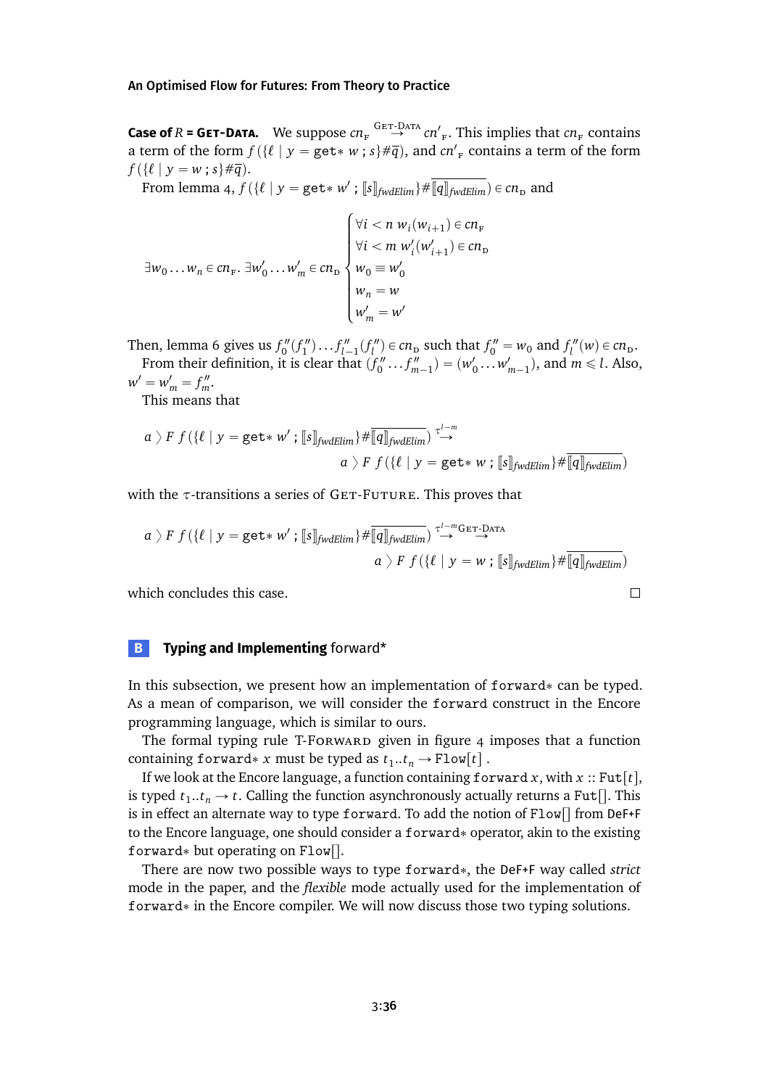**Case of**  $R$  = GET-DATA. We suppose  $cn_F^G \stackrel{GET-DATA}{\rightarrow} cn'_{F}$ . This implies that  $cn_F$  contains a term of the form  $f(\lbrace \ell | y = \text{get* } w ; s \rbrace \# \overline{q})$ , and  $cn'_{F}$  contains a term of the form  $f({\ell | y = w ; s} \# \overline{q}).$ 

From lemma [4,](#page-19-3)  $f(\lbrace \ell | y = \texttt{get} * w' ; \llbracket s \rrbracket_{\textit{fwdElim}} \rbrace \# \overline{\llbracket q \rrbracket_{\textit{fwdElim}}} \in cn_{\texttt{D}}$  and

$$
\exists w_0 \dots w_n \in cn_F. \ \exists w'_0 \dots w'_m \in cn_D
$$
\n
$$
\forall i < m \ w'_i(w'_{i+1}) \in cn_D
$$
\n
$$
\begin{cases}\n\forall i < n \ w_i(w_{i+1}) \in cn_F \\
\forall i < m \ w'_i(w'_{i+1}) \in cn_D \\
w_0 \equiv w'_0 \\
w'_m = w'\n\end{cases}
$$

Then, lemma [6](#page-20-2) gives us  $f''_0(f''_1) \dots f''_{l-1}(f''_l) \in cn_p$  such that  $f''_0 = w_0$  and  $f''_l(w) \in cn_p$ . From their definition, it is clear that  $(f''_0 \dots f''_{m-1}) = (w'_0 \dots w'_{m-1})$ , and  $m \le l$ . Also,  $w' = w'_m = f''_m.$ 

This means that

$$
a \rangle F f(\{\ell \mid y = \texttt{get*} \; w' \; ; \; [\![s]\!]_{\textit{fwdElim}} \} \# \overline{[\![q]\!]_{\textit{fwdElim}}} \stackrel{\tau^{l-m}}{\rightarrow} \\ a \; \rangle \; F \; f(\{\ell \mid y = \texttt{get*} \; w \; ; \; [\![s]\!]_{\textit{fwdElim}} \} \# \overline{[\![q]\!]_{\textit{fwdElim}}})
$$

with the *τ*-transitions a series of GET-FUTURE. This proves that

$$
a \rangle F f(\{\ell \mid y = \texttt{get* } w' ; \llbracket s \rrbracket_{\textit{fwdElim}}\} \# \overline{\llbracket q \rrbracket_{\textit{fwdElim}}} \stackrel{\tau^{1-m} \texttt{Ger-DATA}}{\rightarrow} \newline a \rangle F f(\{\ell \mid y = w ; \llbracket s \rrbracket_{\textit{fwdElim}}\} \# \overline{\llbracket q \rrbracket_{\textit{fwdElim}}} )
$$

 $\Box$ 

which concludes this case.

# <span id="page-35-0"></span>**B Typing and Implementing** forward\*

In this subsection, we present how an implementation of  $forward*$  can be typed. As a mean of comparison, we will consider the forward construct in the Encore programming language, which is similar to ours.

The formal typing rule T-Forward given in figure  $4$  imposes that a function containing forward\* *x* must be typed as  $t_1..t_n \to \text{Flow}[t]$ .

If we look at the Encore language, a function containing forward  $x$ , with  $x$  :: Fut[t], is typed  $t_1..t_n \to t$ . Calling the function asynchronously actually returns a Fut<sup>[</sup>]. This is in effect an alternate way to type forward. To add the notion of  $Flow[]$  from DeF+F to the Encore language, one should consider a forward\* operator, akin to the existing forward\* but operating on  $Flow[]$ .

There are now two possible ways to type forward\*, the DeF+F way called *strict* mode in the paper, and the *flexible* mode actually used for the implementation of forward\* in the Encore compiler. We will now discuss those two typing solutions.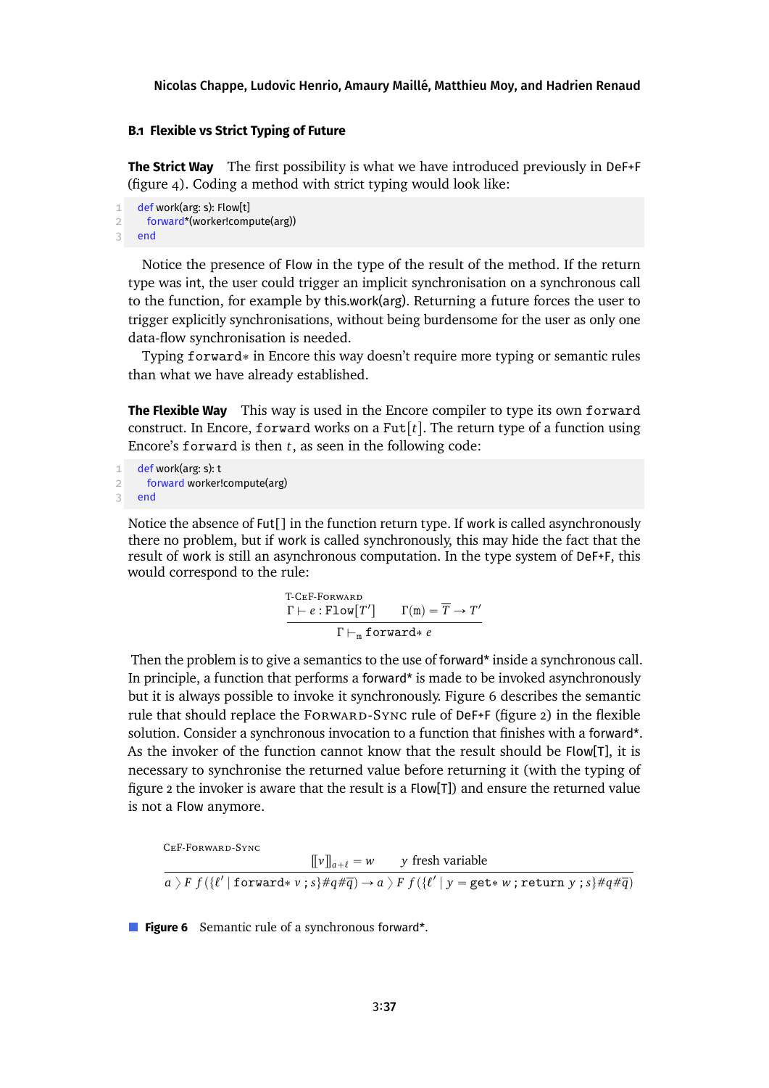## **B.1 Flexible vs Strict Typing of Future**

**The Strict Way** The first possibility is what we have introduced previously in DeF+F (figure [4\)](#page-14-0). Coding a method with strict typing would look like:

```
1 def work(arg: s): Flow[t]
2 forward*(worker!compute(arg))
3 end
```
Notice the presence of Flow in the type of the result of the method. If the return type was int, the user could trigger an implicit synchronisation on a synchronous call to the function, for example by this.work(arg). Returning a future forces the user to trigger explicitly synchronisations, without being burdensome for the user as only one data-flow synchronisation is needed.

Typing  $forward*$  in Encore this way doesn't require more typing or semantic rules than what we have already established.

**The Flexible Way** This way is used in the Encore compiler to type its own forward construct. In Encore, forward works on a Fut $[t]$ . The return type of a function using Encore's forward is then *t*, as seen in the following code:

```
1 def work(arg: s): t
2 forward worker!compute(arg)
3 end
```
Notice the absence of Fut[] in the function return type. If work is called asynchronously there no problem, but if work is called synchronously, this may hide the fact that the result of work is still an asynchronous computation. In the type system of DeF+F, this would correspond to the rule:

> T-CeF-Forward  $\Gamma \vdash e : \texttt{Flow}[T'] \qquad \Gamma(\texttt{m}) = \overline{T} \to T'$  $Γ ⊢<sub>m</sub>$  forward\* *e*

Then the problem is to give a semantics to the use of forward\* inside a synchronous call. In principle, a function that performs a forward\* is made to be invoked asynchronously but it is always possible to invoke it synchronously. Figure [6](#page-36-0) describes the semantic rule that should replace the FORWARD-SYNC rule of DeF+F (figure [2\)](#page-13-0) in the flexible solution. Consider a synchronous invocation to a function that finishes with a forward\*. As the invoker of the function cannot know that the result should be  $Flow[T]$ , it is necessary to synchronise the returned value before returning it (with the typing of figure [2](#page-13-0) the invoker is aware that the result is a Flow[T]) and ensure the returned value is not a Flow anymore.

```
CeF-Forward-Sync
                                               [\![v]\!]_{a+\ell} = w y fresh variable
 a \;\rangle F f (\{ \ell' \mid <code>forward* \nu ; s \}#q#\overline{q}] \rightarrow a \;\rangle F f (\{ \ell' \mid y = <code>get* w ; return y ; s \}#q#\overline{q}]</code></code>
```
**Figure 6** Semantic rule of a synchronous forward\*.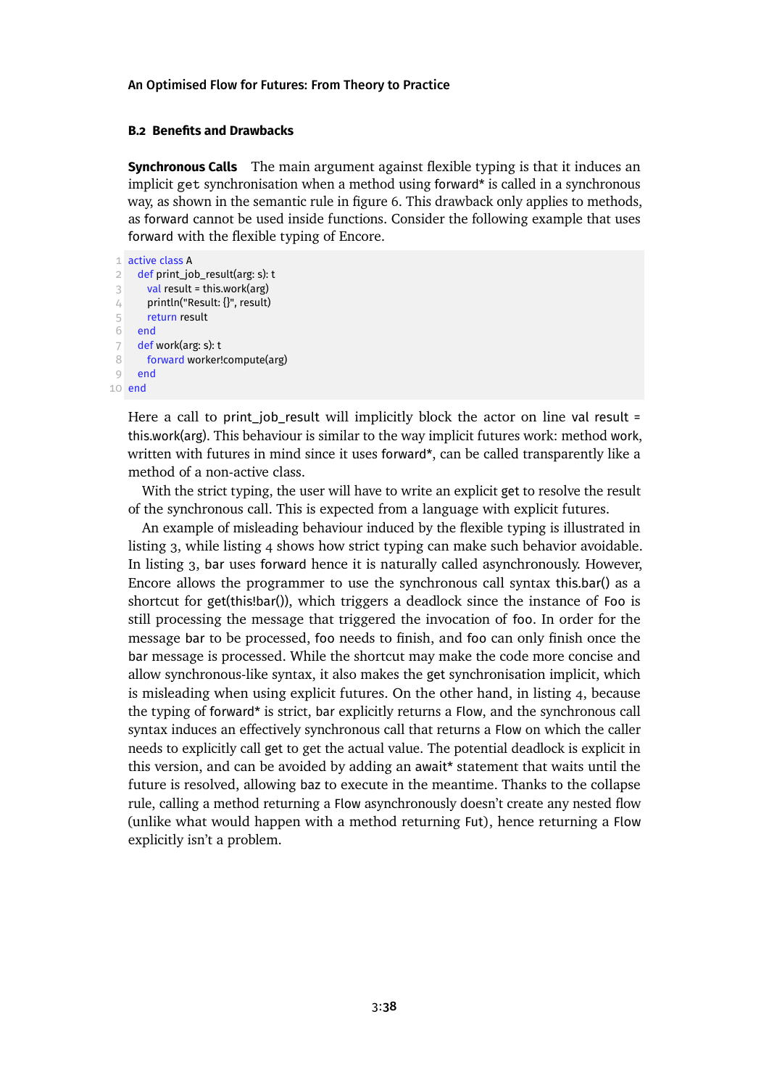### **B.2 Benefits and Drawbacks**

**Synchronous Calls** The main argument against flexible typing is that it induces an implicit get synchronisation when a method using forward\* is called in a synchronous way, as shown in the semantic rule in figure [6.](#page-36-0) This drawback only applies to methods, as forward cannot be used inside functions. Consider the following example that uses forward with the flexible typing of Encore.

```
1 active class A
 2 def print_job_result(arg: s): t
 3 val result = this.work(arg)
 4 println("Result: {}", result)
5 return result
6 end
 7 def work(arg: s): t
8 forward worker!compute(arg)
9 end
10 end
```
Here a call to print job\_result will implicitly block the actor on line val result = this.work(arg). This behaviour is similar to the way implicit futures work: method work, written with futures in mind since it uses forward\*, can be called transparently like a method of a non-active class.

With the strict typing, the user will have to write an explicit get to resolve the result of the synchronous call. This is expected from a language with explicit futures.

An example of misleading behaviour induced by the flexible typing is illustrated in listing [3,](#page-38-0) while listing [4](#page-38-1) shows how strict typing can make such behavior avoidable. In listing [3,](#page-38-0) bar uses forward hence it is naturally called asynchronously. However, Encore allows the programmer to use the synchronous call syntax this.bar() as a shortcut for get(this!bar()), which triggers a deadlock since the instance of Foo is still processing the message that triggered the invocation of foo. In order for the message bar to be processed, foo needs to finish, and foo can only finish once the bar message is processed. While the shortcut may make the code more concise and allow synchronous-like syntax, it also makes the get synchronisation implicit, which is misleading when using explicit futures. On the other hand, in listing [4,](#page-38-1) because the typing of forward\* is strict, bar explicitly returns a Flow, and the synchronous call syntax induces an effectively synchronous call that returns a Flow on which the caller needs to explicitly call get to get the actual value. The potential deadlock is explicit in this version, and can be avoided by adding an await\* statement that waits until the future is resolved, allowing baz to execute in the meantime. Thanks to the collapse rule, calling a method returning a Flow asynchronously doesn't create any nested flow (unlike what would happen with a method returning Fut), hence returning a Flow explicitly isn't a problem.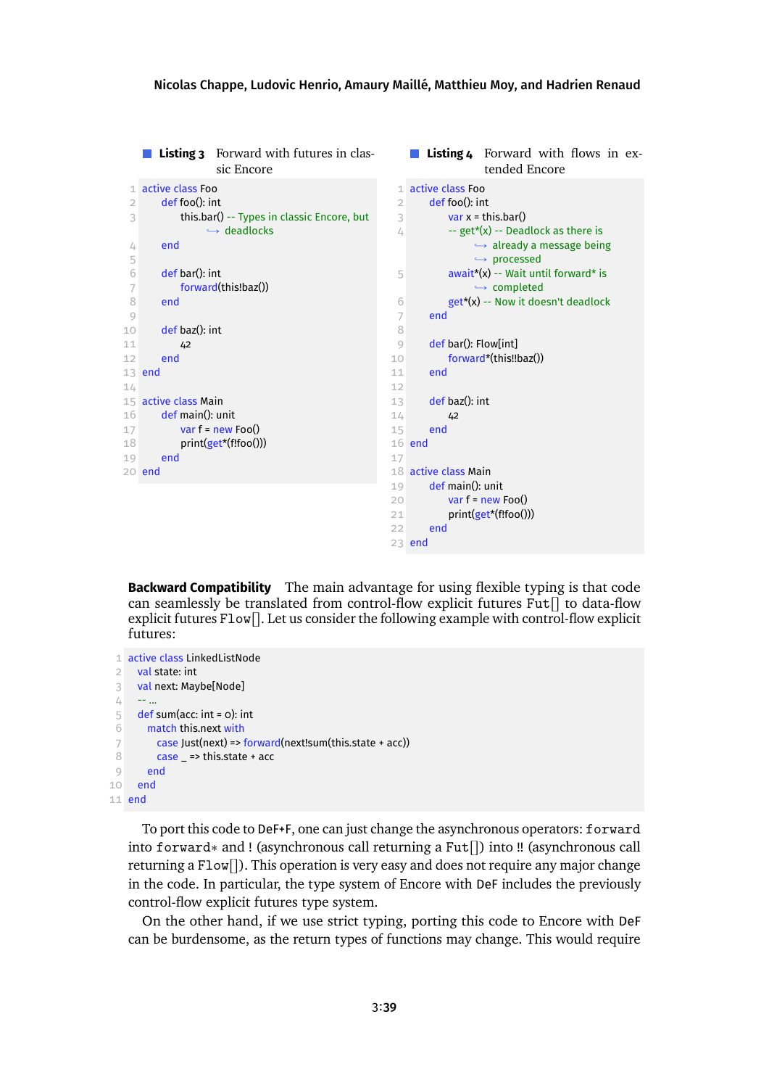<span id="page-38-1"></span><span id="page-38-0"></span>

|                |                      | <b>Listing 3</b> Forward with futures in clas-<br>sic Encore |                |                      | <b>Listing 4</b> Forward with flows in ex-<br>tended Encore |
|----------------|----------------------|--------------------------------------------------------------|----------------|----------------------|-------------------------------------------------------------|
| 1              | active class Foo     |                                                              |                | 1 active class Foo   |                                                             |
| $\overline{2}$ | def foo(): int       |                                                              | $\overline{2}$ | def foo(): int       |                                                             |
| 3              |                      | this.bar() -- Types in classic Encore, but                   | 3              |                      | var $x = this, bar()$                                       |
|                |                      | $\hookrightarrow$ deadlocks                                  | 4              |                      | -- get*(x) -- Deadlock as there is                          |
| 4              | end                  |                                                              |                |                      | $\hookrightarrow$ already a message being                   |
| 5              |                      |                                                              |                |                      | $\hookrightarrow$ processed                                 |
| 6              | def bar(): int       |                                                              | 5              |                      | $await*(x)$ -- Wait until forward* is                       |
| 7              |                      | forward(this!baz())                                          |                |                      | $\hookrightarrow$ completed                                 |
| 8              | end                  |                                                              | 6              |                      | get*(x) -- Now it doesn't deadlock                          |
| 9              |                      |                                                              | 7              | end                  |                                                             |
| 10             | def baz(): int       |                                                              | 8              |                      |                                                             |
| 11             | 42                   |                                                              | $\circ$        | def bar(): Flow[int] |                                                             |
| 12             | end                  |                                                              | 10             |                      | forward*(this!!baz())                                       |
|                | 13 end               |                                                              | 11             | end                  |                                                             |
| 14             |                      |                                                              | 12             |                      |                                                             |
|                | 15 active class Main |                                                              | 13             | def baz(): int       |                                                             |
| 16             | def main(): unit     |                                                              | 14             | 42                   |                                                             |
| 17             |                      | var $f = new Foo()$                                          | 15             | end                  |                                                             |
| 18             |                      | print(get*(f!foo()))                                         |                | 16 end               |                                                             |
| 19             | end                  |                                                              | 17             |                      |                                                             |
|                | 20 end               |                                                              |                | 18 active class Main |                                                             |
|                |                      |                                                              | 19             | def main(): unit     |                                                             |
|                |                      |                                                              | 20             |                      | var $f = new Foo()$                                         |
|                |                      |                                                              | 21             | end                  | print(get*(f!foo()))                                        |
|                |                      |                                                              | 22             |                      |                                                             |
|                |                      |                                                              |                | 23 end               |                                                             |

**Backward Compatibility** The main advantage for using flexible typing is that code can seamlessly be translated from control-flow explicit futures  $\text{Fut}$  to data-flow explicit futures  $F1ow$ . Let us consider the following example with control-flow explicit futures:

```
1 active class LinkedListNode
 2 val state: int
 3 val next: Maybe[Node]
 4 - - ...
 5 def sum(acc: int = 0): int
 6 match this.next with
 7 case Just(next) => forward(next!sum(this.state + acc))
 8 case _ => this.state + acc
 9 end
10 end
11 end
```
To port this code to DeF+F, one can just change the asynchronous operators: forward into forward\* and ! (asynchronous call returning a  $Fut[]$ ) into !! (asynchronous call returning a  $Flow[]$ . This operation is very easy and does not require any major change in the code. In particular, the type system of Encore with DeF includes the previously control-flow explicit futures type system.

On the other hand, if we use strict typing, porting this code to Encore with DeF can be burdensome, as the return types of functions may change. This would require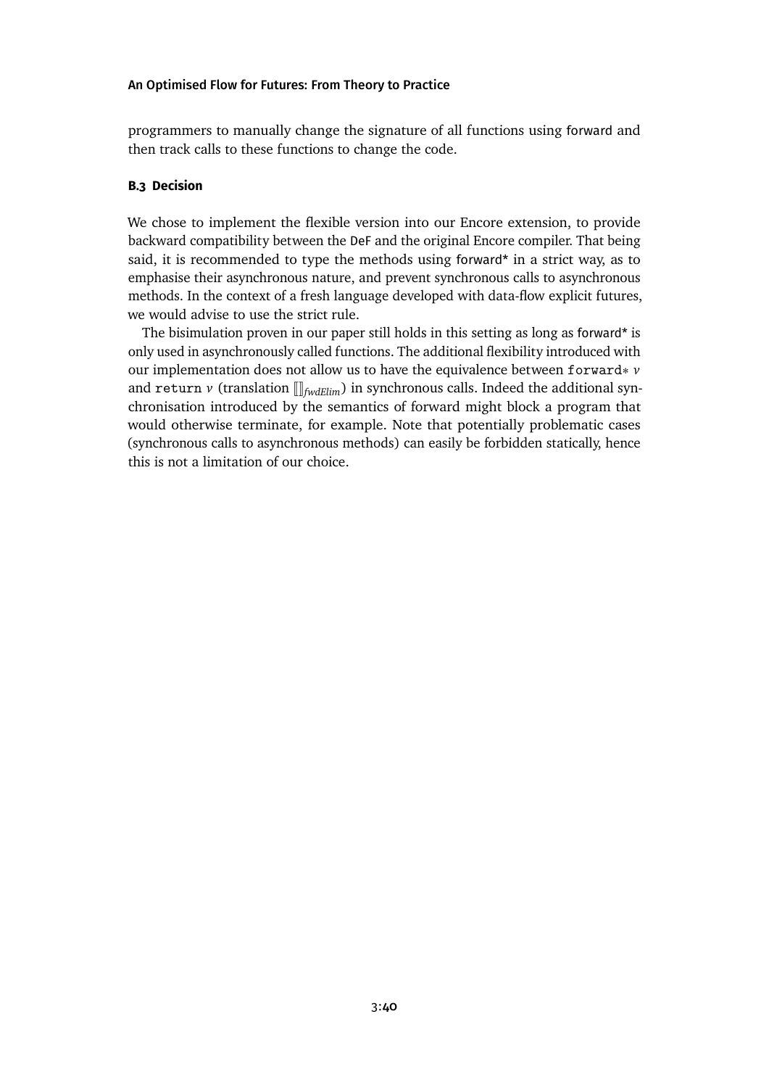programmers to manually change the signature of all functions using forward and then track calls to these functions to change the code.

# **B.3 Decision**

We chose to implement the flexible version into our Encore extension, to provide backward compatibility between the DeF and the original Encore compiler. That being said, it is recommended to type the methods using forward\* in a strict way, as to emphasise their asynchronous nature, and prevent synchronous calls to asynchronous methods. In the context of a fresh language developed with data-flow explicit futures, we would advise to use the strict rule.

The bisimulation proven in our paper still holds in this setting as long as forward\* is only used in asynchronously called functions. The additional flexibility introduced with our implementation does not allow us to have the equivalence between forward\* *v* and return  $\nu$  (translation  $\left[\right]_{fwdElim}$ ) in synchronous calls. Indeed the additional synchronisation introduced by the semantics of forward might block a program that would otherwise terminate, for example. Note that potentially problematic cases (synchronous calls to asynchronous methods) can easily be forbidden statically, hence this is not a limitation of our choice.